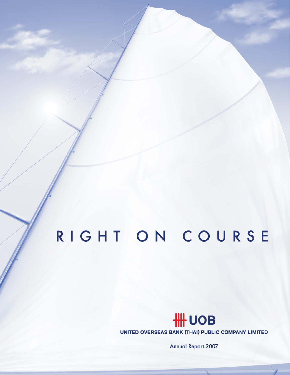# RIGHT ON COURSE

## **HH UOB**

UNITED OVERSEAS BANK (THAI) PUBLIC COMPANY LIMITED

**Annual Report 2007**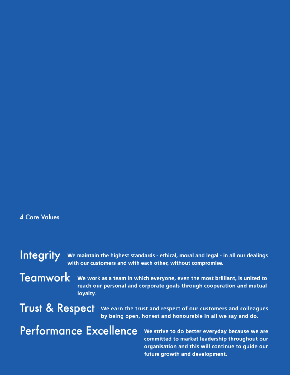## **4 Core Values**

Integrity We maintain the highest standards - ethical, moral and legal - in all our dealings with our customers and with each other, without compromise.

**Teamwork** 

We work as a team in which everyone, even the most brilliant, is united to reach our personal and corporate goals through cooperation and mutual loyalty.

**Trust & Respect** 

We earn the trust and respect of our customers and colleagues by being open, honest and honourable in all we say and do.

## **Performance Excellence**

We strive to do better everyday because we are committed to market leadership throughout our organisation and this will continue to guide our future growth and development.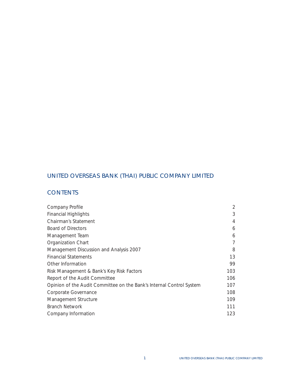## UNITED OVERSEAS BANK (THAI) PUBLIC COMPANY LIMITED

## **CONTENTS**

| Company Profile                                                      | 2              |
|----------------------------------------------------------------------|----------------|
| <b>Financial Highlights</b>                                          | 3              |
| Chairman's Statement                                                 | $\overline{4}$ |
| Board of Directors                                                   | 6              |
| Management Team                                                      | 6              |
| Organization Chart                                                   | 7              |
| Management Discussion and Analysis 2007                              | 8              |
| <b>Financial Statements</b>                                          | 13             |
| Other Information                                                    | 99             |
| Risk Management & Bank's Key Risk Factors                            | 103            |
| Report of the Audit Committee                                        | 106            |
| Opinion of the Audit Committee on the Bank's Internal Control System | 107            |
| Corporate Governance                                                 | 108            |
| Management Structure                                                 | 109            |
| <b>Branch Network</b>                                                | 111            |
| Company Information                                                  | 123            |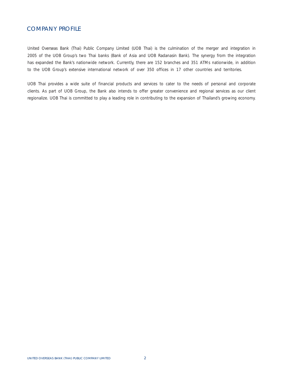### COMPANY PROFILE

United Overseas Bank (Thai) Public Company Limited (UOB Thai) is the culmination of the merger and integration in 2005 of the UOB Group's two Thai banks (Bank of Asia and UOB Radanasin Bank). The synergy from the integration has expanded the Bank's nationwide network. Currently, there are 152 branches and 351 ATMs nationwide, in addition to the UOB Group's extensive international network of over 350 offices in 17 other countries and territories.

UOB Thai provides a wide suite of financial products and services to cater to the needs of personal and corporate clients. As part of UOB Group, the Bank also intends to offer greater convenience and regional services as our client regionalize. UOB Thai is committed to play a leading role in contributing to the expansion of Thailand's growing economy.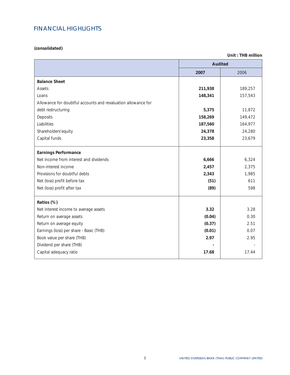## FINANCIAL HIGHLIGHTS

**(consolidated)** 

 $\overline{a}$ 

|                                                               | <b>Audited</b> |         |
|---------------------------------------------------------------|----------------|---------|
|                                                               | 2007           | 2006    |
| <b>Balance Sheet</b>                                          |                |         |
| Assets                                                        | 211,938        | 189,257 |
| Loans                                                         | 148,341        | 157,543 |
| Allowance for doubtful accounts and revaluation allowance for |                |         |
| debt restructuring                                            | 5,375          | 11,872  |
| Deposits                                                      | 158,269        | 149,472 |
| Liabilities                                                   | 187,560        | 164,977 |
| Shareholders'equity                                           | 24,378         | 24,280  |
| Capital funds                                                 | 23,358         | 23,679  |
| <b>Earnings Performance</b>                                   |                |         |
| Net income from interest and dividends                        | 6,666          | 6,324   |
| Non-interest income                                           | 2,457          | 2,375   |
| Provisions for doubtful debts                                 | 2,343          | 1,985   |
| Net (loss) profit before tax                                  | (51)           | 611     |
| Net (loss) profit after tax                                   | (89)           | 598     |
| Ratios (%)                                                    |                |         |
| Net interest income to average assets                         | 3.32           | 3.28    |
| Return on average assets                                      | (0.04)         | 0.30    |
| Return on average equity                                      | (0.37)         | 2.51    |
| Earnings (loss) per share - Basic (THB)                       | (0.01)         | 0.07    |
| Book value per share (THB)                                    | 2.97           | 2.95    |
| Dividend per share (THB)                                      |                |         |
| Capital adequacy ratio                                        | 17.68          | 17.44   |

**Unit : THB million**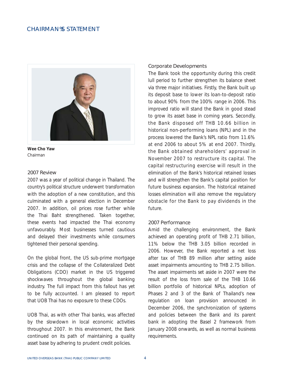### CHAIRMAN S STATEMENT



**Wee Cho Yaw**  *Chairman* 

#### 2007 Review

2007 was a year of political change in Thailand. The country's political structure underwent transformation with the adoption of a new constitution, and this culminated with a general election in December 2007. In addition, oil prices rose further while the Thai Baht strengthened. Taken together, these events had impacted the Thai economy unfavourably. Most businesses turned cautious and delayed their investments while consumers tightened their personal spending.

On the global front, the US sub-prime mortgage crisis and the collapse of the Collateralized Debt Obligations (CDO) market in the US triggered shockwaves throughout the global banking industry. The full impact from this fallout has yet to be fully accounted. I am pleased to report that UOB Thai has no exposure to these CDOs.

UOB Thai, as with other Thai banks, was affected by the slowdown in local economic activities throughout 2007. In this environment, the Bank continued on its path of maintaining a quality asset base by adhering to prudent credit policies.

#### Corporate Developments

The Bank took the opportunity during this credit lull period to further strengthen its balance sheet via three major initiatives. Firstly, the Bank built up its deposit base to lower its loan-to-deposit ratio to about 90% from the 100% range in 2006. This improved ratio will stand the Bank in good stead to grow its asset base in coming years. Secondly, the Bank disposed off THB 10.66 billion in historical non-performing loans (NPL) and in the process lowered the Bank's NPL ratio from 11.6% at end 2006 to about 5% at end 2007. Thirdly, the Bank obtained shareholders' approval in November 2007 to restructure its capital. The capital restructuring exercise will result in the elimination of the Bank's historical retained losses and will strengthen the Bank's capital position for future business expansion. The historical retained losses elimination will also remove the regulatory obstacle for the Bank to pay dividends in the future.

#### 2007 Performance

Amid the challenging environment, the Bank achieved an operating profit of THB 2.71 billion, 11% below the THB 3.05 billion recorded in 2006. However, the Bank reported a net loss after tax of THB 89 million after setting aside asset impairments amounting to THB 2.75 billion. The asset impairments set aside in 2007 were the result of the loss from sale of the THB 10.66 billion portfolio of historical NPLs, adoption of Phases 2 and 3 of the Bank of Thailand's new regulation on loan provision announced in December 2006, the synchronization of systems and policies between the Bank and its parent bank in adopting the Basel 2 framework from January 2008 onwards, as well as normal business requirements.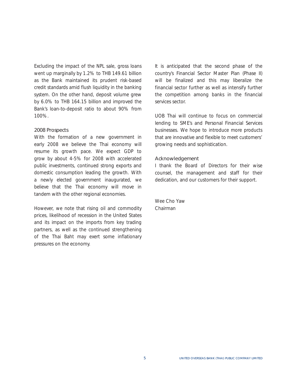Excluding the impact of the NPL sale, gross loans went up marginally by 1.2% to THB 149.61 billion as the Bank maintained its prudent risk-based credit standards amid flush liquidity in the banking system. On the other hand, deposit volume grew by 6.0% to THB 164.15 billion and improved the Bank's loan-to-deposit ratio to about 90% from 100%.

#### 2008 Prospects

With the formation of a new government in early 2008 we believe the Thai economy will resume its growth pace. We expect GDP to grow by about 4-5% for 2008 with accelerated public investments, continued strong exports and domestic consumption leading the growth. With a newly elected government inaugurated, we believe that the Thai economy will move in tandem with the other regional economies.

However, we note that rising oil and commodity prices, likelihood of recession in the United States and its impact on the imports from key trading partners, as well as the continued strengthening of the Thai Baht may exert some inflationary pressures on the economy.

It is anticipated that the second phase of the country's Financial Sector Master Plan (Phase II) will be finalized and this may liberalize the financial sector further as well as intensify further the competition among banks in the financial services sector.

UOB Thai will continue to focus on commercial lending to SME's and Personal Financial Services businesses. We hope to introduce more products that are innovative and flexible to meet customers' growing needs and sophistication.

#### Acknowledgement

I thank the Board of Directors for their wise counsel, the management and staff for their dedication, and our customers for their support.

Wee Cho Yaw Chairman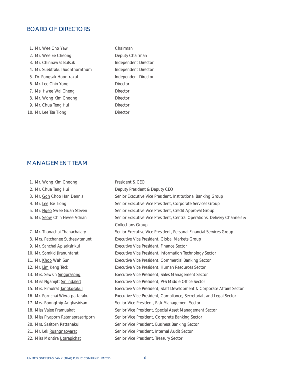## BOARD OF DIRECTORS

| 1. Mr. Wee Cho Yaw              | Chairman        |
|---------------------------------|-----------------|
| 2. Mr. Wee Ee Cheong            | Deputy Ch       |
| 3. Mr. Chinnawat Bulsuk         | Independe       |
| 4. Mr. Suebtrakul Soonthornthum | Independe       |
| 5. Dr. Pongsak Hoontrakul       | Independe       |
| 6. Mr. Lee Chin Yong            | <b>Director</b> |
| 7. Ms. Hwee Wai Cheng           | Director        |
| 8. Mr. Wong Kim Choong          | Director        |
| 9. Mr. Chua Teng Hui            | Director        |
| 10. Mr. Lee Tse Tiong           | Director        |
|                                 |                 |

## hairman ent Director ent Director ent Director

## MANAGEMENT TEAM

| 1. Mr. Wong Kim Choong              | President & CEO                                                          |
|-------------------------------------|--------------------------------------------------------------------------|
| 2. Mr. Chua Teng Hui                | Deputy President & Deputy CEO                                            |
| 3. Mr. Goh Choo Han Dennis          | Senior Executive Vice President, Institutional Banking Group             |
| 4. Mr. Lee Tse Tiong                | Senior Executive Vice President, Corporate Services Group                |
| 5. Mr. Ngeo Swee Guan Steven        | Senior Executive Vice President, Credit Approval Group                   |
| 6. Mr. Seow Chin Hwee Adrian        | Senior Executive Vice President, Central Operations, Delivery Channels & |
|                                     | <b>Collections Group</b>                                                 |
| 7. Mr. Thanachai Thanachaiary       | Senior Executive Vice President, Personal Financial Services Group       |
| 8. Mrs. Patchanee Sutheevitanunt    | Executive Vice President, Global Markets Group                           |
| 9. Mr. Sanchai Apisaksirikul        | Executive Vice President, Finance Sector                                 |
| 10. Mr. Somkid Jiranuntarat         | Executive Vice President, Information Technology Sector                  |
| 11. Mr. Khoo Wah Sun                | Executive Vice President, Commercial Banking Sector                      |
| 12. Mr. Lim Keng Teck               | Executive Vice President, Human Resources Sector                         |
| 13. Mrs. Sewsin Singprasong         | Executive Vice President, Sales Management Sector                        |
| 14. Miss Ngamjitt Sirijindalert     | Executive Vice President, PFS Middle Office Sector                       |
| 15. Mrs. Pimolrat Tangkosakul       | Executive Vice President, Staff Development & Corporate Affairs Sector   |
| 16. Mr. Pornchai Wiwatpattarakul    | Executive Vice President, Compliance, Secretariat, and Legal Sector      |
| 17. Mrs. Roongthip Angkasirisan     | Senior Vice President, Risk Management Sector                            |
| 18. Miss Vajee Pramualrat           | Senior Vice President, Special Asset Management Sector                   |
| 19. Miss Piyaporn Ratanaprasartporn | Senior Vice President, Corporate Banking Sector                          |
| 20. Mrs. Sasitorn Rattanakul        | Senior Vice President, Business Banking Sector                           |
| 21. Mr. Lek Ruangnaovarat           | Senior Vice President, Internal Audit Sector                             |
| 22. Miss Montira Utarapichat        | Senior Vice President, Treasury Sector                                   |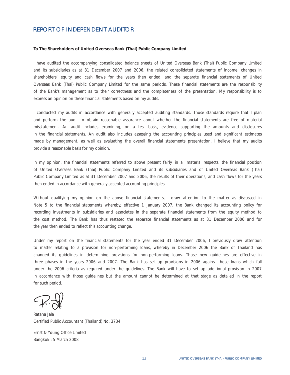### REPORT OF INDEPENDENT AUDITOR

#### **To The Shareholders of United Overseas Bank (Thai) Public Company Limited**

I have audited the accompanying consolidated balance sheets of United Overseas Bank (Thai) Public Company Limited and its subsidiaries as at 31 December 2007 and 2006, the related consolidated statements of income, changes in shareholders' equity and cash flows for the years then ended, and the separate financial statements of United Overseas Bank (Thai) Public Company Limited for the same periods. These financial statements are the responsibility of the Bank's management as to their correctness and the completeness of the presentation. My responsibility is to express an opinion on these financial statements based on my audits.

I conducted my audits in accordance with generally accepted auditing standards. Those standards require that I plan and perform the audit to obtain reasonable assurance about whether the financial statements are free of material misstatement. An audit includes examining, on a test basis, evidence supporting the amounts and disclosures in the financial statements. An audit also includes assessing the accounting principles used and significant estimates made by management, as well as evaluating the overall financial statements presentation. I believe that my audits provide a reasonable basis for my opinion.

In my opinion, the financial statements referred to above present fairly, in all material respects, the financial position of United Overseas Bank (Thai) Public Company Limited and its subsidiaries and of United Overseas Bank (Thai) Public Company Limited as at 31 December 2007 and 2006, the results of their operations, and cash flows for the years then ended in accordance with generally accepted accounting principles.

Without qualifying my opinion on the above financial statements, I draw attention to the matter as discussed in Note 5 to the financial statements whereby, effective 1 January 2007, the Bank changed its accounting policy for recording investments in subsidiaries and associates in the separate financial statements from the equity method to the cost method. The Bank has thus restated the separate financial statements as at 31 December 2006 and for the year then ended to reflect this accounting change.

Under my report on the financial statements for the year ended 31 December 2006, I previously draw attention to matter relating to a provision for non-performing loans, whereby in December 2006 the Bank of Thailand has changed its guidelines in determining provisions for non-performing loans. Those new guidelines are effective in three phases in the years 2006 and 2007. The Bank has set up provisions in 2006 against those loans which fall under the 2006 criteria as required under the guidelines. The Bank will have to set up additional provision in 2007 in accordance with those guidelines but the amount cannot be determined at that stage as detailed in the report for such period.

Ratana Jala Certified Public Accountant (Thailand) No. 3734

Ernst & Young Office Limited Bangkok : 5 March 2008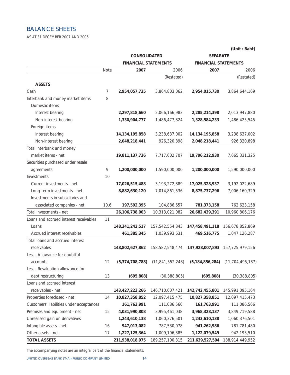## BALANCE SHEETS

AS AT 31 DECEMBER 2007 AND 2006

|                                          |      | CONSOLIDATED                |                     | <b>SEPARATE</b>             |                     |
|------------------------------------------|------|-----------------------------|---------------------|-----------------------------|---------------------|
|                                          |      | <b>FINANCIAL STATEMENTS</b> |                     | <b>FINANCIAL STATEMENTS</b> |                     |
|                                          | Note | 2007                        | 2006                | 2007                        | 2006                |
|                                          |      |                             | (Restated)          |                             | (Restated)          |
| <b>ASSETS</b>                            |      |                             |                     |                             |                     |
| Cash                                     | 7    | 2,954,057,735               | 3,864,803,062       | 2,954,015,730               | 3,864,644,169       |
| Interbank and money market items         | 8    |                             |                     |                             |                     |
| Domestic items                           |      |                             |                     |                             |                     |
| Interest bearing                         |      | 2,297,818,660               | 2,066,166,983       | 2,285,214,398               | 2,013,947,880       |
| Non-interest bearing                     |      | 1,330,904,777               | 1,486,477,824       | 1,328,584,233               | 1,486,425,545       |
| Foreign items                            |      |                             |                     |                             |                     |
| Interest bearing                         |      | 14,134,195,858              | 3,238,637,002       | 14, 134, 195, 858           | 3,238,637,002       |
| Non-interest bearing                     |      | 2,048,218,441               | 926,320,898         | 2,048,218,441               | 926,320,898         |
| Total interbank and money                |      |                             |                     |                             |                     |
| market items - net                       |      | 19,811,137,736              | 7,717,602,707       | 19,796,212,930              | 7,665,331,325       |
| Securities purchased under resale        |      |                             |                     |                             |                     |
| agreements                               | 9    | 1,200,000,000               | 1,590,000,000       | 1,200,000,000               | 1,590,000,000       |
| Investments                              | 10   |                             |                     |                             |                     |
| Current investments - net                |      | 17,026,515,488              | 3, 193, 272, 889    | 17,025,328,937              | 3,192,022,689       |
| Long-term investments - net              |      | 8,882,630,120               | 7,014,861,536       | 8,875,737,296               | 7,006,160,329       |
| Investments in subsidiaries and          |      |                             |                     |                             |                     |
| associated companies - net               | 10.6 | 197,592,395                 | 104,886,657         | 781,373,158                 | 762,623,158         |
| Total investments - net                  |      | 26,106,738,003              | 10,313,021,082      | 26,682,439,391              | 10,960,806,176      |
| Loans and accrued interest receivables   | 11   |                             |                     |                             |                     |
| Loans                                    |      | 148, 341, 242, 517          | 157,542,554,843     | 147,458,491,118             | 156,678,852,869     |
| Accrued interest receivables             |      | 461,385,345                 | 1,039,993,631       | 469,516,775                 | 1,047,126,287       |
| Total loans and accrued interest         |      |                             |                     |                             |                     |
| receivables                              |      | 148,802,627,862             | 158,582,548,474     | 147,928,007,893             | 157,725,979,156     |
| Less : Allowance for doubtful            |      |                             |                     |                             |                     |
| accounts                                 | 12   | (5, 374, 708, 788)          | (11, 841, 552, 248) | (5, 184, 856, 284)          | (11, 704, 495, 187) |
| Less: Revaluation allowance for          |      |                             |                     |                             |                     |
| debt restructuring                       | 13   | (695, 808)                  | (30, 388, 805)      | (695, 808)                  | (30, 388, 805)      |
| Loans and accrued interest               |      |                             |                     |                             |                     |
| receivables - net                        |      | 143,427,223,266             | 146,710,607,421     | 142,742,455,801             | 145,991,095,164     |
| Properties foreclosed - net              | 14   | 10,827,358,852              | 12,097,415,475      | 10,827,358,851              | 12,097,415,473      |
| Customers' liabilities under acceptances |      | 161,763,991                 | 111,086,566         | 161,763,991                 | 111,086,566         |
| Premises and equipment - net             | 15   | 4,031,990,808               | 3,995,461,038       | 3,968,328,137               | 3,849,719,588       |
| Unrealised gain on derivatives           |      | 1,243,610,138               | 1,060,376,501       | 1,243,610,138               | 1,060,376,501       |
| Intangible assets - net                  | 16   | 947,013,082                 | 787,530,078         | 941,262,986                 | 781,781,480         |
| Other assets - net                       | 17   | 1,227,125,364               | 1,009,196,385       | 1,122,079,549               | 942,193,510         |
| <b>TOTAL ASSETS</b>                      |      | 211,938,018,975             | 189,257,100,315     | 211,639,527,504             | 188,914,449,952     |

*The accompanying notes are an integral part of the financial statements.* 

**(Unit : Baht)**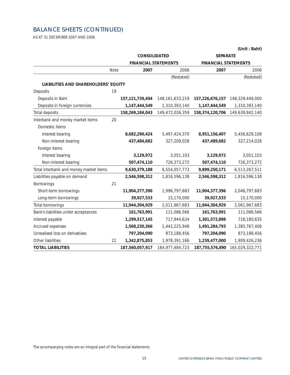## BALANCE SHEETS (CONTINUED)

AS AT 31 DECEMBER 2007 AND 2006

|                                        |      | <b>CONSOLIDATED</b>         |                    | <b>SEPARATE</b>             |                 |  |
|----------------------------------------|------|-----------------------------|--------------------|-----------------------------|-----------------|--|
|                                        |      | <b>FINANCIAL STATEMENTS</b> |                    | <b>FINANCIAL STATEMENTS</b> |                 |  |
|                                        | Note | 2007                        | 2006               | 2007                        | 2006            |  |
|                                        |      |                             | (Restated)         |                             | (Restated)      |  |
| LIABILITIES AND SHAREHOLDERS' EQUITY   |      |                             |                    |                             |                 |  |
| Deposits                               | 19   |                             |                    |                             |                 |  |
| Deposits in Baht                       |      | 157, 121, 739, 494          | 148, 161, 633, 219 | 157,226,676,157             | 148,329,449,000 |  |
| Deposits in foreign currencies         |      | 1,147,444,549               | 1,310,393,140      | 1,147,444,549               | 1,310,393,140   |  |
| Total deposits                         |      | 158,269,184,043             | 149,472,026,359    | 158,374,120,706             | 149,639,842,140 |  |
| Interbank and money market items       | 20   |                             |                    |                             |                 |  |
| Domestic items                         |      |                             |                    |                             |                 |  |
| Interest bearing                       |      | 8,682,290,424               | 5,497,424,370      | 8,951,156,407               | 5,456,629,108   |  |
| Non-interest bearing                   |      | 437,484,682                 | 327,209,028        | 437,489,682                 | 327,214,028     |  |
| Foreign items                          |      |                             |                    |                             |                 |  |
| Interest bearing                       |      | 3,129,972                   | 3,051,103          | 3,129,972                   | 3,051,103       |  |
| Non-interest bearing                   |      | 507,474,110                 | 726,373,272        | 507,474,110                 | 726,373,272     |  |
| Total interbank and money market items |      | 9,630,379,188               | 6,554,057,773      | 9,899,250,171               | 6,513,267,511   |  |
| Liabilities payable on demand          |      | 2,546,598,312               | 1,816,596,138      | 2,546,598,312               | 1,816,596,138   |  |
| Borrowings                             | 21   |                             |                    |                             |                 |  |
| Short-term borrowings                  |      | 11,904,377,396              | 1,996,797,683      | 11,904,377,396              | 2,046,797,683   |  |
| Long-term borrowings                   |      | 39,927,533                  | 15,170,000         | 39,927,533                  | 15,170,000      |  |
| Total borrowings                       |      | 11,944,304,929              | 2,011,967,683      | 11,944,304,929              | 2,061,967,683   |  |
| Bank's liabilities under acceptances   |      | 161,763,991                 | 111,086,566        | 161,763,991                 | 111,086,566     |  |
| Interest payable                       |      | 1,299,517,145               | 717,944,634        | 1,301,572,898               | 718,180,635     |  |
| Accrued expenses                       |      | 1,568,230,366               | 1,442,225,948      | 1,491,284,793               | 1,385,767,406   |  |
| Unrealised loss on derivatives         |      | 797,204,090                 | 873,188,456        | 797,204,090                 | 873,188,456     |  |
| Other liabilities                      | 22   | 1,342,875,853               | 1,978,391,166      | 1,239,477,000               | 1,909,426,236   |  |
| <b>TOTAL LIABILITIES</b>               |      | 187,560,057,917             | 164,977,484,723    | 187, 755, 576, 890          | 165,029,322,771 |  |

**(Unit : Baht)**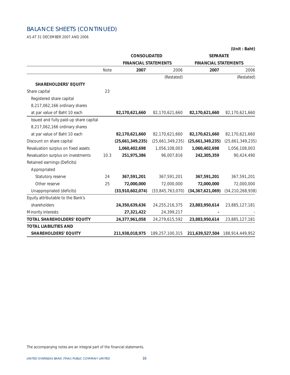## BALANCE SHEETS (CONTINUED)

AS AT 31 DECEMBER 2007 AND 2006

|                                        |      | CONSOLIDATED                |                   | <b>SEPARATE</b>             |                                 |
|----------------------------------------|------|-----------------------------|-------------------|-----------------------------|---------------------------------|
|                                        |      | <b>FINANCIAL STATEMENTS</b> |                   | <b>FINANCIAL STATEMENTS</b> |                                 |
|                                        | Note | 2007                        | 2006              | 2007                        | 2006                            |
|                                        |      |                             | (Restated)        |                             | (Restated)                      |
| <b>SHAREHOLDERS' EQUITY</b>            |      |                             |                   |                             |                                 |
| Share capital                          | 23   |                             |                   |                             |                                 |
| Registered share capital               |      |                             |                   |                             |                                 |
| 8,217,062,166 ordinary shares          |      |                             |                   |                             |                                 |
| at par value of Baht 10 each           |      | 82,170,621,660              | 82,170,621,660    | 82,170,621,660              | 82,170,621,660                  |
| Issued and fully paid-up share capital |      |                             |                   |                             |                                 |
| 8,217,062,166 ordinary shares          |      |                             |                   |                             |                                 |
| at par value of Baht 10 each           |      | 82,170,621,660              | 82,170,621,660    | 82,170,621,660              | 82,170,621,660                  |
| Discount on share capital              |      | (25,661,349,235)            | (25,661,349,235)  | (25,661,349,235)            | (25,661,349,235)                |
| Revaluation surplus on fixed assets    |      | 1,060,402,698               | 1,056,108,003     | 1,060,402,698               | 1,056,108,003                   |
| Revaluation surplus on investments     | 10.3 | 251,975,386                 | 96,007,816        | 242,305,359                 | 90,424,490                      |
| Retained earnings (Deficits)           |      |                             |                   |                             |                                 |
| Appropriated                           |      |                             |                   |                             |                                 |
| Statutory reserve                      | 24   | 367,591,201                 | 367,591,201       | 367,591,201                 | 367,591,201                     |
| Other reserve                          | 25   | 72,000,000                  | 72,000,000        | 72,000,000                  | 72,000,000                      |
| Unappropriated (deficits)              |      | (33,910,602,074)            | (33,845,763,070)  | (34, 367, 621, 069)         | (34, 210, 268, 938)             |
| Equity attributable to the Bank's      |      |                             |                   |                             |                                 |
| shareholders                           |      | 24,350,639,636              | 24, 255, 216, 375 | 23,883,950,614              | 23,885,127,181                  |
| Minority interests                     |      | 27,321,422                  | 24,399,217        |                             |                                 |
| <b>TOTAL SHAREHOLDERS' EQUITY</b>      |      | 24,377,961,058              | 24,279,615,592    | 23,883,950,614              | 23,885,127,181                  |
| <b>TOTAL LIABILITIES AND</b>           |      |                             |                   |                             |                                 |
| <b>SHAREHOLDERS' EQUITY</b>            |      | 211,938,018,975             | 189,257,100,315   |                             | 211,639,527,504 188,914,449,952 |

**(Unit : Baht)**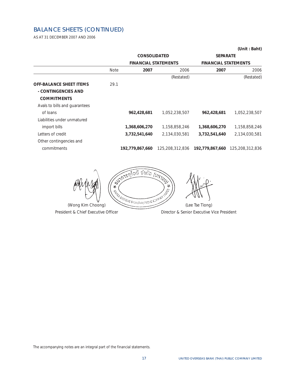## BALANCE SHEETS (CONTINUED)

AS AT 31 DECEMBER 2007 AND 2006

|                                |             | <b>CONSOLIDATED</b>         |                 | <b>SEPARATE</b>             |                 |
|--------------------------------|-------------|-----------------------------|-----------------|-----------------------------|-----------------|
|                                |             | <b>FINANCIAL STATEMENTS</b> |                 | <b>FINANCIAL STATEMENTS</b> |                 |
|                                | <b>Note</b> | 2007                        | 2006            | 2007                        | 2006            |
|                                |             |                             | (Restated)      |                             | (Restated)      |
| <b>OFF-BALANCE SHEET ITEMS</b> | 29.1        |                             |                 |                             |                 |
| - CONTINGENCIES AND            |             |                             |                 |                             |                 |
| <b>COMMITMENTS</b>             |             |                             |                 |                             |                 |
| Avals to bills and guarantees  |             |                             |                 |                             |                 |
| of loans                       |             | 962,428,681                 | 1,052,238,507   | 962,428,681                 | 1,052,238,507   |
| Liabilities under unmatured    |             |                             |                 |                             |                 |
| import bills                   |             | 1,368,606,270               | 1,158,858,246   | 1,368,606,270               | 1,158,858,246   |
| Letters of credit              |             | 3,732,541,640               | 2,134,030,581   | 3,732,541,640               | 2,134,030,581   |
| Other contingencies and        |             |                             |                 |                             |                 |
| commitments                    |             | 192,779,867,660             | 125,208,312,836 | 192,779,867,660             | 125,208,312,836 |

**UMTURY** อบี จำกัด **45-17-17** 41  $\mathcal{A}$  $\begin{bmatrix} 1 & 1 & 1 \ 1 & 1 & 1 \end{bmatrix}$  (Wong Kim Choong) (Lee Tse Tiong)

President & Chief Executive Officer **Director & Senior Executive Vice President** 

*The accompanying notes are an integral part of the financial statements.* 

**(Unit : Baht)**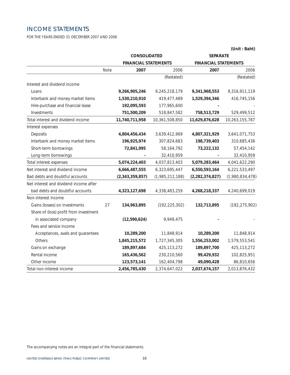## INCOME STATEMENTS

FOR THE YEARS ENDED 31 DECEMBER 2007 AND 2006

|                                        |      | <b>CONSOLIDATED</b>         |                 | <b>SEPARATE</b>             |                 |
|----------------------------------------|------|-----------------------------|-----------------|-----------------------------|-----------------|
|                                        |      | <b>FINANCIAL STATEMENTS</b> |                 | <b>FINANCIAL STATEMENTS</b> |                 |
|                                        | Note | 2007                        | 2006            | 2007                        | 2006            |
|                                        |      |                             | (Restated)      |                             | (Restated)      |
| Interest and dividend income           |      |                             |                 |                             |                 |
| Loans                                  |      | 9,266,905,246               | 9,245,218,179   | 9,341,968,553               | 9,316,911,119   |
| Interbank and money market items       |      | 1,530,210,910               | 419,477,489     | 1,529,394,346               | 416,745,156     |
| Hire-purchase and financial lease      |      | 192,095,593                 | 177,965,600     |                             |                 |
| Investments                            |      | 751,500,209                 | 518,847,582     | 758,513,729                 | 529,499,512     |
| Total interest and dividend income     |      | 11,740,711,958              | 10,361,508,850  | 11,629,876,628              | 10,263,155,787  |
| Interest expenses                      |      |                             |                 |                             |                 |
| Deposits                               |      | 4,804,456,434               | 3,639,412,969   | 4,807,321,929               | 3,641,071,753   |
| Interbank and money market items       |      | 196,925,974                 | 307,824,683     | 198,739,403                 | 310,685,436     |
| Short-term borrowings                  |      | 72,841,995                  | 58, 164, 792    | 73,222,132                  | 57,454,142      |
| Long-term borrowings                   |      |                             | 32,410,959      |                             | 32,410,959      |
| Total interest expenses                |      | 5,074,224,403               | 4,037,813,403   | 5,079,283,464               | 4,041,622,290   |
| Net interest and dividend income       |      | 6,666,487,555               | 6,323,695,447   | 6,550,593,164               | 6,221,533,497   |
| Bad debts and doubtful accounts        |      | (2,343,359,857)             | (1,985,212,188) | (2, 282, 374, 827)          | (1,980,834,478) |
| Net interest and dividend income after |      |                             |                 |                             |                 |
| bad debts and doubtful accounts        |      | 4,323,127,698               | 4,338,483,259   | 4,268,218,337               | 4,240,699,019   |
| Non-interest income                    |      |                             |                 |                             |                 |
| Gains (losses) on investments          | 27   | 134,963,895                 | (192, 225, 302) | 132,713,895                 | (192, 275, 902) |
| Share of (loss) profit from investment |      |                             |                 |                             |                 |
| in associated company                  |      | (12,590,624)                | 9,949,475       |                             |                 |
| Fees and service income                |      |                             |                 |                             |                 |
| Acceptances, avals and guarantees      |      | 10,289,200                  | 11,848,914      | 10,289,200                  | 11,848,914      |
| Others                                 |      | 1,845,215,572               | 1,727,345,305   | 1,556,253,002               | 1,579,553,541   |
| Gains on exchange                      |      | 189,897,684                 | 425, 113, 272   | 189,897,700                 | 425, 113, 272   |
| Rental income                          |      | 165,436,562                 | 230,210,560     | 99,429,932                  | 102,825,951     |
| Other income                           |      | 123,573,141                 | 162,404,798     | 49,090,428                  | 86,810,656      |
| Total non-interest income              |      | 2,456,785,430               | 2,374,647,022   | 2,037,674,157               | 2,013,876,432   |

**(Unit : Baht)**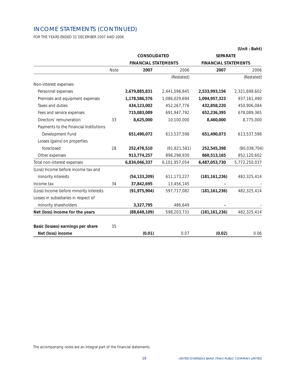## INCOME STATEMENTS (CONTINUED)

FOR THE YEARS ENDED 31 DECEMBER 2007 AND 2006

|                                         |      | <b>CONSOLIDATED</b>         |                | <b>SEPARATE</b>             |               |
|-----------------------------------------|------|-----------------------------|----------------|-----------------------------|---------------|
|                                         |      | <b>FINANCIAL STATEMENTS</b> |                | <b>FINANCIAL STATEMENTS</b> |               |
|                                         | Note | 2007                        | 2006           | 2007                        | 2006          |
|                                         |      |                             | (Restated)     |                             | (Restated)    |
| Non-interest expenses                   |      |                             |                |                             |               |
| Personnel expenses                      |      | 2,679,885,831               | 2,441,596,845  | 2,533,993,156               | 2,321,698,602 |
| Premises and equipment expenses         |      | 1,178,586,576               | 1,086,029,694  | 1,094,957,323               | 937, 161, 490 |
| Taxes and duties                        |      | 434,123,002                 | 452,267,776    | 432,858,220                 | 450,906,084   |
| Fees and service expenses               |      | 715,083,089                 | 691, 947, 792  | 652,236,395                 | 678,089,365   |
| Directors' remuneration                 | 33   | 8,625,000                   | 10,100,000     | 8,460,000                   | 8,775,000     |
| Payments to the Financial Institutions  |      |                             |                |                             |               |
| Development Fund                        |      | 651,490,072                 | 613,537,598    | 651,490,073                 | 613,537,598   |
| Losses (gains) on properties            |      |                             |                |                             |               |
| foreclosed                              | 28   | 252,478,510                 | (91, 821, 581) | 252,545,398                 | (90,038,704)  |
| Other expenses                          |      | 913,774,257                 | 898,298,930    | 860,513,165                 | 852,120,602   |
| Total non-interest expenses             |      | 6,834,046,337               | 6,101,957,054  | 6,487,053,730               | 5,772,250,037 |
| (Loss) Income before income tax and     |      |                             |                |                             |               |
| minority interests                      |      | (54, 133, 209)              | 611, 173, 227  | (181, 161, 236)             | 482,325,414   |
| Income tax                              | 34   | 37,842,695                  | 13,456,145     |                             |               |
| (Loss) Income before minority interests |      | (91, 975, 904)              | 597,717,082    | (181, 161, 236)             | 482,325,414   |
| Losses in subsidiaries in respect of    |      |                             |                |                             |               |
| minority shareholders                   |      | 3,327,795                   | 486,649        |                             |               |
| Net (loss) income for the years         |      | (88,648,109)                | 598,203,731    | (181, 161, 236)             | 482,325,414   |
| Basic (losses) earnings per share       | 35   |                             |                |                             |               |
| Net (loss) income                       |      | (0.01)                      | 0.07           | (0.02)                      | 0.06          |

**(Unit : Baht)**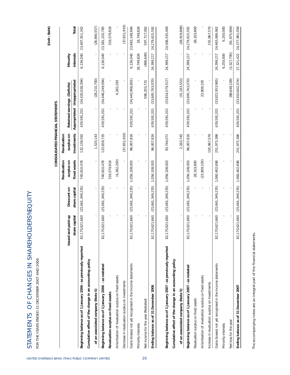|                                                                 |                                        |                              |                            | CONSOLIDATED FINANCIAL STATEMENTS |             |                                                             |                       | (Unit:Baht)    |
|-----------------------------------------------------------------|----------------------------------------|------------------------------|----------------------------|-----------------------------------|-------------|-------------------------------------------------------------|-----------------------|----------------|
|                                                                 |                                        |                              | Revaluation                | Revaluation                       |             |                                                             |                       |                |
|                                                                 | and paid-up<br>share capital<br>Issued | share capital<br>Discount on | fixed assets<br>surplus on | investments<br>surplus on         |             | Appropriated Unappropriated<br>Retained earnings (Deficits) | interests<br>Minority | Total          |
| Beginning balance as of 1 January 2006 - as previously reported | 82,170,621,660                         | (25,661,349,235)             | 740,810,478                | 132, 139, 592                     | 439,591,201 | (34, 420, 038, 394)                                         | 6,136,040             | 23,407,911,342 |
| Cumulative effect of the change in an accounting policy         |                                        |                              |                            |                                   |             |                                                             |                       |                |
| of an associated company (Note 5)                               |                                        |                              |                            | 1,520,143                         |             | (28, 210, 700)                                              |                       | (26, 690, 557) |
| Beginning balance as of 1 January 2006 - as restated            | 82,170,621,660                         | (25,661,349,235)             | 740,810,478                | 133,659,735                       | 439,591,201 | (34, 448, 249, 094)                                         | 6,136,040             | 23,381,220,785 |
| Revaluation surplus on fixed assets                             |                                        |                              | 319,579,818                |                                   |             |                                                             |                       | 319,579,818    |
| Amortisation of revaluation surplus on fixed assets             |                                        |                              | (4, 282, 293)              |                                   |             | 4,282,293                                                   |                       |                |
| Decrease in revaluation surplus on investments                  |                                        |                              |                            | (37,651,919)                      |             |                                                             |                       | (37,651,919)   |
| Gains (losses) not yet recognised in the income statements      | 82,170,621,660                         | (25,661,349,235)             | 1,056,108,003              | 96,007,816                        | 439,591,201 | (34, 443, 966, 801)                                         | 6,136,040             | 23,663,148,684 |
| Minority interests                                              |                                        |                              |                            |                                   |             |                                                             | 18,749,826            | 18,749,826     |
| Net income for the year (Restated)                              |                                        |                              |                            |                                   |             | 598,203,731                                                 | (486, 649)            | 597,717,082    |
| Ending balance as of 31 December 2006                           | 170,621,660<br>82,                     | (25,661,349,235)             | 1,056,108,003              | 96,007,816                        | 439,591,201 | (33, 845, 763, 070)                                         | 24,399,217            | 24,279,615,592 |
| Beginning balance as of 1 January 2007 - as previously reported | 82,170,621,660                         | (25,661,349,235)             | 1,056,108,003              | 93,744,071                        | 439,591,201 | (33, 814, 579, 517)                                         | 24,399,217            | 24,308,535,400 |
| Cumulative effect of the change in an accounting policy         |                                        |                              |                            |                                   |             |                                                             |                       |                |
| of an associated company (Note 5)                               |                                        |                              |                            | 2,263,745                         |             | (31, 183, 553)                                              |                       | (28, 919, 808) |
| Beginning balance as of 1 January 2007 - as restated            | 82,170,621,660                         | (25,661,349,235)             | 1,056,108,003              | 96,007,816                        | 439,591,201 | (33, 845, 763, 070)                                         | 24,399,217            | 24,279,615,592 |
| Revaluation surplus on fixed assets                             |                                        |                              | 28,103,800                 |                                   |             |                                                             |                       | 28,103,800     |
| Amortisation of revaluation surplus on fixed assets             |                                        |                              | (23, 809, 105)             |                                   |             | 23,809,105                                                  |                       |                |
| Increase in revaluation surplus on investments                  |                                        |                              |                            | 155,967,570                       |             |                                                             |                       | 155,967,570    |
| Gains (losses) not yet recognised in the income statements      | 82,170,621,660                         | (25,661,349,235)             | 1,060,402,698              | 251,975,386                       | 439,591,201 | (33, 821, 953, 965)                                         | 24,399,217            | 24,463,686,962 |
| Minority interests                                              |                                        |                              |                            |                                   |             |                                                             | 6,250,000             | 6,250,000      |
| Net loss for the year                                           |                                        |                              |                            |                                   |             | 88,648,109)                                                 | (3,327,795)           | (91, 975, 904) |
| Ending balance as of 31 December 2007                           | 170,621,660<br>82,                     | (25,661,349,235)             | 1,060,402,698              | 251,975,386                       | 439,591,201 | (33, 910, 602, 074)                                         | 27,321,422            | 24,377,961,058 |

The accompanying notes are an integral part of the financial statements. *The accompanying notes are an integral part of the financial statements.* 

STATEMENTS OF CHANGES IN SHAREHOLDERS EQUITY

STATEMENTS OF CHANGES IN SHAREHOLDERS EQUITY

FOR THE YEARS ENDED 31 DECEMBER 2007 AND 2006

FOR THE YEARS ENDED 31 DECEMBER 2007 AND 2006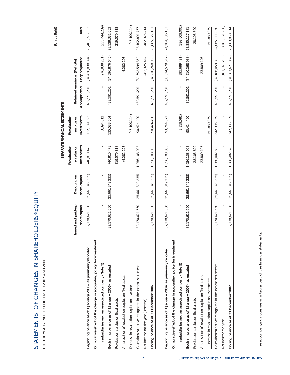| トミー(L                                                                                                         |  |
|---------------------------------------------------------------------------------------------------------------|--|
|                                                                                                               |  |
|                                                                                                               |  |
|                                                                                                               |  |
|                                                                                                               |  |
|                                                                                                               |  |
|                                                                                                               |  |
|                                                                                                               |  |
|                                                                                                               |  |
|                                                                                                               |  |
| I                                                                                                             |  |
|                                                                                                               |  |
|                                                                                                               |  |
|                                                                                                               |  |
|                                                                                                               |  |
| くらしょう こうしょうこく こうこくしょう                                                                                         |  |
|                                                                                                               |  |
|                                                                                                               |  |
|                                                                                                               |  |
| I                                                                                                             |  |
| <b>SINGLY</b><br><b>Service Service</b>                                                                       |  |
|                                                                                                               |  |
|                                                                                                               |  |
| ֧֚֚֚֚֚֚֚֚֚֚֚֚֚֚֚֚֚֚֚֚֚֚֚֚֚֚֚֚֚֡֝֓֡֟֓֡֟֓֡֟֓֡֡֟֓֡֟                                                              |  |
|                                                                                                               |  |
|                                                                                                               |  |
|                                                                                                               |  |
|                                                                                                               |  |
| J                                                                                                             |  |
| i<br>I<br>I<br>I                                                                                              |  |
| ׇ֧֖֖֧֢ׅ֧֧֧ׅ֧֧֧֚֚֚֚֚֚֚֚֚֚֚֓֝֓֓֡֓֝֓֝֬֜֓֝֬֝֓<br>֧֧֧֧֧֧֧֧֧֧֧֧֧֧֧֦֧֦֧֦֧֦֧֦֧֦֧֩֩֩֩֩֩֓֓֝֬֩֩֓֝֬֩֩֓<br>֧֪֧֪֪֪֪֪֪֪֪֪֧֩֩ |  |
|                                                                                                               |  |
|                                                                                                               |  |
| ł                                                                                                             |  |

FOR THE YEARS ENDED 31 DECEMBER 2007 AND 2006 FOR THE YEARS ENDED 31 DECEMBER 2007 AND 2006

(Unit:Baht) **(Unit : Baht)** 

| (34, 420, 038, 394)<br>(395,689,421)<br>(276, 838, 251)<br>(34,696,876,645)<br>(33, 814, 579, 517)<br>(34,692,594,352)<br>(34, 210, 268, 938)<br>(34, 210, 268, 938)<br>(34, 186, 459, 833)<br>(181, 161, 236)<br>23,809,105<br>4,282,293<br>482,325,414<br>Unappropriated<br>Retained earnings (Deficits)<br>Appropriated<br>439,591,201<br>439,591,201<br>439,591,201<br>439,591,201<br>439,591,201<br>439,591,201<br>439,591,201<br>(3,319,581)<br>(45, 109, 114)<br>investments<br>151,880,869<br>242,305,359<br>surplus on<br>132, 139, 592<br>3,394,012<br>90,424,490<br>90,424,490<br>90,424,490<br>135,533,604<br>93,744,071<br>(23,809,105)<br>(4,282,293)<br>fixed assets<br>740,810,478<br>319,579,818<br>28,103,800<br>1,060,402,698<br>surplus on<br>740,810,478<br>1,056,108,003<br>1,056,108,003<br>1,056,108,003<br>1,056,108,003<br>(25,661,349,235)<br>(25, 661, 349, 235)<br>(25, 661, 349, 235)<br>(25, 661, 349, 235)<br>(25, 661, 349, 235)<br>(25, 661, 349, 235)<br>(25, 661, 349, 235)<br>share capital<br>Discount on<br>82,170,621,660<br>82,170,621,660<br>82,170,621,660<br>82,170,621,660<br>82,170,621,660<br>82,170,621,660<br>Issued and paid-up<br>share capital<br>82,170,621,660<br>Cumulative effect of the change in accounting policy for investment<br>Cumulative effect of the change in accounting policy for investment<br>Beginning balance as of 1 January 2006 - as previously reported<br>Beginning balance as of 1 January 2007- as previously reported<br>in subsidiaries and an associated company (Note 5)<br>in subsidiaries and an associated company (Note 5)<br>Gains (losses) not yet recognised in the income statements<br>Gains (losses) not yet recognised in the income statements<br>Beginning balance as of 1 January 2006 - as restated<br>Beginning balance as of 1 January 2007 - as restated<br>Amortisation of revaluation surplus on fixed assets<br>Amortisation of revaluation surplus on fixed assets<br>Increase in revaluation surplus on investments<br>Decrease in revaluation surplus on investments<br>Ending balance as of 31 December 2006<br>Revaluation surplus on fixed assets<br>Revaluation surplus on fixed assets<br>Net income for the year (Restated)<br>Net loss for the year | Total<br>23,402,801,767<br>23,885,127,181<br>23,885,127,181<br>(34, 367, 621, 069)<br>439,591,201<br>242,305,359<br>1,060,402,698<br>(25, 661, 349, 235)<br>82,170,621,660<br>Ending balance as of 31 December 2007 |  | Revaluation | Revaluation |  |                   |
|-------------------------------------------------------------------------------------------------------------------------------------------------------------------------------------------------------------------------------------------------------------------------------------------------------------------------------------------------------------------------------------------------------------------------------------------------------------------------------------------------------------------------------------------------------------------------------------------------------------------------------------------------------------------------------------------------------------------------------------------------------------------------------------------------------------------------------------------------------------------------------------------------------------------------------------------------------------------------------------------------------------------------------------------------------------------------------------------------------------------------------------------------------------------------------------------------------------------------------------------------------------------------------------------------------------------------------------------------------------------------------------------------------------------------------------------------------------------------------------------------------------------------------------------------------------------------------------------------------------------------------------------------------------------------------------------------------------------------------------------------------------------------------------------------------------------------------------------------------------------------------------------------------------------------------------------------------------------------------------------------------------------------------------------------------------------------------------------------------------------------------------------------------------------------------------------------------------------------------------------------------------------------|---------------------------------------------------------------------------------------------------------------------------------------------------------------------------------------------------------------------|--|-------------|-------------|--|-------------------|
|                                                                                                                                                                                                                                                                                                                                                                                                                                                                                                                                                                                                                                                                                                                                                                                                                                                                                                                                                                                                                                                                                                                                                                                                                                                                                                                                                                                                                                                                                                                                                                                                                                                                                                                                                                                                                                                                                                                                                                                                                                                                                                                                                                                                                                                                         |                                                                                                                                                                                                                     |  |             |             |  |                   |
|                                                                                                                                                                                                                                                                                                                                                                                                                                                                                                                                                                                                                                                                                                                                                                                                                                                                                                                                                                                                                                                                                                                                                                                                                                                                                                                                                                                                                                                                                                                                                                                                                                                                                                                                                                                                                                                                                                                                                                                                                                                                                                                                                                                                                                                                         |                                                                                                                                                                                                                     |  |             |             |  |                   |
|                                                                                                                                                                                                                                                                                                                                                                                                                                                                                                                                                                                                                                                                                                                                                                                                                                                                                                                                                                                                                                                                                                                                                                                                                                                                                                                                                                                                                                                                                                                                                                                                                                                                                                                                                                                                                                                                                                                                                                                                                                                                                                                                                                                                                                                                         |                                                                                                                                                                                                                     |  |             |             |  | 23,401,775,302    |
|                                                                                                                                                                                                                                                                                                                                                                                                                                                                                                                                                                                                                                                                                                                                                                                                                                                                                                                                                                                                                                                                                                                                                                                                                                                                                                                                                                                                                                                                                                                                                                                                                                                                                                                                                                                                                                                                                                                                                                                                                                                                                                                                                                                                                                                                         |                                                                                                                                                                                                                     |  |             |             |  |                   |
|                                                                                                                                                                                                                                                                                                                                                                                                                                                                                                                                                                                                                                                                                                                                                                                                                                                                                                                                                                                                                                                                                                                                                                                                                                                                                                                                                                                                                                                                                                                                                                                                                                                                                                                                                                                                                                                                                                                                                                                                                                                                                                                                                                                                                                                                         |                                                                                                                                                                                                                     |  |             |             |  | (273, 444, 239)   |
|                                                                                                                                                                                                                                                                                                                                                                                                                                                                                                                                                                                                                                                                                                                                                                                                                                                                                                                                                                                                                                                                                                                                                                                                                                                                                                                                                                                                                                                                                                                                                                                                                                                                                                                                                                                                                                                                                                                                                                                                                                                                                                                                                                                                                                                                         |                                                                                                                                                                                                                     |  |             |             |  | 23, 128, 331, 063 |
|                                                                                                                                                                                                                                                                                                                                                                                                                                                                                                                                                                                                                                                                                                                                                                                                                                                                                                                                                                                                                                                                                                                                                                                                                                                                                                                                                                                                                                                                                                                                                                                                                                                                                                                                                                                                                                                                                                                                                                                                                                                                                                                                                                                                                                                                         |                                                                                                                                                                                                                     |  |             |             |  | 319,579,818       |
|                                                                                                                                                                                                                                                                                                                                                                                                                                                                                                                                                                                                                                                                                                                                                                                                                                                                                                                                                                                                                                                                                                                                                                                                                                                                                                                                                                                                                                                                                                                                                                                                                                                                                                                                                                                                                                                                                                                                                                                                                                                                                                                                                                                                                                                                         |                                                                                                                                                                                                                     |  |             |             |  |                   |
|                                                                                                                                                                                                                                                                                                                                                                                                                                                                                                                                                                                                                                                                                                                                                                                                                                                                                                                                                                                                                                                                                                                                                                                                                                                                                                                                                                                                                                                                                                                                                                                                                                                                                                                                                                                                                                                                                                                                                                                                                                                                                                                                                                                                                                                                         |                                                                                                                                                                                                                     |  |             |             |  | (45, 109, 114)    |
|                                                                                                                                                                                                                                                                                                                                                                                                                                                                                                                                                                                                                                                                                                                                                                                                                                                                                                                                                                                                                                                                                                                                                                                                                                                                                                                                                                                                                                                                                                                                                                                                                                                                                                                                                                                                                                                                                                                                                                                                                                                                                                                                                                                                                                                                         |                                                                                                                                                                                                                     |  |             |             |  |                   |
|                                                                                                                                                                                                                                                                                                                                                                                                                                                                                                                                                                                                                                                                                                                                                                                                                                                                                                                                                                                                                                                                                                                                                                                                                                                                                                                                                                                                                                                                                                                                                                                                                                                                                                                                                                                                                                                                                                                                                                                                                                                                                                                                                                                                                                                                         |                                                                                                                                                                                                                     |  |             |             |  | 482,325,414       |
|                                                                                                                                                                                                                                                                                                                                                                                                                                                                                                                                                                                                                                                                                                                                                                                                                                                                                                                                                                                                                                                                                                                                                                                                                                                                                                                                                                                                                                                                                                                                                                                                                                                                                                                                                                                                                                                                                                                                                                                                                                                                                                                                                                                                                                                                         |                                                                                                                                                                                                                     |  |             |             |  |                   |
|                                                                                                                                                                                                                                                                                                                                                                                                                                                                                                                                                                                                                                                                                                                                                                                                                                                                                                                                                                                                                                                                                                                                                                                                                                                                                                                                                                                                                                                                                                                                                                                                                                                                                                                                                                                                                                                                                                                                                                                                                                                                                                                                                                                                                                                                         |                                                                                                                                                                                                                     |  |             |             |  | 24, 284, 136, 183 |
|                                                                                                                                                                                                                                                                                                                                                                                                                                                                                                                                                                                                                                                                                                                                                                                                                                                                                                                                                                                                                                                                                                                                                                                                                                                                                                                                                                                                                                                                                                                                                                                                                                                                                                                                                                                                                                                                                                                                                                                                                                                                                                                                                                                                                                                                         |                                                                                                                                                                                                                     |  |             |             |  |                   |
|                                                                                                                                                                                                                                                                                                                                                                                                                                                                                                                                                                                                                                                                                                                                                                                                                                                                                                                                                                                                                                                                                                                                                                                                                                                                                                                                                                                                                                                                                                                                                                                                                                                                                                                                                                                                                                                                                                                                                                                                                                                                                                                                                                                                                                                                         |                                                                                                                                                                                                                     |  |             |             |  | (399,009,002)     |
|                                                                                                                                                                                                                                                                                                                                                                                                                                                                                                                                                                                                                                                                                                                                                                                                                                                                                                                                                                                                                                                                                                                                                                                                                                                                                                                                                                                                                                                                                                                                                                                                                                                                                                                                                                                                                                                                                                                                                                                                                                                                                                                                                                                                                                                                         |                                                                                                                                                                                                                     |  |             |             |  |                   |
|                                                                                                                                                                                                                                                                                                                                                                                                                                                                                                                                                                                                                                                                                                                                                                                                                                                                                                                                                                                                                                                                                                                                                                                                                                                                                                                                                                                                                                                                                                                                                                                                                                                                                                                                                                                                                                                                                                                                                                                                                                                                                                                                                                                                                                                                         |                                                                                                                                                                                                                     |  |             |             |  | 28,103,800        |
|                                                                                                                                                                                                                                                                                                                                                                                                                                                                                                                                                                                                                                                                                                                                                                                                                                                                                                                                                                                                                                                                                                                                                                                                                                                                                                                                                                                                                                                                                                                                                                                                                                                                                                                                                                                                                                                                                                                                                                                                                                                                                                                                                                                                                                                                         |                                                                                                                                                                                                                     |  |             |             |  |                   |
|                                                                                                                                                                                                                                                                                                                                                                                                                                                                                                                                                                                                                                                                                                                                                                                                                                                                                                                                                                                                                                                                                                                                                                                                                                                                                                                                                                                                                                                                                                                                                                                                                                                                                                                                                                                                                                                                                                                                                                                                                                                                                                                                                                                                                                                                         |                                                                                                                                                                                                                     |  |             |             |  | 151,880,869       |
|                                                                                                                                                                                                                                                                                                                                                                                                                                                                                                                                                                                                                                                                                                                                                                                                                                                                                                                                                                                                                                                                                                                                                                                                                                                                                                                                                                                                                                                                                                                                                                                                                                                                                                                                                                                                                                                                                                                                                                                                                                                                                                                                                                                                                                                                         |                                                                                                                                                                                                                     |  |             |             |  | 24,065,111,850    |
|                                                                                                                                                                                                                                                                                                                                                                                                                                                                                                                                                                                                                                                                                                                                                                                                                                                                                                                                                                                                                                                                                                                                                                                                                                                                                                                                                                                                                                                                                                                                                                                                                                                                                                                                                                                                                                                                                                                                                                                                                                                                                                                                                                                                                                                                         |                                                                                                                                                                                                                     |  |             |             |  | (181, 161, 236)   |
|                                                                                                                                                                                                                                                                                                                                                                                                                                                                                                                                                                                                                                                                                                                                                                                                                                                                                                                                                                                                                                                                                                                                                                                                                                                                                                                                                                                                                                                                                                                                                                                                                                                                                                                                                                                                                                                                                                                                                                                                                                                                                                                                                                                                                                                                         |                                                                                                                                                                                                                     |  |             |             |  | 23,883,950,614    |
|                                                                                                                                                                                                                                                                                                                                                                                                                                                                                                                                                                                                                                                                                                                                                                                                                                                                                                                                                                                                                                                                                                                                                                                                                                                                                                                                                                                                                                                                                                                                                                                                                                                                                                                                                                                                                                                                                                                                                                                                                                                                                                                                                                                                                                                                         | The accompanying notes are an integral part of the financial statements.                                                                                                                                            |  |             |             |  |                   |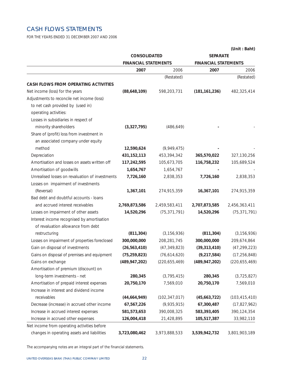## CASH FLOWS STATEMENTS

FOR THE YEARS ENDED 31 DECEMBER 2007 AND 2006

|                                                 |                                             |                 |                             | (Unit: Baht)    |
|-------------------------------------------------|---------------------------------------------|-----------------|-----------------------------|-----------------|
|                                                 | CONSOLIDATED<br><b>FINANCIAL STATEMENTS</b> |                 | <b>SEPARATE</b>             |                 |
|                                                 |                                             |                 | <b>FINANCIAL STATEMENTS</b> |                 |
|                                                 | 2007                                        | 2006            | 2007                        | 2006            |
|                                                 |                                             | (Restated)      |                             | (Restated)      |
| CASH FLOWS FROM OPERATING ACTIVITIES            |                                             |                 |                             |                 |
| Net income (loss) for the years                 | (88,648,109)                                | 598,203,731     | (181, 161, 236)             | 482,325,414     |
| Adjustments to reconcile net income (loss)      |                                             |                 |                             |                 |
| to net cash provided by (used in)               |                                             |                 |                             |                 |
| operating activities:                           |                                             |                 |                             |                 |
| Losses in subsidiaries in respect of            |                                             |                 |                             |                 |
| minority shareholders                           | (3,327,795)                                 | (486, 649)      |                             |                 |
| Share of (profit) loss from investment in       |                                             |                 |                             |                 |
| an associated company under equity              |                                             |                 |                             |                 |
| method                                          | 12,590,624                                  | (9,949,475)     |                             |                 |
| Depreciation                                    | 431, 152, 113                               | 453,394,342     | 365,570,022                 | 327,130,256     |
| Amortisation and losses on assets written off   | 117,242,595                                 | 105,673,705     | 116,758,232                 | 105,689,524     |
| Amortisation of goodwills                       | 1,654,767                                   | 1,654,767       |                             |                 |
| Unrealised losses on revaluation of investments | 7,726,160                                   | 2,838,353       | 7,726,160                   | 2,838,353       |
| Losses on impairment of investments             |                                             |                 |                             |                 |
| (Reversal)                                      | 1,367,101                                   | 274,915,359     | 16,367,101                  | 274,915,359     |
| Bad debt and doubtful accounts - loans          |                                             |                 |                             |                 |
| and accrued interest receivables                | 2,769,873,586                               | 2,459,583,411   | 2,707,873,585               | 2,456,363,411   |
| Losses on impairment of other assets            | 14,520,296                                  | (75, 371, 791)  | 14,520,296                  | (75, 371, 791)  |
| Interest income recognised by amortisation      |                                             |                 |                             |                 |
| of revaluation allowance from debt              |                                             |                 |                             |                 |
| restructuring                                   | (811, 304)                                  | (3, 156, 936)   | (811, 304)                  | (3, 156, 936)   |
| Losses on impairment of properties foreclosed   | 300,000,000                                 | 208,281,745     | 300,000,000                 | 209,674,864     |
| Gain on disposal of investments                 | (26, 563, 410)                              | (47, 349, 823)  | (39, 313, 410)              | (47, 299, 223)  |
| Gains on disposal of premises and equipment     | (75, 259, 823)                              | (76, 614, 620)  | (9, 217, 584)               | (17, 256, 848)  |
| Gains on exchange                               | (489, 947, 202)                             | (220, 655, 469) | (489, 947, 202)             | (220, 655, 469) |
| Amortisation of premium (discount) on           |                                             |                 |                             |                 |
| long-term investments - net                     | 280,345                                     | (3, 795, 415)   | 280,345                     | (3,725,827)     |
| Amortisation of prepaid interest expenses       | 20,750,170                                  | 7,569,010       | 20,750,170                  | 7,569,010       |
| Increase in interest and dividend income        |                                             |                 |                             |                 |
| receivables                                     | (44, 664, 949)                              | (102, 347, 017) | (45,663,722)                | (103, 415, 410) |
| Decrease (increase) in accrued other income     | 67,567,226                                  | (9,935,915)     | 67,300,487                  | (17, 827, 962)  |
| Increase in accrued interest expenses           | 581,573,653                                 | 390,008,325     | 583,393,405                 | 390,124,354     |
| Increase in accrued other expenses              | 126,004,418                                 | 21,428,895      | 105,517,387                 | 33,982,110      |
| Net income from operating activities before     |                                             |                 |                             |                 |
| changes in operating assets and liabilities     | 3,723,080,462                               | 3,973,888,533   | 3,539,942,732               | 3,801,903,189   |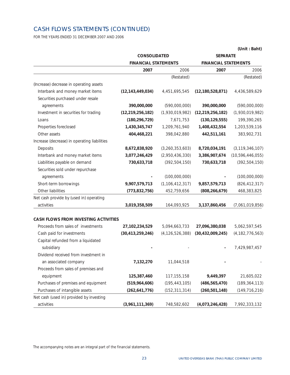## CASH FLOWS STATEMENTS (CONTINUED)

FOR THE YEARS ENDED 31 DECEMBER 2007 AND 2006

|                                              |                                             |                    |                             | (Unit: Baht)        |
|----------------------------------------------|---------------------------------------------|--------------------|-----------------------------|---------------------|
|                                              | CONSOLIDATED<br><b>FINANCIAL STATEMENTS</b> |                    | <b>SEPARATE</b>             |                     |
|                                              |                                             |                    | <b>FINANCIAL STATEMENTS</b> |                     |
|                                              | 2007                                        | 2006               | 2007                        | 2006                |
|                                              |                                             | (Restated)         |                             | (Restated)          |
| (Increase) decrease in operating assets      |                                             |                    |                             |                     |
| Interbank and money market items             | (12, 143, 449, 034)                         | 4,451,695,545      | (12, 180, 528, 871)         | 4,436,589,629       |
| Securities purchased under resale            |                                             |                    |                             |                     |
| agreements                                   | 390,000,000                                 | (590,000,000)      | 390,000,000                 | (590,000,000)       |
| Investment in securities for trading         | (12, 219, 256, 182)                         | (1,930,019,982)    | (12, 219, 256, 182)         | (1,930,019,982)     |
| Loans                                        | (180, 296, 729)                             | 7,671,753          | (130, 129, 555)             | 199,390,265         |
| Properties foreclosed                        | 1,430,345,747                               | 1,209,761,940      | 1,408,432,554               | 1,203,539,116       |
| Other assets                                 | 404,468,221                                 | 398,042,880        | 442,511,161                 | 383,902,731         |
| Increase (decrease) in operating liabilities |                                             |                    |                             |                     |
| Deposits                                     | 8,672,838,920                               | (3,260,353,603)    | 8,720,034,191               | (3, 119, 346, 107)  |
| Interbank and money market items             | 3,077,246,429                               | (2,950,436,330)    | 3,386,907,674               | (10, 596, 446, 055) |
| Liabilities payable on demand                | 730,633,718                                 | (392, 504, 150)    | 730,633,718                 | (392, 504, 150)     |
| Securities sold under repurchase             |                                             |                    |                             |                     |
| agreements                                   |                                             | (100,000,000)      |                             | (100,000,000)       |
| Short-term borrowings                        | 9,907,579,713                               | (1, 106, 412, 317) | 9,857,579,713               | (826, 412, 317)     |
| Other liabilities                            | (773, 832, 756)                             | 452,759,656        | (808, 266, 679)             | 468,383,825         |
| Net cash provide by (used in) operating      |                                             |                    |                             |                     |
| activities                                   | 3,019,358,509                               | 164,093,925        | 3,137,860,456               | (7,061,019,856)     |
| <b>CASH FLOWS FROM INVESTING ACTIVITIES</b>  |                                             |                    |                             |                     |
| Proceeds from sales of investments           | 27,102,234,529                              | 5,094,663,733      | 27,096,380,038              | 5,062,597,545       |
| Cash paid for investments                    | (30, 413, 259, 246)                         | (4, 126, 526, 388) | (30, 432, 009, 245)         | (4, 182, 776, 563)  |
| Capital refunded from a liquidated           |                                             |                    |                             |                     |
| subsidiary                                   |                                             |                    |                             | 7,429,987,457       |
| Dividend received from investment in         |                                             |                    |                             |                     |
| an associated company                        | 7,132,270                                   | 11,044,518         |                             |                     |
| Proceeds from sales of premises and          |                                             |                    |                             |                     |
| equipment                                    | 125,387,460                                 | 117, 155, 158      | 9,449,397                   | 21,605,022          |
| Purchases of premises and equipment          | (519, 964, 606)                             | (195, 443, 105)    | (486, 565, 470)             | (189, 364, 113)     |
| Purchases of intangible assets               | (262, 641, 776)                             | (152, 311, 314)    | (260, 501, 148)             | (149, 716, 216)     |
| Net cash (used in) provided by investing     |                                             |                    |                             |                     |
| activities                                   | (3,961,111,369)                             | 748,582,602        | (4,073,246,428)             | 7,992,333,132       |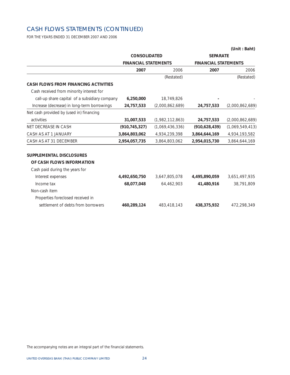## CASH FLOWS STATEMENTS (CONTINUED)

FOR THE YEARS ENDED 31 DECEMBER 2007 AND 2006

|                                               | <b>CONSOLIDATED</b>         |                 | <b>SEPARATE</b>             |                 |
|-----------------------------------------------|-----------------------------|-----------------|-----------------------------|-----------------|
|                                               | <b>FINANCIAL STATEMENTS</b> |                 | <b>FINANCIAL STATEMENTS</b> |                 |
|                                               | 2007                        | 2006            | 2007                        | 2006            |
|                                               |                             | (Restated)      |                             | (Restated)      |
| <b>CASH FLOWS FROM FINANCING ACTIVITIES</b>   |                             |                 |                             |                 |
| Cash received from minority interest for      |                             |                 |                             |                 |
| call-up share capital of a subsidiary company | 6,250,000                   | 18,749,826      |                             |                 |
| Increase (decrease) in long-term borrowings   | 24,757,533                  | (2,000,862,689) | 24,757,533                  | (2,000,862,689) |
| Net cash provided by (used in) financing      |                             |                 |                             |                 |
| activities                                    | 31,007,533                  | (1,982,112,863) | 24,757,533                  | (2,000,862,689) |
| NET DECREASE IN CASH                          | (910, 745, 327)             | (1,069,436,336) | (910, 628, 439)             | (1,069,549,413) |
| CASH AS AT 1 JANUARY                          | 3,864,803,062               | 4,934,239,398   | 3,864,644,169               | 4,934,193,582   |
| CASH AS AT 31 DECEMBER                        | 2,954,057,735               | 3,864,803,062   | 2,954,015,730               | 3,864,644,169   |
| <b>SUPPLEMENTAL DISCLOSURES</b>               |                             |                 |                             |                 |
| OF CASH FLOWS INFORMATION                     |                             |                 |                             |                 |
| Cash paid during the years for                |                             |                 |                             |                 |
| Interest expenses                             | 4,492,650,750               | 3,647,805,078   | 4,495,890,059               | 3,651,497,935   |
| Income tax                                    | 68,077,048                  | 64,462,903      | 41,480,916                  | 38,791,809      |
| Non-cash item                                 |                             |                 |                             |                 |
| Properties foreclosed received in             |                             |                 |                             |                 |
| settlement of debts from borrowers            | 460,289,124                 | 483,418,143     | 438,375,932                 | 472,298,349     |

**(Unit : Baht)**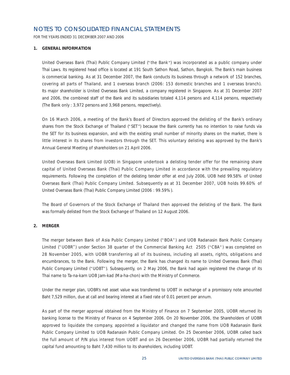### NOTES TO CONSOLIDATED FINANCIAL STATEMENTS

FOR THE YEARS ENDED 31 DECEMBER 2007 AND 2006

#### **1. GENERAL INFORMATION**

United Overseas Bank (Thai) Public Company Limited ("the Bank") was incorporated as a public company under Thai Laws. Its registered head office is located at 191 South Sathon Road, Sathon, Bangkok. The Bank's main business is commercial banking. As at 31 December 2007, the Bank conducts its business through a network of 152 branches, covering all parts of Thailand, and 1 overseas branch (2006: 153 domestic branches and 1 overseas branch). Its major shareholder is United Overseas Bank Limited, a company registered in Singapore. As at 31 December 2007 and 2006, the combined staff of the Bank and its subsidiaries totaled 4,114 persons and 4,114 persons, respectively (The Bank only : 3,972 persons and 3,968 persons, respectively).

On 16 March 2006, a meeting of the Bank's Board of Directors approved the delisting of the Bank's ordinary shares from the Stock Exchange of Thailand ("SET") because the Bank currently has no intention to raise funds via the SET for its business expansion, and with the existing small number of minority shares on the market, there is little interest in its shares from investors through the SET. This voluntary delisting was approved by the Bank's Annual General Meeting of shareholders on 21 April 2006.

United Overseas Bank Limited (UOB) in Singapore undertook a delisting tender offer for the remaining share capital of United Overseas Bank (Thai) Public Company Limited in accordance with the prevailing regulatory requirements. Following the completion of the delisting tender offer at end July 2006, UOB held 99.58% of United Overseas Bank (Thai) Public Company Limited. Subsequently as at 31 December 2007, UOB holds 99.60% of United Overseas Bank (Thai) Public Company Limited (2006 : 99.59%).

The Board of Governors of the Stock Exchange of Thailand then approved the delisting of the Bank. The Bank was formally delisted from the Stock Exchange of Thailand on 12 August 2006.

#### **2. MERGER**

The merger between Bank of Asia Public Company Limited ("BOA") and UOB Radanasin Bank Public Company Limited ("UOBR") under Section 38 quarter of the Commercial Banking Act 2505 ("CBA") was completed on 28 November 2005, with UOBR transferring all of its business, including all assets, rights, obligations and encumbrances, to the Bank. Following the merger, the Bank has changed its name to United Overseas Bank (Thai) Public Company Limited ("UOBT"). Subsequently, on 2 May 2006, the Bank had again registered the change of its Thai name to Ta-na-karn UOB Jam-kad (Ma-ha-chon) with the Ministry of Commerce.

Under the merger plan, UOBR's net asset value was transferred to UOBT in exchange of a promissory note amounted Baht 7,529 million, due at call and bearing interest at a fixed rate of 0.01 percent per annum.

As part of the merger approval obtained from the Ministry of Finance on 7 September 2005, UOBR returned its banking license to the Ministry of Finance on 4 September 2006. On 20 November 2006, the Shareholders of UOBR approved to liquidate the company, appointed a liquidator and changed the name from UOB Radanasin Bank Public Company Limited to UOB Radanasin Public Company Limited. On 25 December 2006, UOBR called back the full amount of P/N plus interest from UOBT and on 26 December 2006, UOBR had partially returned the capital fund amounting to Baht 7,430 million to its shareholders, including UOBT.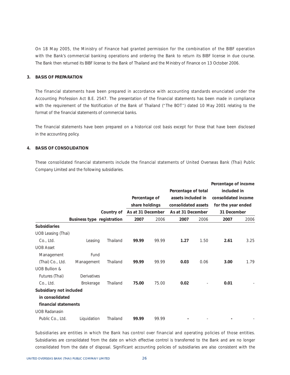On 18 May 2005, the Ministry of Finance had granted permission for the combination of the BIBF operation with the Bank's commercial banking operations and ordering the Bank to return its BIBF license in due course. The Bank then returned its BIBF license to the Bank of Thailand and the Ministry of Finance on 13 October 2006.

#### **3. BASIS OF PREPARATION**

The financial statements have been prepared in accordance with accounting standards enunciated under the Accounting Profession Act B.E. 2547. The presentation of the financial statements has been made in compliance with the requirement of the Notification of the Bank of Thailand ("The BOT") dated 10 May 2001 relating to the format of the financial statements of commercial banks.

The financial statements have been prepared on a historical cost basis except for those that have been disclosed in the accounting policy.

#### **4. BASIS OF CONSOLIDATION**

These consolidated financial statements include the financial statements of United Overseas Bank (Thai) Public Company Limited and the following subsidiaries.

|                           |                            |            |                   |       |                     |      | Percentage of income |      |
|---------------------------|----------------------------|------------|-------------------|-------|---------------------|------|----------------------|------|
|                           |                            |            |                   |       | Percentage of total |      | included in          |      |
|                           |                            |            | Percentage of     |       | assets included in  |      | consolidated income  |      |
|                           |                            |            | share holdings    |       | consolidated assets |      | for the year ended   |      |
|                           |                            | Country of | As at 31 December |       | As at 31 December   |      | 31 December          |      |
|                           | Business type registration |            | 2007              | 2006  | 2007                | 2006 | 2007                 | 2006 |
| <b>Subsidiaries</b>       |                            |            |                   |       |                     |      |                      |      |
| <b>UOB Leasing (Thai)</b> |                            |            |                   |       |                     |      |                      |      |
| Co., Ltd.                 | Leasing                    | Thailand   | 99.99             | 99.99 | 1.27                | 1.50 | 2.61                 | 3.25 |
| <b>UOB Asset</b>          |                            |            |                   |       |                     |      |                      |      |
| Management                | Fund                       |            |                   |       |                     |      |                      |      |
| (Thai) Co., Ltd.          | Management                 | Thailand   | 99.99             | 99.99 | 0.03                | 0.06 | 3.00                 | 1.79 |
| <b>UOB Bullion &amp;</b>  |                            |            |                   |       |                     |      |                      |      |
| Futures (Thai)            | Derivatives                |            |                   |       |                     |      |                      |      |
| Co., Ltd.                 | <b>Brokerage</b>           | Thailand   | 75.00             | 75.00 | 0.02                |      | 0.01                 |      |
| Subsidiary not included   |                            |            |                   |       |                     |      |                      |      |
| in consolidated           |                            |            |                   |       |                     |      |                      |      |
| financial statements      |                            |            |                   |       |                     |      |                      |      |
| <b>UOB Radanasin</b>      |                            |            |                   |       |                     |      |                      |      |
| Public Co., Ltd.          | Liquidation                | Thailand   | 99.99             | 99.99 |                     |      |                      |      |

Subsidiaries are entities in which the Bank has control over financial and operating policies of those entities. Subsidiaries are consolidated from the date on which effective control is transferred to the Bank and are no longer consolidated from the date of disposal. Significant accounting policies of subsidiaries are also consistent with the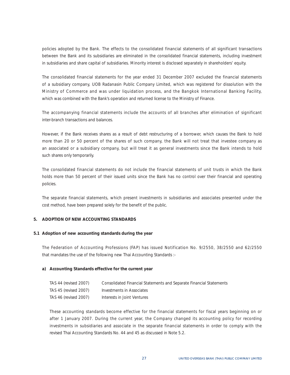policies adopted by the Bank. The effects to the consolidated financial statements of all significant transactions between the Bank and its subsidiaries are eliminated in the consolidated financial statements, including investment in subsidiaries and share capital of subsidiaries. Minority interest is disclosed separately in shareholders' equity.

The consolidated financial statements for the year ended 31 December 2007 excluded the financial statements of a subsidiary company, UOB Radanasin Public Company Limited, which was registered for dissolution with the Ministry of Commerce and was under liquidation process, and the Bangkok International Banking Facility, which was combined with the Bank's operation and returned license to the Ministry of Finance.

The accompanying financial statements include the accounts of all branches after elimination of significant inter-branch transactions and balances.

However, if the Bank receives shares as a result of debt restructuring of a borrower, which causes the Bank to hold more than 20 or 50 percent of the shares of such company, the Bank will not treat that investee company as an associated or a subsidiary company, but will treat it as general investments since the Bank intends to hold such shares only temporarily.

The consolidated financial statements do not include the financial statements of unit trusts in which the Bank holds more than 50 percent of their issued units since the Bank has no control over their financial and operating policies.

The separate financial statements, which present investments in subsidiaries and associates presented under the cost method, have been prepared solely for the benefit of the public.

#### **5. ADOPTION OF NEW ACCOUNTING STANDARDS**

#### **5.1 Adoption of new accounting standards during the year**

The Federation of Accounting Professions (FAP) has issued Notification No. 9/2550, 38/2550 and 62/2550 that mandates the use of the following new Thai Accounting Standards :-

#### **a) Accounting Standards effective for the current year**

| TAS 44 (revised 2007) | Consolidated Financial Statements and Separate Financial Statements |
|-----------------------|---------------------------------------------------------------------|
| TAS 45 (revised 2007) | Investments in Associates                                           |
| TAS 46 (revised 2007) | Interests in Joint Ventures                                         |

These accounting standards become effective for the financial statements for fiscal years beginning on or after 1 January 2007. During the current year, the Company changed its accounting policy for recording investments in subsidiaries and associate in the separate financial statements in order to comply with the revised Thai Accounting Standards No. 44 and 45 as discussed in Note 5.2.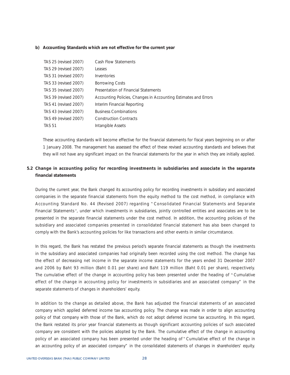#### **b) Accounting Standards which are not effective for the current year**

| TAS 25 (revised 2007) | Cash Flow Statements                                            |
|-----------------------|-----------------------------------------------------------------|
| TAS 29 (revised 2007) | Leases                                                          |
| TAS 31 (revised 2007) | Inventories                                                     |
| TAS 33 (revised 2007) | <b>Borrowing Costs</b>                                          |
| TAS 35 (revised 2007) | Presentation of Financial Statements                            |
| TAS 39 (revised 2007) | Accounting Policies, Changes in Accounting Estimates and Errors |
| TAS 41 (revised 2007) | Interim Financial Reporting                                     |
| TAS 43 (revised 2007) | <b>Business Combinations</b>                                    |
| TAS 49 (revised 2007) | <b>Construction Contracts</b>                                   |
| <b>TAS 51</b>         | Intangible Assets                                               |

These accounting standards will become effective for the financial statements for fiscal years beginning on or after 1 January 2008. The management has assessed the effect of these revised accounting standards and believes that they will not have any significant impact on the financial statements for the year in which they are initially applied.

#### **5.2 Change in accounting policy for recording investments in subsidiaries and associate in the separate financial statements**

During the current year, the Bank changed its accounting policy for recording investments in subsidiary and associated companies in the separate financial statements from the equity method to the cost method, in compliance with Accounting Standard No. 44 (Revised 2007) regarding "Consolidated Financial Statements and Separate Financial Statements", under which investments in subsidiaries, jointly controlled entities and associates are to be presented in the separate financial statements under the cost method. In addition, the accounting policies of the subsidiary and associated companies presented in consolidated financial statement has also been changed to comply with the Bank's accounting policies for like transactions and other events in similar circumstance.

In this regard, the Bank has restated the previous period's separate financial statements as though the investments in the subsidiary and associated companies had originally been recorded using the cost method. The change has the effect of decreasing net income in the separate income statements for the years ended 31 December 2007 and 2006 by Baht 93 million (Baht 0.01 per share) and Baht 119 million (Baht 0.01 per share), respectively. The cumulative effect of the change in accounting policy has been presented under the heading of "Cumulative effect of the change in accounting policy for investments in subsidiaries and an associated company" in the separate statements of changes in shareholders' equity.

In addition to the change as detailed above, the Bank has adjusted the financial statements of an associated company which applied deferred income tax accounting policy. The change was made in order to align accounting policy of that company with those of the Bank, which do not adopt deferred income tax accounting. In this regard, the Bank restated its prior year financial statements as though significant accounting policies of such associated company are consistent with the policies adopted by the Bank. The cumulative effect of the change in accounting policy of an associated company has been presented under the heading of "Cumulative effect of the change in an accounting policy of an associated company" in the consolidated statements of changes in shareholders' equity.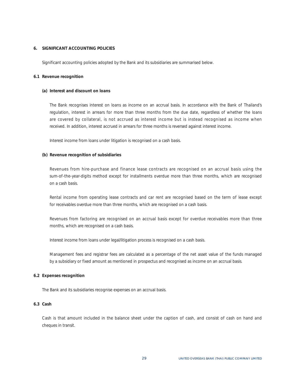#### **6. SIGNIFICANT ACCOUNTING POLICIES**

Significant accounting policies adopted by the Bank and its subsidiaries are summarised below.

#### **6.1 Revenue recognition**

#### **(a) Interest and discount on loans**

The Bank recognises interest on loans as income on an accrual basis. In accordance with the Bank of Thailand's regulation, interest in arrears for more than three months from the due date, regardless of whether the loans are covered by collateral, is not accrued as interest income but is instead recognised as income when received. In addition, interest accrued in arrears for three months is reversed against interest income.

Interest income from loans under litigation is recognised on a cash basis.

#### **(b) Revenue recognition of subsidiaries**

Revenues from hire-purchase and finance lease contracts are recognised on an accrual basis using the sum-of-the-year-digits method except for installments overdue more than three months, which are recognised on a cash basis.

Rental income from operating lease contracts and car rent are recognised based on the term of lease except for receivables overdue more than three months, which are recognised on a cash basis.

Revenues from factoring are recognised on an accrual basis except for overdue receivables more than three months, which are recognised on a cash basis.

Interest income from loans under legal/litigation process is recognised on a cash basis.

Management fees and registrar fees are calculated as a percentage of the net asset value of the funds managed by a subsidiary or fixed amount as mentioned in prospectus and recognised as income on an accrual basis.

#### **6.2 Expenses recognition**

The Bank and its subsidiaries recognise expenses on an accrual basis.

#### **6.3 Cash**

Cash is that amount included in the balance sheet under the caption of cash, and consist of cash on hand and cheques in transit.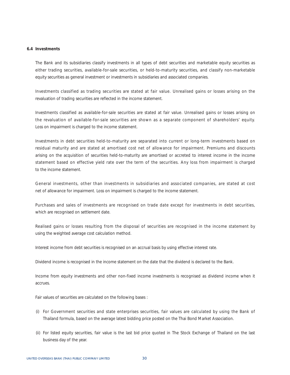#### **6.4 Investments**

The Bank and its subsidiaries classify investments in all types of debt securities and marketable equity securities as either trading securities, available-for-sale securities, or held-to-maturity securities, and classify non-marketable equity securities as general investment or investments in subsidiaries and associated companies.

Investments classified as trading securities are stated at fair value. Unrealised gains or losses arising on the revaluation of trading securities are reflected in the income statement.

Investments classified as available-for-sale securities are stated at fair value. Unrealised gains or losses arising on the revaluation of available-for-sale securities are shown as a separate component of shareholders' equity. Loss on impairment is charged to the income statement.

Investments in debt securities held-to-maturity are separated into current or long-term investments based on residual maturity and are stated at amortised cost net of allowance for impairment. Premiums and discounts arising on the acquisition of securities held-to-maturity are amortised or accreted to interest income in the income statement based on effective yield rate over the term of the securities. Any loss from impairment is charged to the income statement.

General investments, other than investments in subsidiaries and associated companies, are stated at cost net of allowance for impairment. Loss on impairment is charged to the income statement.

Purchases and sales of investments are recognised on trade date except for investments in debt securities, which are recognised on settlement date.

Realised gains or losses resulting from the disposal of securities are recognised in the income statement by using the weighted average cost calculation method.

Interest income from debt securities is recognised on an accrual basis by using effective interest rate.

Dividend income is recognised in the income statement on the date that the dividend is declared to the Bank.

Income from equity investments and other non-fixed income investments is recognised as dividend income when it accrues.

Fair values of securities are calculated on the following bases :

- (i) For Government securities and state enterprises securities, fair values are calculated by using the Bank of Thailand formula, based on the average latest bidding price posted on the Thai Bond Market Association.
- (ii) For listed equity securities, fair value is the last bid price quoted in The Stock Exchange of Thailand on the last business day of the year.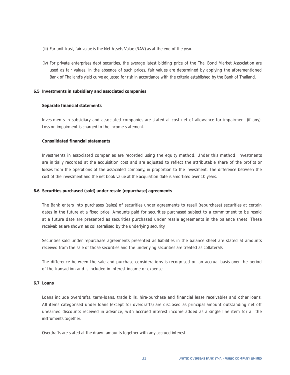- (iii) For unit trust, fair value is the Net Assets Value (NAV) as at the end of the year.
- (iv) For private enterprises debt securities, the average latest bidding price of the Thai Bond Market Association are used as fair values. In the absence of such prices, fair values are determined by applying the aforementioned Bank of Thailand's yield curve adjusted for risk in accordance with the criteria established by the Bank of Thailand.

#### **6.5 Investments in subsidiary and associated companies**

#### **Separate financial statements**

Investments in subsidiary and associated companies are stated at cost net of allowance for impairment (if any). Loss on impairment is charged to the income statement.

#### **Consolidated financial statements**

Investments in associated companies are recorded using the equity method. Under this method, investments are initially recorded at the acquisition cost and are adjusted to reflect the attributable share of the profits or losses from the operations of the associated company, in proportion to the investment. The difference between the cost of the investment and the net book value at the acquisition date is amortised over 10 years.

#### **6.6 Securities purchased (sold) under resale (repurchase) agreements**

The Bank enters into purchases (sales) of securities under agreements to resell (repurchase) securities at certain dates in the future at a fixed price. Amounts paid for securities purchased subject to a commitment to be resold at a future date are presented as securities purchased under resale agreements in the balance sheet. These receivables are shown as collateralised by the underlying security.

Securities sold under repurchase agreements presented as liabilities in the balance sheet are stated at amounts received from the sale of those securities and the underlying securities are treated as collaterals.

The difference between the sale and purchase considerations is recognised on an accrual basis over the period of the transaction and is included in interest income or expense.

#### **6.7 Loans**

Loans include overdrafts, term-loans, trade bills, hire-purchase and financial lease receivables and other loans. All items categorised under loans (except for overdrafts) are disclosed as principal amount outstanding net off unearned discounts received in advance, with accrued interest income added as a single line item for all the instruments together.

Overdrafts are stated at the drawn amounts together with any accrued interest.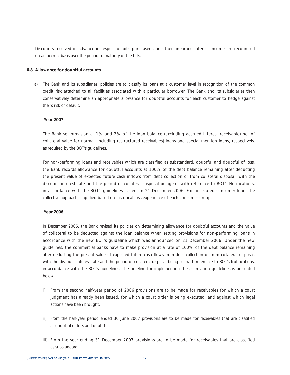Discounts received in advance in respect of bills purchased and other unearned interest income are recognised on an accrual basis over the period to maturity of the bills.

#### **6.8 Allowance for doubtful accounts**

a) The Bank and its subsidiaries' policies are to classify its loans at a customer level in recognition of the common credit risk attached to all facilities associated with a particular borrower. The Bank and its subsidiaries then conservatively determine an appropriate allowance for doubtful accounts for each customer to hedge against theirs risk of default.

#### **Year 2007**

 The Bank set provision at 1% and 2% of the loan balance (excluding accrued interest receivable) net of collateral value for normal (including restructured receivables) loans and special mention loans, respectively, as required by the BOT's guidelines.

 For non-performing loans and receivables which are classified as substandard, doubtful and doubtful of loss, the Bank records allowance for doubtful accounts at 100% of the debt balance remaining after deducting the present value of expected future cash inflows from debt collection or from collateral disposal, with the discount interest rate and the period of collateral disposal being set with reference to BOT's Notifications, in accordance with the BOT's guidelines issued on 21 December 2006. For unsecured consumer loan, the collective approach is applied based on historical loss experience of each consumer group.

#### **Year 2006**

 In December 2006, the Bank revised its policies on determining allowance for doubtful accounts and the value of collateral to be deducted against the loan balance when setting provisions for non-performing loans in accordance with the new BOT's guideline which was announced on 21 December 2006. Under the new guidelines, the commercial banks have to make provision at a rate of 100% of the debt balance remaining after deducting the present value of expected future cash flows from debt collection or from collateral disposal, with the discount interest rate and the period of collateral disposal being set with reference to BOT's Notifications, in accordance with the BOT's guidelines. The timeline for implementing these provision guidelines is presented below.

- i) From the second half-year period of 2006 provisions are to be made for receivables for which a court judgment has already been issued, for which a court order is being executed, and against which legal actions have been brought.
- ii) From the half-year period ended 30 June 2007 provisions are to be made for receivables that are classified as doubtful of loss and doubtful.
- iii) From the year ending 31 December 2007 provisions are to be made for receivables that are classified as substandard.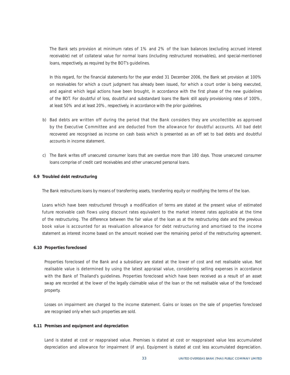The Bank sets provision at minimum rates of 1% and 2% of the loan balances (excluding accrued interest receivable) net of collateral value for normal loans (including restructured receivables), and special-mentioned loans, respectively, as required by the BOT's guidelines.

 In this regard, for the financial statements for the year ended 31 December 2006, the Bank set provision at 100% on receivables for which a court judgment has already been issued, for which a court order is being executed, and against which legal actions have been brought, in accordance with the first phase of the new guidelines of the BOT. For doubtful of loss, doubtful and substandard loans the Bank still apply provisioning rates of 100%, at least 50% and at least 20%, respectively, in accordance with the prior guidelines.

- b) Bad debts are written off during the period that the Bank considers they are uncollectible as approved by the Executive Committee and are deducted from the allowance for doubtful accounts. All bad debt recovered are recognised as income on cash basis which is presented as an off set to bad debts and doubtful accounts in income statement.
- c) The Bank writes off unsecured consumer loans that are overdue more than 180 days. Those unsecured consumer loans comprise of credit card receivables and other unsecured personal loans.

#### **6.9 Troubled debt restructuring**

The Bank restructures loans by means of transferring assets, transferring equity or modifying the terms of the loan.

Loans which have been restructured through a modification of terms are stated at the present value of estimated future receivable cash flows using discount rates equivalent to the market interest rates applicable at the time of the restructuring. The difference between the fair value of the loan as at the restructuring date and the previous book value is accounted for as revaluation allowance for debt restructuring and amortised to the income statement as interest income based on the amount received over the remaining period of the restructuring agreement.

#### **6.10 Properties foreclosed**

Properties foreclosed of the Bank and a subsidiary are stated at the lower of cost and net realisable value. Net realisable value is determined by using the latest appraisal value, considering selling expenses in accordance with the Bank of Thailand's guidelines. Properties foreclosed which have been received as a result of an asset swap are recorded at the lower of the legally claimable value of the loan or the net realisable value of the foreclosed property.

Losses on impairment are charged to the income statement. Gains or losses on the sale of properties foreclosed are recognised only when such properties are sold.

#### **6.11 Premises and equipment and depreciation**

Land is stated at cost or reappraised value. Premises is stated at cost or reappraised value less accumulated depreciation and allowance for impairment (if any). Equipment is stated at cost less accumulated depreciation.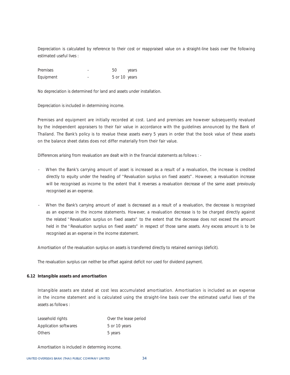Depreciation is calculated by reference to their cost or reappraised value on a straight-line basis over the following estimated useful lives :

| Premises  | 50            | years |
|-----------|---------------|-------|
| Equipment | 5 or 10 years |       |

No depreciation is determined for land and assets under installation.

Depreciation is included in determining income.

Premises and equipment are initially recorded at cost. Land and premises are however subsequently revalued by the independent appraisers to their fair value in accordance with the guidelines announced by the Bank of Thailand. The Bank's policy is to revalue these assets every 5 years in order that the book value of these assets on the balance sheet dates does not differ materially from their fair value.

Differences arising from revaluation are dealt with in the financial statements as follows : -

- When the Bank's carrying amount of asset is increased as a result of a revaluation, the increase is credited directly to equity under the heading of "Revaluation surplus on fixed assets". However, a revaluation increase will be recognised as income to the extent that it reverses a revaluation decrease of the same asset previously recognised as an expense.
- When the Bank's carrying amount of asset is decreased as a result of a revaluation, the decrease is recognised as an expense in the income statements. However, a revaluation decrease is to be charged directly against the related "Revaluation surplus on fixed assets" to the extent that the decrease does not exceed the amount held in the "Revaluation surplus on fixed assets" in respect of those same assets. Any excess amount is to be recognised as an expense in the income statement.

Amortisation of the revaluation surplus on assets is transferred directly to retained earnings (deficit).

The revaluation surplus can neither be offset against deficit nor used for dividend payment.

#### **6.12 Intangible assets and amortisation**

Intangible assets are stated at cost less accumulated amortisation. Amortisation is included as an expense in the income statement and is calculated using the straight-line basis over the estimated useful lives of the assets as follows :

| Leasehold rights      | Over the lease period |
|-----------------------|-----------------------|
| Application softwares | 5 or 10 years         |
| <b>Others</b>         | 5 years               |

Amortisation is included in determing income.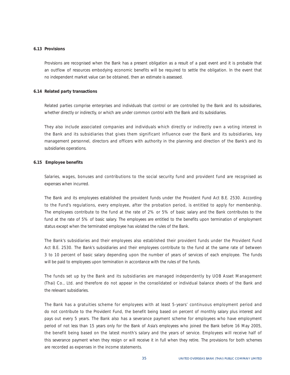#### **6.13 Provisions**

Provisions are recognised when the Bank has a present obligation as a result of a past event and it is probable that an outflow of resources embodying economic benefits will be required to settle the obligation. In the event that no independent market value can be obtained, then an estimate is assessed.

#### **6.14 Related party transactions**

Related parties comprise enterprises and individuals that control or are controlled by the Bank and its subsidiaries, whether directly or indirectly, or which are under common control with the Bank and its subsidiaries.

They also include associated companies and individuals which directly or indirectly own a voting interest in the Bank and its subsidiaries that gives them significant influence over the Bank and its subsidiaries, key management personnel, directors and officers with authority in the planning and direction of the Bank's and its subsidiaries operations.

#### **6.15 Employee benefits**

Salaries, wages, bonuses and contributions to the social security fund and provident fund are recognised as expenses when incurred.

The Bank and its employees established the provident funds under the Provident Fund Act B.E. 2530. According to the Fund's regulations, every employee, after the probation period, is entitled to apply for membership. The employees contribute to the fund at the rate of 2% or 5% of basic salary and the Bank contributes to the fund at the rate of 5% of basic salary. The employees are entitled to the benefits upon termination of employment status except when the terminated employee has violated the rules of the Bank.

The Bank's subsidiaries and their employees also established their provident funds under the Provident Fund Act B.E. 2530. The Bank's subsidiaries and their employees contribute to the fund at the same rate of between 3 to 10 percent of basic salary depending upon the number of years of services of each employee. The funds will be paid to employees upon termination in accordance with the rules of the funds.

The funds set up by the Bank and its subsidiaries are managed independently by UOB Asset Management (Thai) Co., Ltd. and therefore do not appear in the consolidated or individual balance sheets of the Bank and the relevant subsidiaries.

The Bank has a gratuities scheme for employees with at least 5-years' continuous employment period and do not contribute to the Provident Fund, the benefit being based on percent of monthly salary plus interest and pays out every 5 years. The Bank also has a severance payment scheme for employees who have employment period of not less than 15 years only for the Bank of Asia's employees who joined the Bank before 16 May 2005, the benefit being based on the latest month's salary and the years of service. Employees will receive half of this severance payment when they resign or will receive it in full when they retire. The provisions for both schemes are recorded as expenses in the income statements.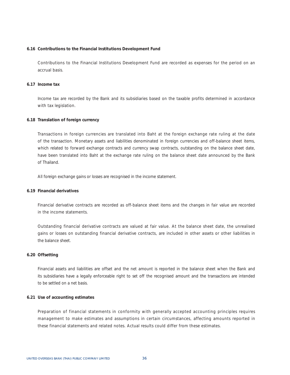#### **6.16 Contributions to the Financial Institutions Development Fund**

Contributions to the Financial Institutions Development Fund are recorded as expenses for the period on an accrual basis.

### **6.17 Income tax**

Income tax are recorded by the Bank and its subsidiaries based on the taxable profits determined in accordance with tax legislation.

#### **6.18 Translation of foreign currency**

Transactions in foreign currencies are translated into Baht at the foreign exchange rate ruling at the date of the transaction. Monetary assets and liabilities denominated in foreign currencies and off-balance sheet items, which related to forward exchange contracts and currency swap contracts, outstanding on the balance sheet date, have been translated into Baht at the exchange rate ruling on the balance sheet date announced by the Bank of Thailand.

All foreign exchange gains or losses are recognised in the income statement.

### **6.19 Financial derivatives**

Financial derivative contracts are recorded as off-balance sheet items and the changes in fair value are recorded in the income statements.

Outstanding financial derivative contracts are valued at fair value. At the balance sheet date, the unrealised gains or losses on outstanding financial derivative contracts, are included in other assets or other liabilities in the balance sheet.

### **6.20 Offsetting**

Financial assets and liabilities are offset and the net amount is reported in the balance sheet when the Bank and its subsidiaries have a legally enforceable right to set off the recognised amount and the transactions are intended to be settled on a net basis.

### **6.21 Use of accounting estimates**

Preparation of financial statements in conformity with generally accepted accounting principles requires management to make estimates and assumptions in certain circumstances, affecting amounts reported in these financial statements and related notes. Actual results could differ from these estimates.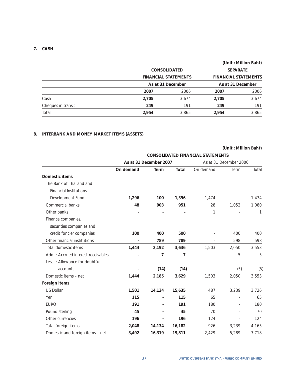### **7. CASH**

|                    |                             |                     |       | (Unit: Million Baht)        |
|--------------------|-----------------------------|---------------------|-------|-----------------------------|
|                    |                             | <b>CONSOLIDATED</b> |       | <b>SEPARATE</b>             |
|                    | <b>FINANCIAL STATEMENTS</b> |                     |       | <b>FINANCIAL STATEMENTS</b> |
|                    |                             | As at 31 December   |       | As at 31 December           |
|                    | 2007                        | 2006                | 2007  | 2006                        |
| Cash               | 2,705                       | 3.674               | 2,705 | 3,674                       |
| Cheques in transit | 249                         | 191                 | 249   | 191                         |
| Total              | 2,954                       | 3,865               | 2,954 | 3,865                       |

# **8. INTERBANK AND MONEY MARKET ITEMS (ASSETS)**

|                                   | <b>CONSOLIDATED FINANCIAL STATEMENTS</b> |                        |        |           |                        |       |  |
|-----------------------------------|------------------------------------------|------------------------|--------|-----------|------------------------|-------|--|
|                                   |                                          | As at 31 December 2007 |        |           | As at 31 December 2006 |       |  |
|                                   | On demand                                | Term                   | Total  | On demand | Term                   | Total |  |
| Domestic items                    |                                          |                        |        |           |                        |       |  |
| The Bank of Thailand and          |                                          |                        |        |           |                        |       |  |
| <b>Financial Institutions</b>     |                                          |                        |        |           |                        |       |  |
| Development Fund                  | 1,296                                    | 100                    | 1,396  | 1,474     |                        | 1,474 |  |
| Commercial banks                  | 48                                       | 903                    | 951    | 28        | 1,052                  | 1,080 |  |
| Other banks                       |                                          |                        |        | 1         |                        | 1     |  |
| Finance companies,                |                                          |                        |        |           |                        |       |  |
| securities companies and          |                                          |                        |        |           |                        |       |  |
| credit foncier companies          | 100                                      | 400                    | 500    |           | 400                    | 400   |  |
| Other financial institutions      |                                          | 789                    | 789    |           | 598                    | 598   |  |
| Total domestic items              | 1,444                                    | 2,192                  | 3,636  | 1,503     | 2,050                  | 3,553 |  |
| Add: Accrued interest receivables |                                          | 7                      | 7      |           | 5                      | 5     |  |
| Less: Allowance for doubtful      |                                          |                        |        |           |                        |       |  |
| accounts                          |                                          | (14)                   | (14)   |           | (5)                    | (5)   |  |
| Domestic items - net              | 1,444                                    | 2,185                  | 3,629  | 1,503     | 2,050                  | 3,553 |  |
| Foreign items                     |                                          |                        |        |           |                        |       |  |
| <b>US Dollar</b>                  | 1,501                                    | 14,134                 | 15,635 | 487       | 3,239                  | 3,726 |  |
| Yen                               | 115                                      |                        | 115    | 65        |                        | 65    |  |
| <b>EURO</b>                       | 191                                      |                        | 191    | 180       |                        | 180   |  |
| Pound sterling                    | 45                                       |                        | 45     | 70        |                        | 70    |  |
| Other currencies                  | 196                                      |                        | 196    | 124       |                        | 124   |  |
| Total foreign items               | 2,048                                    | 14,134                 | 16,182 | 926       | 3,239                  | 4,165 |  |
| Domestic and foreign items - net  | 3.492                                    | 16,319                 | 19,811 | 2,429     | 5.289                  | 7,718 |  |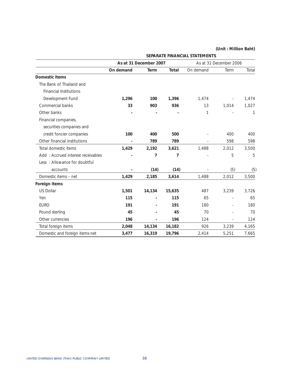|                                   |           | As at 31 December 2007 |        |              | As at 31 December 2006 |       |
|-----------------------------------|-----------|------------------------|--------|--------------|------------------------|-------|
|                                   | On demand | Term                   | Total  | On demand    | Term                   | Total |
| Domestic items                    |           |                        |        |              |                        |       |
| The Bank of Thailand and          |           |                        |        |              |                        |       |
| <b>Financial Institutions</b>     |           |                        |        |              |                        |       |
| Development Fund                  | 1,296     | 100                    | 1,396  | 1,474        |                        | 1,474 |
| Commercial banks                  | 33        | 903                    | 936    | 13           | 1,014                  | 1,027 |
| Other banks                       |           |                        |        | $\mathbf{1}$ |                        | 1     |
| Financial companies,              |           |                        |        |              |                        |       |
| securities companies and          |           |                        |        |              |                        |       |
| credit foncier companies          | 100       | 400                    | 500    |              | 400                    | 400   |
| Other financial institutions      |           | 789                    | 789    |              | 598                    | 598   |
| Total domestic items              | 1,429     | 2,192                  | 3,621  | 1,488        | 2,012                  | 3,500 |
| Add: Accrued interest receivables |           | 7                      | 7      |              | 5                      | 5     |
| Less: Allowance for doubtful      |           |                        |        |              |                        |       |
| accounts                          |           | (14)                   | (14)   |              | (5)                    | (5)   |
| Domestic items - net              | 1,429     | 2,185                  | 3,614  | 1,488        | 2,012                  | 3,500 |
| Foreign items                     |           |                        |        |              |                        |       |
| <b>US Dollar</b>                  | 1,501     | 14,134                 | 15,635 | 487          | 3,239                  | 3,726 |
| Yen                               | 115       |                        | 115    | 65           |                        | 65    |
| <b>EURO</b>                       | 191       |                        | 191    | 180          |                        | 180   |
| Pound sterling                    | 45        |                        | 45     | 70           |                        | 70    |
| Other currencies                  | 196       |                        | 196    | 124          |                        | 124   |
| Total foreign items               | 2,048     | 14,134                 | 16,182 | 926          | 3,239                  | 4,165 |
| Domestic and foreign items-net    | 3,477     | 16,319                 | 19,796 | 2,414        | 5,251                  | 7,665 |

**SEPARATE FINANCIAL STATEMENTS**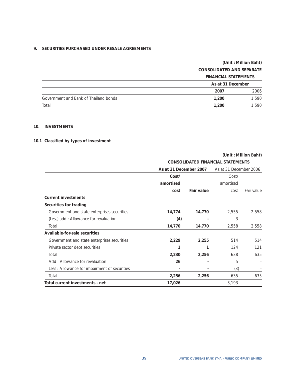# **9. SECURITIES PURCHASED UNDER RESALE AGREEMENTS**

# **(Unit : Million Baht) CONSOLIDATED AND SEPARATE FINANCIAL STATEMENTS**

|                                       | <b>FINANUME STATEMENTS</b> |       |
|---------------------------------------|----------------------------|-------|
|                                       | As at 31 December          |       |
|                                       | 2007                       | 2006  |
| Government and Bank of Thailand bonds | 1,200                      | 1.590 |
| Total                                 | 1,200                      | 1.590 |

# **10. INVESTMENTS**

# **10.1 Classified by types of investment**

|                                              |           | <b>CONSOLIDATED FINANCIAL STATEMENTS</b> |           |                        |  |  |
|----------------------------------------------|-----------|------------------------------------------|-----------|------------------------|--|--|
|                                              |           | As at 31 December 2007                   |           | As at 31 December 2006 |  |  |
|                                              | Cost/     |                                          | Cost/     |                        |  |  |
|                                              | amortised |                                          | amortised |                        |  |  |
|                                              | cost      | <b>Fair value</b>                        | cost      | Fair value             |  |  |
| <b>Current investments</b>                   |           |                                          |           |                        |  |  |
| Securities for trading                       |           |                                          |           |                        |  |  |
| Government and state enterprises securities  | 14,774    | 14,770                                   | 2,555     | 2,558                  |  |  |
| (Less) add: Allowance for revaluation        | (4)       |                                          | 3         |                        |  |  |
| Total                                        | 14,770    | 14,770                                   | 2,558     | 2,558                  |  |  |
| Available-for-sale securities                |           |                                          |           |                        |  |  |
| Government and state enterprises securities  | 2,229     | 2,255                                    | 514       | 514                    |  |  |
| Private sector debt securities               | 1         |                                          | 124       | 121                    |  |  |
| Total                                        | 2,230     | 2,256                                    | 638       | 635                    |  |  |
| Add: Allowance for revaluation               | 26        |                                          | 5         |                        |  |  |
| Less: Allowance for impairment of securities |           |                                          | (8)       |                        |  |  |
| Total                                        | 2,256     | 2,256                                    | 635       | 635                    |  |  |
| Total current investments - net              | 17,026    |                                          | 3,193     |                        |  |  |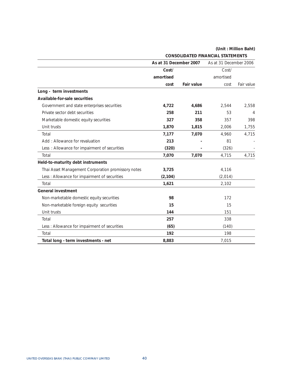|                                                    | As at 31 December 2007 |                   | As at 31 December 2006 |            |
|----------------------------------------------------|------------------------|-------------------|------------------------|------------|
|                                                    | Cost/                  |                   | Cost/                  |            |
|                                                    | amortised              |                   | amortised              |            |
|                                                    | cost                   | <b>Fair value</b> | cost                   | Fair value |
| Long - term investments                            |                        |                   |                        |            |
| Available-for-sale securities                      |                        |                   |                        |            |
| Government and state enterprises securities        | 4,722                  | 4,686             | 2,544                  | 2,558      |
| Private sector debt securities                     | 258                    | 211               | 53                     | 4          |
| Marketable domestic equity securities              | 327                    | 358               | 357                    | 398        |
| Unit trusts                                        | 1,870                  | 1,815             | 2,006                  | 1,755      |
| Total                                              | 7,177                  | 7,070             | 4,960                  | 4,715      |
| Add: Allowance for revaluation                     | 213                    |                   | 81                     |            |
| Less: Allowance for impairment of securities       | (320)                  |                   | (326)                  |            |
| Total                                              | 7,070                  | 7,070             | 4,715                  | 4,715      |
| Held-to-maturity debt instruments                  |                        |                   |                        |            |
| Thai Asset Management Corporation promissory notes | 3,725                  |                   | 4,116                  |            |
| Less : Allowance for impairment of securities      | (2, 104)               |                   | (2,014)                |            |
| Total                                              | 1,621                  |                   | 2,102                  |            |
| <b>General investment</b>                          |                        |                   |                        |            |
| Non-marketable domestic equity securities          | 98                     |                   | 172                    |            |
| Non-marketable foreign equity securities           | 15                     |                   | 15                     |            |
| Unit trusts                                        | 144                    |                   | 151                    |            |
| Total                                              | 257                    |                   | 338                    |            |
| Less: Allowance for impairment of securities       | (65)                   |                   | (140)                  |            |
| Total                                              | 192                    |                   | 198                    |            |
| Total long - term investments - net                | 8,883                  |                   | 7,015                  |            |

 **CONSOLIDATED FINANCIAL STATEMENTS**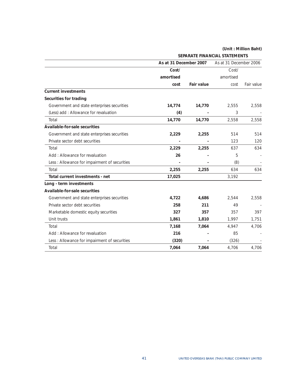**SEPARATE FINANCIAL STATEMENTS** 

|                                               | As at 31 December 2007 |                   | As at 31 December 2006 |            |
|-----------------------------------------------|------------------------|-------------------|------------------------|------------|
|                                               | Cost/                  |                   | Cost/                  |            |
|                                               | amortised              |                   | amortised              |            |
|                                               | cost                   | <b>Fair value</b> | cost                   | Fair value |
| <b>Current investments</b>                    |                        |                   |                        |            |
| Securities for trading                        |                        |                   |                        |            |
| Government and state enterprises securities   | 14,774                 | 14,770            | 2,555                  | 2,558      |
| (Less) add : Allowance for revaluation        | (4)                    |                   | 3                      |            |
| Total                                         | 14,770                 | 14,770            | 2,558                  | 2,558      |
| Available-for-sale securities                 |                        |                   |                        |            |
| Government and state enterprises securities   | 2,229                  | 2,255             | 514                    | 514        |
| Private sector debt securities                |                        |                   | 123                    | 120        |
| Total                                         | 2,229                  | 2,255             | 637                    | 634        |
| Add: Allowance for revaluation                | 26                     |                   | 5                      |            |
| Less : Allowance for impairment of securities |                        |                   | (8)                    |            |
| Total                                         | 2,255                  | 2,255             | 634                    | 634        |
| Total current investments - net               | 17,025                 |                   | 3,192                  |            |
| Long - term investments                       |                        |                   |                        |            |
| Available-for-sale securities                 |                        |                   |                        |            |
| Government and state enterprises securities   | 4,722                  | 4,686             | 2,544                  | 2,558      |
| Private sector debt securities                | 258                    | 211               | 49                     |            |
| Marketable domestic equity securities         | 327                    | 357               | 357                    | 397        |
| Unit trusts                                   | 1,861                  | 1,810             | 1,997                  | 1,751      |
| Total                                         | 7,168                  | 7,064             | 4,947                  | 4,706      |
| Add: Allowance for revaluation                | 216                    |                   | 85                     |            |
| Less : Allowance for impairment of securities | (320)                  |                   | (326)                  |            |
| Total                                         | 7,064                  | 7,064             | 4,706                  | 4,706      |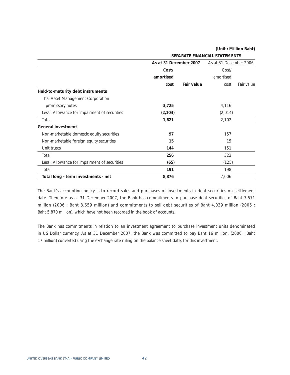**SEPARATE FINANCIAL STATEMENTS** 

|                                              | As at 31 December 2007 |            | As at 31 December 2006 |            |
|----------------------------------------------|------------------------|------------|------------------------|------------|
|                                              | Cost/                  |            | Cost/                  |            |
|                                              | amortised              |            | amortised              |            |
|                                              | cost                   | Fair value | cost                   | Fair value |
| Held-to-maturity debt instruments            |                        |            |                        |            |
| Thai Asset Management Corporation            |                        |            |                        |            |
| promissory notes                             | 3,725                  |            | 4,116                  |            |
| Less: Allowance for impairment of securities | (2, 104)               |            | (2,014)                |            |
| Total                                        | 1,621                  |            | 2,102                  |            |
| <b>General investment</b>                    |                        |            |                        |            |
| Non-marketable domestic equity securities    | 97                     |            | 157                    |            |
| Non-marketable foreign equity securities     | 15                     |            | 15                     |            |
| Unit trusts                                  | 144                    |            | 151                    |            |
| Total                                        | 256                    |            | 323                    |            |
| Less: Allowance for impairment of securities | (65)                   |            | (125)                  |            |
| Total                                        | 191                    |            | 198                    |            |
| Total long - term investments - net          | 8,876                  |            | 7,006                  |            |

The Bank's accounting policy is to record sales and purchases of investments in debt securities on settlement date. Therefore as at 31 December 2007, the Bank has commitments to purchase debt securities of Baht 7,571 million (2006 : Baht 8,659 million) and commitments to sell debt securities of Baht 4,039 million (2006 : Baht 5,870 million), which have not been recorded in the book of accounts.

The Bank has commitments in relation to an investment agreement to purchase investment units denominated in US Dollar currency. As at 31 December 2007, the Bank was committed to pay Baht 16 million, (2006 : Baht 17 million) converted using the exchange rate ruling on the balance sheet date, for this investment.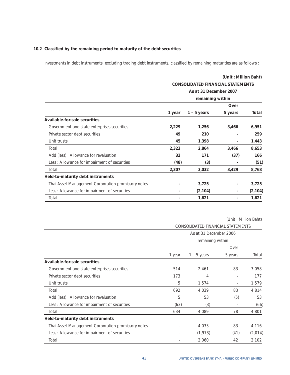# **10.2 Classified by the remaining period to maturity of the debt securities**

Investments in debt instruments, excluding trading debt instruments, classified by remaining maturities are as follows :

|                                                    |                                          |                  | (Unit: Million Baht) |          |
|----------------------------------------------------|------------------------------------------|------------------|----------------------|----------|
|                                                    | <b>CONSOLIDATED FINANCIAL STATEMENTS</b> |                  |                      |          |
|                                                    | As at 31 December 2007                   |                  |                      |          |
|                                                    |                                          | remaining within |                      |          |
|                                                    |                                          |                  | Over                 |          |
|                                                    | 1 year                                   | $1 - 5$ years    | 5 years              | Total    |
| Available-for-sale securities                      |                                          |                  |                      |          |
| Government and state enterprises securities        | 2,229                                    | 1,256            | 3,466                | 6,951    |
| Private sector debt securities                     | 49                                       | 210              |                      | 259      |
| Unit trusts                                        | 45                                       | 1,398            |                      | 1,443    |
| Total                                              | 2,323                                    | 2,864            | 3,466                | 8,653    |
| Add (less): Allowance for revaluation              | 32                                       | 171              | (37)                 | 166      |
| Less : Allowance for impairment of securities      | (48)                                     | (3)              |                      | (51)     |
| Total                                              | 2,307                                    | 3,032            | 3,429                | 8,768    |
| Held-to-maturity debt instruments                  |                                          |                  |                      |          |
| Thai Asset Management Corporation promissory notes |                                          | 3,725            |                      | 3,725    |
| Less : Allowance for impairment of securities      | $\overline{\phantom{a}}$                 | (2, 104)         |                      | (2, 104) |
| Total                                              |                                          | 1,621            |                      | 1,621    |

|                                                    | CONSOLIDATED FINANCIAL STATEMENTS          |               |                          |         |  |
|----------------------------------------------------|--------------------------------------------|---------------|--------------------------|---------|--|
|                                                    | As at 31 December 2006<br>remaining within |               |                          |         |  |
|                                                    |                                            |               |                          |         |  |
|                                                    |                                            |               | Over                     |         |  |
|                                                    | 1 year                                     | $1 - 5$ years | 5 years                  | Total   |  |
| Available-for-sale securities                      |                                            |               |                          |         |  |
| Government and state enterprises securities        | 514                                        | 2,461         | 83                       | 3,058   |  |
| Private sector debt securities                     | 173                                        | 4             |                          | 177     |  |
| Unit trusts                                        | 5                                          | 1,574         | $\overline{\phantom{a}}$ | 1,579   |  |
| Total                                              | 692                                        | 4,039         | 83                       | 4,814   |  |
| Add (less): Allowance for revaluation              | 5                                          | 53            | (5)                      | 53      |  |
| Less: Allowance for impairment of securities       | (63)                                       | (3)           |                          | (66)    |  |
| Total                                              | 634                                        | 4,089         | 78                       | 4,801   |  |
| Held-to-maturity debt instruments                  |                                            |               |                          |         |  |
| Thai Asset Management Corporation promissory notes |                                            | 4,033         | 83                       | 4,116   |  |
| Less : Allowance for impairment of securities      | $\overline{\phantom{a}}$                   | (1, 973)      | (41)                     | (2,014) |  |
| Total                                              |                                            | 2,060         | 42                       | 2,102   |  |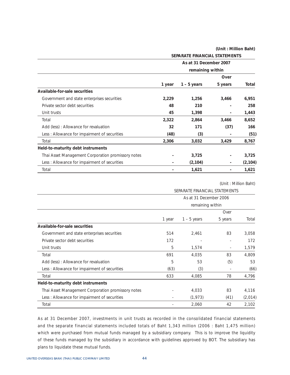|                                                    | SEPARATE FINANCIAL STATEMENTS |                  |         |          |  |
|----------------------------------------------------|-------------------------------|------------------|---------|----------|--|
|                                                    | As at 31 December 2007        |                  |         |          |  |
|                                                    |                               | remaining within |         |          |  |
|                                                    |                               |                  | Over    |          |  |
|                                                    | 1 year                        | $1 - 5$ years    | 5 years | Total    |  |
| Available-for-sale securities                      |                               |                  |         |          |  |
| Government and state enterprises securities        | 2,229                         | 1,256            | 3,466   | 6,951    |  |
| Private sector debt securities                     | 48                            | 210              |         | 258      |  |
| Unit trusts                                        | 45                            | 1,398            |         | 1,443    |  |
| Total                                              | 2,322                         | 2,864            | 3,466   | 8,652    |  |
| Add (less): Allowance for revaluation              | 32                            | 171              | (37)    | 166      |  |
| Less: Allowance for impairment of securities       | (48)                          | (3)              |         | (51)     |  |
| Total                                              | 2,306                         | 3,032            | 3,429   | 8,767    |  |
| Held-to-maturity debt instruments                  |                               |                  |         |          |  |
| Thai Asset Management Corporation promissory notes |                               | 3,725            |         | 3,725    |  |
| Less: Allowance for impairment of securities       |                               | (2, 104)         |         | (2, 104) |  |
| Total                                              |                               | 1,621            |         | 1,621    |  |

(Unit : Million Baht)

|                                                    | SEPARATE FINANCIAL STATEMENTS |                  |         |         |  |  |
|----------------------------------------------------|-------------------------------|------------------|---------|---------|--|--|
|                                                    | As at 31 December 2006        |                  |         |         |  |  |
|                                                    |                               | remaining within |         |         |  |  |
|                                                    |                               |                  | Over    |         |  |  |
|                                                    | 1 year                        | $1 - 5$ years    | 5 years | Total   |  |  |
| Available-for-sale securities                      |                               |                  |         |         |  |  |
| Government and state enterprises securities        | 514                           | 2,461            | 83      | 3,058   |  |  |
| Private sector debt securities                     | 172                           |                  |         | 172     |  |  |
| Unit trusts                                        | 5                             | 1,574            | ٠       | 1,579   |  |  |
| Total                                              | 691                           | 4,035            | 83      | 4,809   |  |  |
| Add (less): Allowance for revaluation              | 5                             | 53               | (5)     | 53      |  |  |
| Less: Allowance for impairment of securities       | (63)                          | (3)              |         | (66)    |  |  |
| Total                                              | 633                           | 4,085            | 78      | 4,796   |  |  |
| Held-to-maturity debt instruments                  |                               |                  |         |         |  |  |
| Thai Asset Management Corporation promissory notes |                               | 4,033            | 83      | 4,116   |  |  |
| Less : Allowance for impairment of securities      |                               | (1, 973)         | (41)    | (2,014) |  |  |
| Total                                              |                               | 2,060            | 42      | 2,102   |  |  |

As at 31 December 2007, investments in unit trusts as recorded in the consolidated financial statements and the separate financial statements included totals of Baht 1,343 million (2006 : Baht 1,475 million) which were purchased from mutual funds managed by a subsidiary company. This is to improve the liquidity of these funds managed by the subsidiary in accordance with guidelines approved by BOT. The subsidiary has plans to liquidate these mutual funds.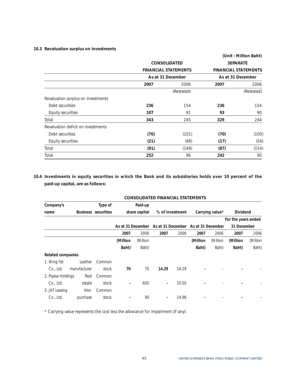### **10.3 Revaluation surplus on investments**

|                                    |                             |            |      | (Unit: Million Baht)        |
|------------------------------------|-----------------------------|------------|------|-----------------------------|
|                                    | <b>CONSOLIDATED</b>         |            |      | <b>SEPARATE</b>             |
|                                    | <b>FINANCIAL STATEMENTS</b> |            |      | <b>FINANCIAL STATEMENTS</b> |
|                                    | As at 31 December           |            |      | As at 31 December           |
|                                    | 2007                        | 2006       | 2007 | 2006                        |
|                                    |                             | (Restated) |      | (Restated)                  |
| Revaluation surplus on investments |                             |            |      |                             |
| Debt securities                    | 236                         | 154        | 236  | 154                         |
| Equity securities                  | 107                         | 91         | 93   | 90                          |
| Total                              | 343                         | 245        | 329  | 244                         |
| Revaluation deficit on investments |                             |            |      |                             |
| Debt securities                    | (70)                        | (101)      | (70) | (100)                       |
| Equity securities                  | (21)                        | (48)       | (17) | (54)                        |
| Total                              | (91)                        | (149)      | (87) | (154)                       |
| Total                              | 252                         | 96         | 242  | 90                          |

**10.4 Investments in equity securities in which the Bank and its subsidiaries holds over 10 percent of the paid-up capital, are as follows:** 

|                          |              |                            |                |               | <b>CONSOLIDATED FINANCIAL STATEMENTS</b> |                 |                   |                 |                     |          |
|--------------------------|--------------|----------------------------|----------------|---------------|------------------------------------------|-----------------|-------------------|-----------------|---------------------|----------|
| Company's                |              | Type of                    |                | Paid-up       |                                          |                 |                   |                 |                     |          |
| name                     |              | <b>Business</b> securities |                | share capital |                                          | % of investment |                   | Carrying value* | <b>Dividend</b>     |          |
|                          |              |                            |                |               |                                          |                 |                   |                 | For the years ended |          |
|                          |              |                            |                |               | As at 31 December As at 31 December      |                 | As at 31 December |                 | 31 December         |          |
|                          |              |                            | 2007           | 2006          | 2007                                     | 2006            | 2007              | 2006            | 2007                | 2006     |
|                          |              |                            | (Million       | (Million      |                                          |                 | (Million          | (Million        | (Million            | (Million |
|                          |              |                            | Baht)          | Baht)         |                                          |                 | Baht)             | Baht)           | Baht)               | Baht)    |
| <b>Related companies</b> |              |                            |                |               |                                          |                 |                   |                 |                     |          |
| 1. Wing Fat              | Leather      | Common                     |                |               |                                          |                 |                   |                 |                     |          |
| Co., Ltd.                | manufacturer | stock                      | 70             | 70            | 14.29                                    | 14.29           |                   |                 |                     |          |
| 2. Piyalai Holdings      | Real         | Common                     |                |               |                                          |                 |                   |                 |                     |          |
| Co., Ltd.                | estate       | stock                      | $\overline{a}$ | 600           | $\overline{\phantom{a}}$                 | 10.00           |                   |                 |                     |          |
| 3. JAT Leasing           | Hire-        | Common                     |                |               |                                          |                 |                   |                 |                     |          |
| Co., Ltd.                | purchase     | stock                      |                | 90            | $\blacksquare$                           | 14.96           |                   |                 |                     |          |

\* Carrying value represents the cost less the allowance for impairment (if any).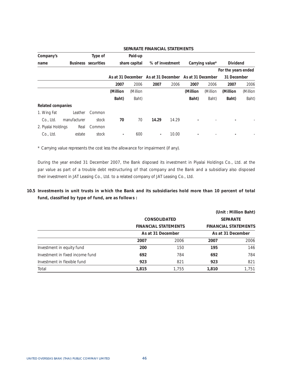| Company's                |              | Type of                    |                   | Paid-up       |                   |       |                   |                 |                     |          |
|--------------------------|--------------|----------------------------|-------------------|---------------|-------------------|-------|-------------------|-----------------|---------------------|----------|
| name                     |              | <b>Business</b> securities |                   | share capital | % of investment   |       |                   | Carrying value* | <b>Dividend</b>     |          |
|                          |              |                            |                   |               |                   |       |                   |                 | For the years ended |          |
|                          |              |                            | As at 31 December |               | As at 31 December |       | As at 31 December |                 | 31 December         |          |
|                          |              |                            | 2007              | 2006          | 2007              | 2006  | 2007              | 2006            | 2007                | 2006     |
|                          |              |                            | (Million          | (Million      |                   |       | (Million)         | (Million        | (Million            | (Million |
|                          |              |                            | Baht)             | Baht)         |                   |       | Baht)             | Baht)           | Baht)               | Baht)    |
| <b>Related companies</b> |              |                            |                   |               |                   |       |                   |                 |                     |          |
| 1. Wing Fat              | Leather      | Common                     |                   |               |                   |       |                   |                 |                     |          |
| Co., Ltd.                | manufacturer | stock                      | 70                | 70            | 14.29             | 14.29 |                   |                 |                     |          |
| 2. Piyalai Holdings      | Real         | Common                     |                   |               |                   |       |                   |                 |                     |          |
| Co., Ltd.                | estate       | stock                      | $\blacksquare$    | 600           | $\blacksquare$    | 10.00 | -                 |                 |                     |          |

### **SEPARATE FINANCIAL STATEMENTS**

\* Carrying value represents the cost less the allowance for impairment (if any).

During the year ended 31 December 2007, the Bank disposed its investment in Piyalai Holdings Co., Ltd. at the par value as part of a trouble debt restructuring of that company and the Bank and a subsidiary also disposed their investment in JAT Leasing Co., Ltd. to a related company of JAT Leasing Co., Ltd.

**10.5 Investments in unit trusts in which the Bank and its subsidiaries hold more than 10 percent of total fund, classified by type of fund, are as follows :** 

|                                 |                   |                             |                 | (Unit: Million Baht)        |
|---------------------------------|-------------------|-----------------------------|-----------------|-----------------------------|
|                                 |                   | <b>CONSOLIDATED</b>         | <b>SEPARATE</b> |                             |
|                                 |                   | <b>FINANCIAL STATEMENTS</b> |                 | <b>FINANCIAL STATEMENTS</b> |
|                                 | As at 31 December |                             |                 | As at 31 December           |
|                                 | 2007              | 2006                        | 2007            | 2006                        |
| Investment in equity fund       | 200               | 150                         | 195             | 146                         |
| Investment in fixed income fund | 692               | 784                         | 692             | 784                         |
| Investment in flexible fund     | 923               | 821                         | 923             | 821                         |
| Total                           | 1,815             | 1,755                       | 1,810           | 1,751                       |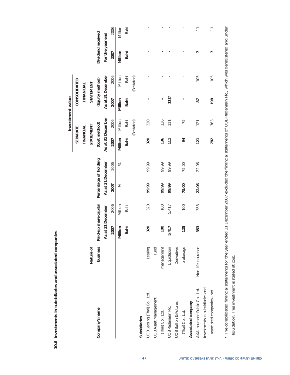|                                  |                    |                       |         |                       |           |                   | Investment value |           |                   |                   |                          |
|----------------------------------|--------------------|-----------------------|---------|-----------------------|-----------|-------------------|------------------|-----------|-------------------|-------------------|--------------------------|
|                                  |                    |                       |         |                       |           | SEPARATE          |                  |           | CONSOLIDATED      |                   |                          |
|                                  |                    |                       |         |                       |           | FINANCIAL         |                  |           | FINANCIAL         |                   |                          |
|                                  | Nature of          |                       |         |                       |           | STATEMENT         |                  | STATEMENT |                   |                   |                          |
| Company's name                   | business           | Paid-up share capital |         | Percentage of holding |           |                   | (Cost method)    |           | (Equity method)   | Dividend received |                          |
|                                  |                    | As at 31 December     |         | As at 31 December     |           | As at 31 December |                  |           | As at 31 December | For the year end  |                          |
|                                  |                    | 2007                  | 2006    | 2007                  | 2006      | 2007              | 2006             | 2007      | 2006              | 2007              | 2006                     |
|                                  |                    | Million               | Million | ಸಿ                    | $\approx$ | Million           | Million          | Million   | Million           | Million           | Million                  |
|                                  |                    | Baht                  | Baht    |                       |           | Baht              | Baht             | Baht      | Baht              | Baht              | Baht                     |
|                                  |                    |                       |         |                       |           |                   | (Restated)       |           | (Restated)        |                   |                          |
| Subsidiaries                     |                    |                       |         |                       |           |                   |                  |           |                   |                   |                          |
| UOB Leasing (Thai) Co., Ltd.     | Leasing            | 320                   | 320     | 99.99                 | 99.99     | 320               | 320              |           |                   |                   |                          |
| <b>UOB Asset Management</b>      | Fund               |                       |         |                       |           |                   |                  |           |                   |                   |                          |
| (Thai) Co., Ltd.                 | management         | <b>001</b>            | 100     | 99.99                 | 99.99     | 136               | 136              |           |                   |                   | ï                        |
| UOB Radanasin Plc.               | Liquidation        | 5,417                 | 5,417   | 99.99                 | 99.99     | 111               | 111              | $111*$    |                   |                   |                          |
| <b>UOB Bullion &amp; Futures</b> | Derivatives        |                       |         |                       |           |                   |                  |           |                   |                   |                          |
| (Thai) Co., Ltd.                 | brokerage          | 125                   | 100     | 75.00                 | 75.00     | 54                | 75               |           |                   |                   | ï                        |
| Associated company               |                    |                       |         |                       |           |                   |                  |           |                   |                   |                          |
| AXA Insurance Public Co., Ltd.   | Non-life insurance | 353                   | 353     | 22.06                 | 22.06     | 121               | 121              | 50        | 105               | r                 | $\overline{\phantom{0}}$ |
| Investments in subsidiaries and  |                    |                       |         |                       |           |                   |                  |           |                   |                   |                          |
| associated companies - net       |                    |                       |         |                       |           | 782               | 763              | 198       | 105               | ٣                 | $\overline{\phantom{0}}$ |
|                                  |                    |                       |         |                       |           |                   |                  |           |                   |                   |                          |

10.6 Investments in subsidiaries and associated companies **10.6 Investments in subsidiaries and associated companies** 

liquidation. This investment is stated at cost.

liquidation. This investment is stated at cost.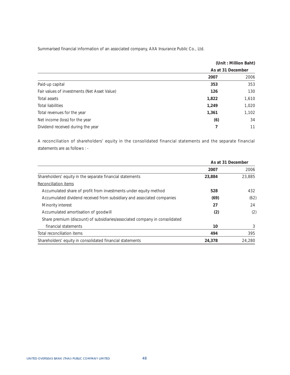Summarised financial information of an associated company, AXA Insurance Public Co., Ltd.

|       | (Unit: Million Baht) |
|-------|----------------------|
|       |                      |
| 2007  | 2006                 |
| 353   | 353                  |
| 126   | 130                  |
| 1,822 | 1,610                |
| 1,249 | 1,020                |
| 1,361 | 1,102                |
| (6)   | 34                   |
|       | 11                   |
|       | As at 31 December    |

A reconciliation of shareholders' equity in the consolidated financial statements and the separate financial statements are as follows : -

|                                                                             | As at 31 December |        |
|-----------------------------------------------------------------------------|-------------------|--------|
|                                                                             | 2007              | 2006   |
| Shareholders' equity in the separate financial statements                   | 23,884            | 23.885 |
| Reconciliation items                                                        |                   |        |
| Accumulated share of profit from investments under equity method            | 528               | 432    |
| Accumulated dividend received from subsidiary and associated companies      | (69)              | (62)   |
| Minority interest                                                           | 27                | 24     |
| Accumulated amortisation of goodwill                                        | (2)               | (2)    |
| Share premium (discount) of subsidiaries/associated company in consolidated |                   |        |
| financial statements                                                        | 10                |        |
| Total reconciliation items                                                  | 494               | 395    |
| Shareholders' equity in consolidated financial statements                   | 24,378            | 24.280 |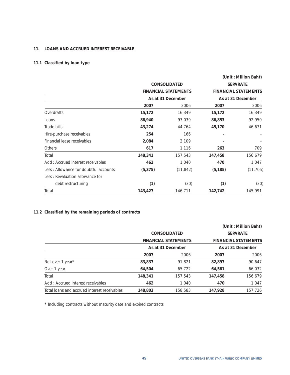### **11. LOANS AND ACCRUED INTEREST RECEIVABLE**

# **11.1 Classified by loan type**

|                                       |          |                             |          | (Unit: Million Baht)        |
|---------------------------------------|----------|-----------------------------|----------|-----------------------------|
|                                       |          | <b>CONSOLIDATED</b>         |          | <b>SEPARATE</b>             |
|                                       |          | <b>FINANCIAL STATEMENTS</b> |          | <b>FINANCIAL STATEMENTS</b> |
|                                       |          | As at 31 December           |          | As at 31 December           |
|                                       | 2007     | 2006                        | 2007     | 2006                        |
| Overdrafts                            | 15,172   | 16,349                      | 15,172   | 16,349                      |
| Loans                                 | 86,940   | 93,039                      | 86,853   | 92,950                      |
| Trade bills                           | 43,274   | 44,764                      | 45,170   | 46,671                      |
| Hire-purchase receivables             | 254      | 166                         |          |                             |
| Financial lease receivables           | 2,084    | 2,109                       |          |                             |
| Others                                | 617      | 1,116                       | 263      | 709                         |
| Total                                 | 148,341  | 157,543                     | 147,458  | 156,679                     |
| Add: Accrued interest receivables     | 462      | 1,040                       | 470      | 1,047                       |
| Less: Allowance for doubtful accounts | (5, 375) | (11, 842)                   | (5, 185) | (11, 705)                   |
| Less: Revaluation allowance for       |          |                             |          |                             |
| debt restructuring                    | (1)      | (30)                        | (1)      | (30)                        |
| Total                                 | 143,427  | 146,711                     | 142,742  | 145,991                     |

# **11.2 Classified by the remaining periods of contracts**

|                                              |         |                             |         | (Unit: Million Baht)        |
|----------------------------------------------|---------|-----------------------------|---------|-----------------------------|
|                                              |         | <b>CONSOLIDATED</b>         |         | <b>SEPARATE</b>             |
|                                              |         | <b>FINANCIAL STATEMENTS</b> |         | <b>FINANCIAL STATEMENTS</b> |
|                                              |         | As at 31 December           |         | As at 31 December           |
|                                              | 2007    | 2006                        | 2007    | 2006                        |
| Not over 1 year*                             | 83,837  | 91.821                      | 82,897  | 90,647                      |
| Over 1 year                                  | 64,504  | 65,722                      | 64,561  | 66,032                      |
| Total                                        | 148,341 | 157,543                     | 147,458 | 156,679                     |
| Add: Accrued interest receivables            | 462     | 1,040                       | 470     | 1,047                       |
| Total loans and accrued interest receivables | 148.803 | 158,583                     | 147.928 | 157.726                     |

\* Including contracts without maturity date and expired contracts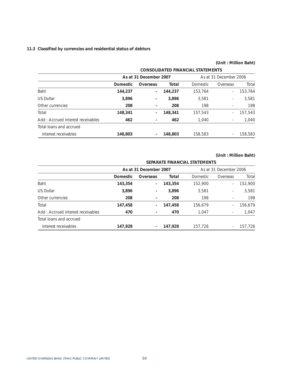### **11.3 Classified by currencies and residential status of debtors**

# **(Unit : Million Baht) CONSOLIDATED FINANCIAL STATEMENTS As at 31 December 2007** As at 31 December 2006 **Domestic Overseas Total** Domestic Overseas Total Baht **144,237 - 144,237** 153,764 - 153,764 US Dollar **3,896 - 3,896** 3,581 - 3,581 Other currencies **208 - 208** 198 - 198 Total **148,341 - 148,341** 157,543 - 157,543 Add : Accrued interest receivables **462 - 462** 1,040 - 1,040 Total loans and accrued interest receivables **148,803 - 148,803** 158,583 - 158,583

### **(Unit : Million Baht)**

#### **SEPARATE FINANCIAL STATEMENTS**

|                                   |          | As at 31 December 2007   |         |          | As at 31 December 2006 |         |
|-----------------------------------|----------|--------------------------|---------|----------|------------------------|---------|
|                                   | Domestic | Overseas                 | Total   | Domestic | Overseas               | Total   |
| <b>Baht</b>                       | 143,354  | $\overline{\phantom{a}}$ | 143,354 | 152,900  | $\sim$                 | 152,900 |
| US Dollar                         | 3,896    | $\overline{\phantom{a}}$ | 3,896   | 3.581    | ۰                      | 3,581   |
| Other currencies                  | 208      |                          | 208     | 198      | ٠                      | 198     |
| Total                             | 147,458  |                          | 147,458 | 156,679  | $\overline{a}$         | 156.679 |
| Add: Accrued interest receivables | 470      |                          | 470     | 1.047    | ٠                      | 1,047   |
| Total loans and accrued           |          |                          |         |          |                        |         |
| interest receivables              | 147,928  |                          | 147,928 | 157,726  |                        | 157.726 |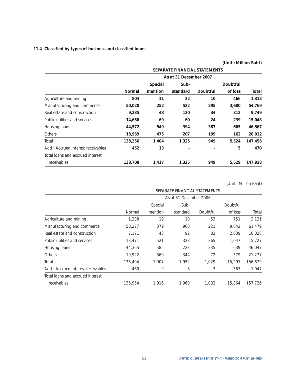# **11.4 Classified by types of business and classified loans**

|                                   |         |                |                               |                          | (Unit : Million Baht) |         |
|-----------------------------------|---------|----------------|-------------------------------|--------------------------|-----------------------|---------|
|                                   |         |                | SEPARATE FINANCIAL STATEMENTS |                          |                       |         |
|                                   |         |                | As at 31 December 2007        |                          |                       |         |
|                                   |         | <b>Special</b> | Sub-                          |                          | Doubtful              |         |
|                                   | Normal  | mention        | standard                      | Doubtful                 | of loss               | Total   |
| Agriculture and mining            | 804     | 11             | 22                            | 10                       | 466                   | 1,313   |
| Manufacturing and commerce        | 50,020  | 252            | 522                           | 295                      | 3,680                 | 54,769  |
| Real estate and construction      | 9,235   | 48             | 120                           | 34                       | 312                   | 9,749   |
| Public utilities and services     | 14,656  | 69             | 60                            | 24                       | 239                   | 15,048  |
| Housing loans                     | 44,572  | 549            | 394                           | 387                      | 665                   | 46,567  |
| Others                            | 18,969  | 475            | 207                           | 199                      | 162                   | 20,012  |
| Total                             | 138,256 | 1,404          | 1,325                         | 949                      | 5,524                 | 147,458 |
| Add: Accrued interest receivables | 452     | 13             |                               | $\overline{\phantom{a}}$ | 5                     | 470     |
| Total loans and accrued interest  |         |                |                               |                          |                       |         |
| receivables                       | 138,708 | 1,417          | 1,325                         | 949                      | 5,529                 | 147,928 |

(Unit : Million Baht)

|                                   |         |         | SEPARATE FINANCIAL STATEMENTS |          |          |         |
|-----------------------------------|---------|---------|-------------------------------|----------|----------|---------|
|                                   |         |         | As at 31 December 2006        |          |          |         |
|                                   |         | Special | Sub-                          |          | Doubtful |         |
|                                   | Normal  | mention | standard                      | Doubtful | of loss  | Total   |
| Agriculture and mining            | 1.288   | 19      | 10                            | 53       | 751      | 2,121   |
| Manufacturing and commerce        | 50,277  | 379     | 960                           | 221      | 9,642    | 61,479  |
| Real estate and construction      | 7.171   | 43      | 92                            | 83       | 2,639    | 10.028  |
| Public utilities and services     | 13,471  | 521     | 323                           | 365      | 1,047    | 15,727  |
| Housing loans                     | 44,365  | 585     | 223                           | 235      | 639      | 46,047  |
| <b>Others</b>                     | 19,922  | 360     | 344                           | 72       | 579      | 21,277  |
| Total                             | 136,494 | 1.907   | 1,952                         | 1,029    | 15,297   | 156.679 |
| Add: Accrued interest receivables | 460     | 9       | 8                             | 3        | 567      | 1,047   |
| Total loans and accrued interest  |         |         |                               |          |          |         |
| receivables                       | 136,954 | 1,916   | 1,960                         | 1,032    | 15,864   | 157,726 |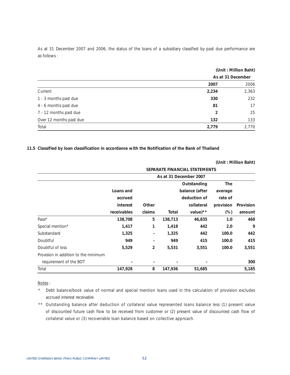As at 31 December 2007 and 2006, the status of the loans of a subsidiary classified by past due performance are as follows :

|                         | (Unit: Million Baht)<br>As at 31 December |       |  |
|-------------------------|-------------------------------------------|-------|--|
|                         |                                           |       |  |
|                         | 2007                                      | 2006  |  |
| Current                 | 2,234                                     | 2,363 |  |
| 1 - 3 months past due   | 330                                       | 232   |  |
| 4 - 6 months past due   | 81                                        | 17    |  |
| 7 - 12 months past due  | 2                                         | 25    |  |
| Over 12 months past due | 132                                       | 133   |  |
| Total                   | 2,779                                     | 2,770 |  |

**11.5 Classified by loan classification in accordance with the Notification of the Bank of Thailand** 

**(Unit : Million Baht)** 

|                                      | SEPARATE FINANCIAL STATEMENTS |                          |         |                |           |           |  |  |
|--------------------------------------|-------------------------------|--------------------------|---------|----------------|-----------|-----------|--|--|
|                                      |                               | As at 31 December 2007   |         |                |           |           |  |  |
|                                      |                               | Outstanding              |         |                |           |           |  |  |
|                                      | Loans and                     |                          |         | balance (after | average   |           |  |  |
|                                      | accrued                       |                          |         | deduction of   | rate of   |           |  |  |
|                                      | interest                      | Other                    |         | collateral     | provision | Provision |  |  |
|                                      | receivables                   | claims                   | Total   | value) $**$    | $(\%)$    | amount    |  |  |
| Pass*                                | 138,708                       | 5                        | 138,713 | 46,835         | 1.0       | 468       |  |  |
| Special mention*                     | 1,417                         | 1                        | 1,418   | 442            | 2.0       | 9         |  |  |
| Substandard                          | 1,325                         | $\overline{\phantom{a}}$ | 1,325   | 442            | 100.0     | 442       |  |  |
| Doubtful                             | 949                           | $\overline{a}$           | 949     | 415            | 100.0     | 415       |  |  |
| Doubtful of loss                     | 5,529                         | 2                        | 5,531   | 3,551          | 100.0     | 3,551     |  |  |
| Provision in addition to the minimum |                               |                          |         |                |           |           |  |  |
| requirement of the BOT               | -                             | $\overline{\phantom{a}}$ |         |                |           | 300       |  |  |
| Total                                | 147,928                       | 8                        | 147,936 | 51,685         |           | 5,185     |  |  |

Notes :

\* Debt balance/book value of normal and special mention loans used in the calculation of provision excludes accrued interest receivable

\*\* Outstanding balance after deduction of collateral value represented loans balance less (1) present value of discounted future cash flow to be received from customer or (2) present value of discounted cash flow of collateral value or (3) recoverable loan balance based on collective approach.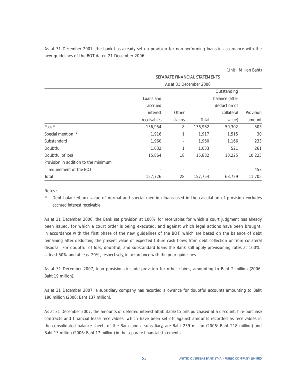As at 31 December 2007, the bank has already set up provision for non-performing loans in accordance with the new guidelines of the BOT dated 21 December 2006.

|  | (Unit: Million Baht) |  |
|--|----------------------|--|
|--|----------------------|--|

|                                      | SEPARATE FINANCIAL STATEMENTS |        |                        |              |           |  |  |
|--------------------------------------|-------------------------------|--------|------------------------|--------------|-----------|--|--|
|                                      |                               |        | As at 31 December 2006 |              |           |  |  |
|                                      |                               |        |                        | Outstanding  |           |  |  |
|                                      | Loans and<br>balance (after   |        |                        |              |           |  |  |
|                                      | accrued                       |        |                        | deduction of |           |  |  |
|                                      | interest                      | Other  |                        | collateral   | Provision |  |  |
|                                      | receivables                   | claims | Total                  | value)       | amount    |  |  |
| Pass *                               | 136,954                       | 8      | 136,962                | 50,302       | 503       |  |  |
| Special mention *                    | 1,916                         | 1      | 1,917                  | 1,515        | 30        |  |  |
| Substandard                          | 1,960                         |        | 1,960                  | 1,166        | 233       |  |  |
| Doubtful                             | 1,032                         |        | 1,033                  | 521          | 261       |  |  |
| Doubtful of loss                     | 15,864                        | 18     | 15,882                 | 10,225       | 10,225    |  |  |
| Provision in addition to the minimum |                               |        |                        |              |           |  |  |
| requirement of the BOT               |                               |        |                        |              | 453       |  |  |
| Total                                | 157,726                       | 28     | 157,754                | 63,729       | 11,705    |  |  |

Notes :

\* Debt balance/book value of normal and special mention loans used in the calculation of provision excludes accrued interest receivable

As at 31 December 2006, the Bank set provision at 100% for receivables for which a court judgment has already been issued, for which a court order is being executed, and against which legal actions have been brought, in accordance with the first phase of the new guidelines of the BOT, which are based on the balance of debt remaining after deducting the present value of expected future cash flows from debt collection or from collateral disposal. For doubtful of loss, doubtful, and substandard loans the Bank still apply provisioning rates at 100%, at least 50% and at least 20%, respectively, in accordance with the prior guidelines.

As at 31 December 2007, loan provisions include provision for other claims, amounting to Baht 2 million (2006: Baht 19 million).

As at 31 December 2007, a subsidiary company has recorded allowance for doubtful accounts amounting to Baht 190 million (2006: Baht 137 million).

As at 31 December 2007, the amounts of deferred interest attributable to bills purchased at a discount, hire-purchase contracts and financial lease receivables, which have been set off against amounts recorded as receivables in the consolidated balance sheets of the Bank and a subsidiary, are Baht 239 million (2006: Baht 218 million) and Baht 13 million (2006: Baht 17 million) in the separate financial statements.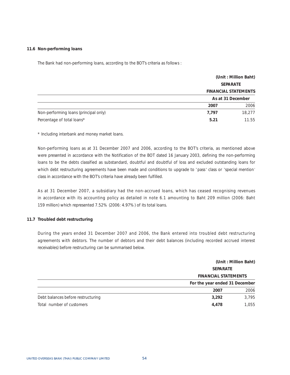#### **11.6 Non-performing loans**

The Bank had non-performing loans, according to the BOT's criteria as follows :

|                                       | (Unit: Million Baht)<br><b>SEPARATE</b> |                             |
|---------------------------------------|-----------------------------------------|-----------------------------|
|                                       |                                         |                             |
|                                       |                                         | <b>FINANCIAL STATEMENTS</b> |
|                                       |                                         | As at 31 December           |
|                                       | 2007                                    | 2006                        |
| Non-performing loans (principal only) | 7,797                                   | 18,277                      |
| Percentage of total loans*            | 5.21                                    | 11.55                       |

\* Including interbank and money market loans.

Non-performing loans as at 31 December 2007 and 2006, according to the BOT's criteria, as mentioned above were presented in accordance with the Notification of the BOT dated 16 January 2003, defining the non-performing loans to be the debts classified as substandard, doubtful and doubtful of loss and excluded outstanding loans for which debt restructuring agreements have been made and conditions to upgrade to 'pass' class or 'special mention' class in accordance with the BOT's criteria have already been fulfilled.

As at 31 December 2007, a subsidiary had the non-accrued loans, which has ceased recognising revenues in accordance with its accounting policy as detailed in note 6.1 amounting to Baht 209 million (2006: Baht 159 million) which represented 7.52% (2006: 4.97%) of its total loans.

#### **11.7 Troubled debt restructuring**

During the years ended 31 December 2007 and 2006, the Bank entered into troubled debt restructuring agreements with debtors. The number of debtors and their debt balances (including recorded accrued interest receivables) before restructuring can be summarised below.

|                                    | (Unit: Million Baht)                                                             |       |  |
|------------------------------------|----------------------------------------------------------------------------------|-------|--|
|                                    | <b>SEPARATE</b><br><b>FINANCIAL STATEMENTS</b><br>For the year ended 31 December |       |  |
|                                    |                                                                                  |       |  |
|                                    |                                                                                  |       |  |
|                                    | 2007                                                                             | 2006  |  |
| Debt balances before restructuring | 3,292                                                                            | 3,795 |  |
| Total number of customers          | 4,478                                                                            | 1.055 |  |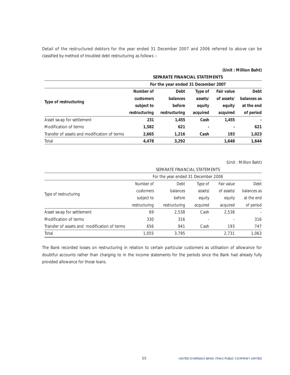Detail of the restructured debtors for the year ended 31 December 2007 and 2006 referred to above can be classified by method of troubled debt restructuring as follows :-

|  |  | (Unit: Million Baht) |  |
|--|--|----------------------|--|
|--|--|----------------------|--|

|                                              | SEPARATE FINANCIAL STATEMENTS |                                     |          |                   |             |  |
|----------------------------------------------|-------------------------------|-------------------------------------|----------|-------------------|-------------|--|
|                                              |                               | For the year ended 31 December 2007 |          |                   |             |  |
|                                              | Number of                     | Debt                                | Type of  | <b>Fair value</b> | Debt        |  |
| Type of restructuring                        | customers                     | balances                            | assets/  | of assets/        | balances as |  |
|                                              | subject to                    | before                              | equity   | equity            | at the end  |  |
|                                              | restructuring                 | restructuring                       | acquired | acquired          | of period   |  |
| Asset swap for settlement                    | 231                           | 1,455                               | Cash     | 1,455             |             |  |
| Modification of terms                        | 1,582                         | 621                                 |          |                   | 621         |  |
| Transfer of assets and modification of terms | 2,665                         | 1,216                               | Cash     | 193               | 1,023       |  |
| Total                                        | 4,478                         | 3.292                               |          | 1.648             | 1,644       |  |

(Unit : Million Baht)

|                                              | SEPARATE FINANCIAL STATEMENTS |                                     |          |            |             |  |
|----------------------------------------------|-------------------------------|-------------------------------------|----------|------------|-------------|--|
|                                              |                               | For the year ended 31 December 2006 |          |            |             |  |
|                                              | Number of                     | Debt                                | Type of  | Fair value | Debt        |  |
| Type of restructuring                        | customers                     | balances                            | assets/  | of assets/ | balances as |  |
|                                              | subject to                    | before                              | equity   | equity     | at the end  |  |
|                                              | restructuring                 | restructuring                       | acquired | acquired   | of period   |  |
| Asset swap for settlement                    | 69                            | 2,538                               | Cash     | 2,538      |             |  |
| Modification of terms                        | 330                           | 316                                 |          |            | 316         |  |
| Transfer of assets and modification of terms | 656                           | 941                                 | Cash     | 193        | 747         |  |
| Total                                        | 1,055                         | 3.795                               |          | 2,731      | 1,063       |  |

The Bank recorded losses on restructuring in relation to certain particular customers as utilisation of allowance for doubtful accounts rather than charging to in the income statements for the periods since the Bank had already fully provided allowance for those loans.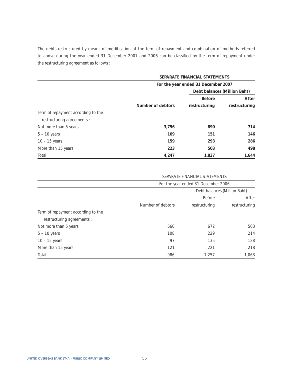The debts restructured by means of modification of the term of repayment and combination of methods referred to above during the year ended 31 December 2007 and 2006 can be classified by the term of repayment under the restructuring agreement as follows :

|                                    | SEPARATE FINANCIAL STATEMENTS       |               |                              |  |  |
|------------------------------------|-------------------------------------|---------------|------------------------------|--|--|
|                                    | For the year ended 31 December 2007 |               |                              |  |  |
|                                    |                                     |               | Debt balances (Million Baht) |  |  |
|                                    |                                     | <b>Before</b> | After                        |  |  |
|                                    | Number of debtors                   | restructuring | restructuring                |  |  |
| Term of repayment according to the |                                     |               |                              |  |  |
| restructuring agreements :         |                                     |               |                              |  |  |
| Not more than 5 years              | 3,756                               | 890           | 714                          |  |  |
| $5 - 10$ years                     | 109                                 | 151           | 146                          |  |  |
| $10 - 15$ years                    | 159                                 | 293           | 286                          |  |  |
| More than 15 years                 | 223                                 | 503           | 498                          |  |  |
| Total                              | 4,247                               | 1,837         | 1,644                        |  |  |

### SEPARATE FINANCIAL STATEMENTS

|                                    | For the year ended 31 December 2006 |                              |               |  |  |
|------------------------------------|-------------------------------------|------------------------------|---------------|--|--|
|                                    |                                     | Debt balances (Million Baht) |               |  |  |
|                                    |                                     | Before                       | After         |  |  |
|                                    | Number of debtors                   | restructuring                | restructuring |  |  |
| Term of repayment according to the |                                     |                              |               |  |  |
| restructuring agreements :         |                                     |                              |               |  |  |
| Not more than 5 years              | 660                                 | 672                          | 503           |  |  |
| $5 - 10$ years                     | 108                                 | 229                          | 214           |  |  |
| $10 - 15$ years                    | 97                                  | 135                          | 128           |  |  |
| More than 15 years                 | 121                                 | 221                          | 218           |  |  |
| Total                              | 986                                 | 1.257                        | 1,063         |  |  |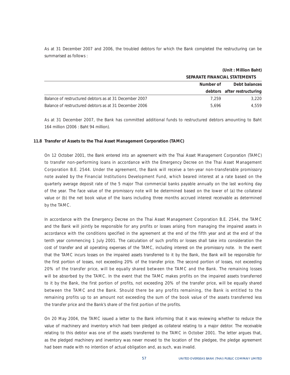As at 31 December 2007 and 2006, the troubled debtors for which the Bank completed the restructuring can be summarised as follows :

|                                                        | (Unit: Million Baht)          |                             |  |
|--------------------------------------------------------|-------------------------------|-----------------------------|--|
|                                                        | SEPARATE FINANCIAL STATEMENTS |                             |  |
|                                                        | Number of                     | Debt balances               |  |
|                                                        |                               | debtors after restructuring |  |
| Balance of restructured debtors as at 31 December 2007 | 7.259                         | 3.220                       |  |
| Balance of restructured debtors as at 31 December 2006 | 5.696                         | 4.559                       |  |

As at 31 December 2007, the Bank has committed additional funds to restructured debtors amounting to Baht 164 million (2006 : Baht 94 million).

#### **11.8 Transfer of Assets to the Thai Asset Management Corporation (TAMC)**

On 12 October 2001, the Bank entered into an agreement with the Thai Asset Management Corporation (TAMC) to transfer non-performing loans in accordance with the Emergency Decree on the Thai Asset Management Corporation B.E. 2544. Under the agreement, the Bank will receive a ten-year non-transferable promissory note avaled by the Financial Institutions Development Fund, which beared interest at a rate based on the quarterly average deposit rate of the 5 major Thai commercial banks payable annually on the last working day of the year. The face value of the promissory note will be determined based on the lower of (a) the collateral value or (b) the net book value of the loans including three months accrued interest receivable as determined by the TAMC.

In accordance with the Emergency Decree on the Thai Asset Management Corporation B.E. 2544, the TAMC and the Bank will jointly be responsible for any profits or losses arising from managing the impaired assets in accordance with the conditions specified in the agreement at the end of the fifth year and at the end of the tenth year commencing 1 July 2001. The calculation of such profits or losses shall take into consideration the cost of transfer and all operating expenses of the TAMC, including interest on the promissory note. In the event that the TAMC incurs losses on the impaired assets transferred to it by the Bank, the Bank will be responsible for the first portion of losses, not exceeding 20% of the transfer price. The second portion of losses, not exceeding 20% of the transfer price, will be equally shared between the TAMC and the Bank. The remaining losses will be absorbed by the TAMC. In the event that the TAMC makes profits on the impaired assets transferred to it by the Bank, the first portion of profits, not exceeding 20% of the transfer price, will be equally shared between the TAMC and the Bank. Should there be any profits remaining, the Bank is entitled to the remaining profits up to an amount not exceeding the sum of the book value of the assets transferred less the transfer price and the Bank's share of the first portion of the profits.

On 20 May 2004, the TAMC issued a letter to the Bank informing that it was reviewing whether to reduce the value of machinery and inventory which had been pledged as collateral relating to a major debtor. The receivable relating to this debtor was one of the assets transferred to the TAMC in October 2001. The letter argues that, as the pledged machinery and inventory was never moved to the location of the pledgee, the pledge agreement had been made with no intention of actual obligation and, as such, was invalid.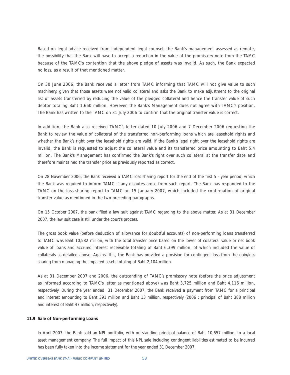Based on legal advice received from independent legal counsel, the Bank's management assessed as remote, the possibility that the Bank will have to accept a reduction in the value of the promissory note from the TAMC because of the TAMC's contention that the above pledge of assets was invalid. As such, the Bank expected no loss, as a result of that mentioned matter.

On 30 June 2006, the Bank received a letter from TAMC informing that TAMC will not give value to such machinery, given that those assets were not valid collateral and asks the Bank to make adjustment to the original list of assets transferred by reducing the value of the pledged collateral and hence the transfer value of such debtor totaling Baht 1,660 million. However, the Bank's Management does not agree with TAMC's position. The Bank has written to the TAMC on 31 July 2006 to confirm that the original transfer value is correct.

In addition, the Bank also received TAMC's letter dated 10 July 2006 and 7 December 2006 requesting the Bank to review the value of collateral of the transferred non-performing loans which are leasehold rights and whether the Bank's right over the leasehold rights are valid. If the Bank's legal right over the leasehold rights are invalid, the Bank is requested to adjust the collateral value and its transferred price amounting to Baht 5.4 million. The Bank's Management has confirmed the Bank's right over such collateral at the transfer date and therefore maintained the transfer price as previously reported as correct.

On 28 November 2006, the Bank received a TAMC loss sharing report for the end of the first 5 - year period, which the Bank was required to inform TAMC if any disputes arose from such report. The Bank has responded to the TAMC on the loss sharing report to TAMC on 15 January 2007, which included the confirmation of original transfer value as mentioned in the two preceding paragraphs.

On 15 October 2007, the bank filed a law suit against TAMC regarding to the above matter. As at 31 December 2007, the law suit case is still under the court's process.

The gross book value (before deduction of allowance for doubtful accounts) of non-performing loans transferred to TAMC was Baht 10,582 million, with the total transfer price based on the lower of collateral value or net book value of loans and accrued interest receivable totaling of Baht 6,399 million, of which included the value of collaterals as detailed above. Against this, the Bank has provided a provision for contingent loss from the gain/loss sharing from managing the impaired assets totaling of Baht 2,104 million.

As at 31 December 2007 and 2006, the outstanding of TAMC's promissory note (before the price adjustment as informed according to TAMC's letter as mentioned above) was Baht 3,725 million and Baht 4,116 million, respectively. During the year ended 31 December 2007, the Bank received a payment from TAMC for a principal and interest amounting to Baht 391 million and Baht 13 million, respectively (2006 : principal of Baht 388 million and interest of Baht 47 million, respectively).

#### **11.9 Sale of Non-performing Loans**

In April 2007, the Bank sold an NPL portfolio, with outstanding principal balance of Baht 10,657 million, to a local asset management company. The full impact of this NPL sale including contingent liabilities estimated to be incurred has been fully taken into the income statement for the year ended 31 December 2007.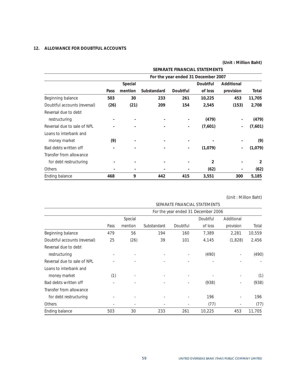# **12. ALLOWANCE FOR DOUBTFUL ACCOUNTS**

|                              |                          |                          |                               |                          |                                     | JUIN DAILIUI DAIN |                |  |
|------------------------------|--------------------------|--------------------------|-------------------------------|--------------------------|-------------------------------------|-------------------|----------------|--|
|                              |                          |                          | SEPARATE FINANCIAL STATEMENTS |                          |                                     |                   |                |  |
|                              |                          |                          |                               |                          | For the year ended 31 December 2007 |                   |                |  |
|                              |                          | Special                  |                               |                          | Doubtful                            | Additional        |                |  |
|                              | Pass                     | mention                  | Substandard                   | Doubtful                 | of loss                             | provision         | Total          |  |
| Beginning balance            | 503                      | 30                       | 233                           | 261                      | 10,225                              | 453               | 11,705         |  |
| Doubtful accounts (reversal) | (26)                     | (21)                     | 209                           | 154                      | 2,545                               | (153)             | 2,708          |  |
| Reversal due to debt         |                          |                          |                               |                          |                                     |                   |                |  |
| restructuring                |                          |                          |                               |                          | (479)                               |                   | (479)          |  |
| Reversal due to sale of NPL  |                          |                          |                               | $\overline{\phantom{0}}$ | (7,601)                             | $\overline{a}$    | (7,601)        |  |
| Loans to interbank and       |                          |                          |                               |                          |                                     |                   |                |  |
| money market                 | (9)                      |                          |                               |                          |                                     |                   | (9)            |  |
| Bad debts written off        | $\overline{\phantom{a}}$ | ٠                        | $\overline{a}$                |                          | (1,079)                             |                   | (1,079)        |  |
| Transfer from allowance      |                          |                          |                               |                          |                                     |                   |                |  |
| for debt restructuring       |                          | $\overline{\phantom{a}}$ |                               |                          | 2                                   |                   | $\overline{2}$ |  |
| <b>Others</b>                |                          | $\blacksquare$           |                               |                          | (62)                                |                   | (62)           |  |
| Ending balance               | 468                      | 9                        | 442                           | 415                      | 3,551                               | 300               | 5,185          |  |

(Unit : Million Baht)

| SEPARATE FINANCIAL STATEMENTS |      |         |             |          |                                     |            |        |
|-------------------------------|------|---------|-------------|----------|-------------------------------------|------------|--------|
|                               |      |         |             |          | For the year ended 31 December 2006 |            |        |
|                               |      | Special |             |          | Doubtful                            | Additional |        |
|                               | Pass | mention | Substandard | Doubtful | of loss                             | provision  | Total  |
| Beginning balance             | 479  | 56      | 194         | 160      | 7,389                               | 2,281      | 10,559 |
| Doubtful accounts (reversal)  | 25   | (26)    | 39          | 101      | 4,145                               | (1,828)    | 2,456  |
| Reversal due to debt          |      |         |             |          |                                     |            |        |
| restructuring                 |      |         |             |          | (490)                               |            | (490)  |
| Reversal due to sale of NPL   |      |         |             |          |                                     |            |        |
| Loans to interbank and        |      |         |             |          |                                     |            |        |
| money market                  | (1)  |         |             | ٠        |                                     |            | (1)    |
| Bad debts written off         |      |         |             |          | (938)                               |            | (938)  |
| Transfer from allowance       |      |         |             |          |                                     |            |        |
| for debt restructuring        |      |         |             |          | 196                                 |            | 196    |
| <b>Others</b>                 |      | ٠       | ٠           | ٠        | (77)                                |            | (77)   |
| Ending balance                | 503  | 30      | 233         | 261      | 10,225                              | 453        | 11,705 |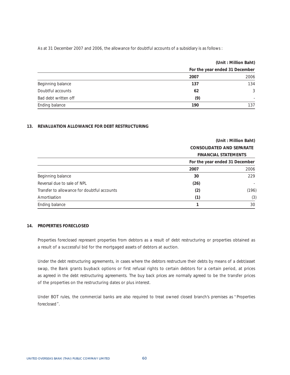As at 31 December 2007 and 2006, the allowance for doubtful accounts of a subsidiary is as follows :

|                      |      | (Unit: Million Baht)           |  |  |
|----------------------|------|--------------------------------|--|--|
|                      |      | For the year ended 31 December |  |  |
|                      | 2007 | 2006                           |  |  |
| Beginning balance    | 137  | 134                            |  |  |
| Doubtful accounts    | 62   | 3                              |  |  |
| Bad debt written off | (9)  |                                |  |  |
| Ending balance       | 190  | 137                            |  |  |

### **13. REVALUATION ALLOWANCE FOR DEBT RESTRUCTURING**

|                                             |                                                                 | (Unit: Million Baht) |  |
|---------------------------------------------|-----------------------------------------------------------------|----------------------|--|
|                                             | <b>CONSOLIDATED AND SEPARATE</b><br><b>FINANCIAL STATEMENTS</b> |                      |  |
|                                             |                                                                 |                      |  |
|                                             | For the year ended 31 December                                  |                      |  |
|                                             | 2007                                                            | 2006                 |  |
| Beginning balance                           | 30                                                              | 229                  |  |
| Reversal due to sale of NPL                 | (26)                                                            |                      |  |
| Transfer to allowance for doubtful accounts | (2)                                                             | (196)                |  |
| Amortisation                                | (1)                                                             | (3)                  |  |
| Ending balance                              |                                                                 | 30                   |  |

### **14. PROPERTIES FORECLOSED**

Properties foreclosed represent properties from debtors as a result of debt restructuring or properties obtained as a result of a successful bid for the mortgaged assets of debtors at auction.

Under the debt restructuring agreements, in cases where the debtors restructure their debts by means of a debt/asset swap, the Bank grants buyback options or first refusal rights to certain debtors for a certain period, at prices as agreed in the debt restructuring agreements. The buy back prices are normally agreed to be the transfer prices of the properties on the restructuring dates or plus interest.

Under BOT rules, the commercial banks are also required to treat owned closed branch's premises as "Properties foreclosed".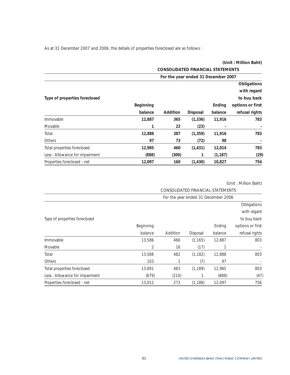As at 31 December 2007 and 2006, the details of properties foreclosed are as follows :

|                                | (Unit: Million Baht) |                                          |                 |          |                  |  |  |
|--------------------------------|----------------------|------------------------------------------|-----------------|----------|------------------|--|--|
|                                |                      | <b>CONSOLIDATED FINANCIAL STATEMENTS</b> |                 |          |                  |  |  |
|                                |                      | For the year ended 31 December 2007      |                 |          |                  |  |  |
|                                |                      |                                          |                 |          | Obligations      |  |  |
|                                |                      |                                          |                 |          | with regard      |  |  |
| Type of properties foreclosed  |                      |                                          |                 |          | to buy back      |  |  |
|                                | Beginning            |                                          |                 | Ending   | options or first |  |  |
|                                | balance              | Addition                                 | <b>Disposal</b> | balance  | refusal rights   |  |  |
| Immovable                      | 12,887               | 365                                      | (1, 336)        | 11,916   | 783              |  |  |
| Movable                        |                      | 22                                       | (23)            |          |                  |  |  |
| Total                          | 12,888               | 387                                      | (1, 359)        | 11,916   | 783              |  |  |
| Others                         | 97                   | 73                                       | (72)            | 98       |                  |  |  |
| Total properties foreclosed    | 12,985               | 460                                      | (1, 431)        | 12,014   | 783              |  |  |
| Less: Allowance for impairment | (888)                | (300)                                    | 1               | (1, 187) | (29)             |  |  |
| Properties foreclosed - net    | 12,097               | 160                                      | (1, 430)        | 10,827   | 754              |  |  |

|                                 | CONSOLIDATED FINANCIAL STATEMENTS   |          |          |         |                  |  |  |
|---------------------------------|-------------------------------------|----------|----------|---------|------------------|--|--|
|                                 | For the year ended 31 December 2006 |          |          |         |                  |  |  |
|                                 |                                     |          |          |         | Obligations      |  |  |
|                                 |                                     |          |          |         | with regard      |  |  |
| Type of properties foreclosed   |                                     |          |          |         | to buy back      |  |  |
|                                 | Beginning                           |          |          | Ending  | options or first |  |  |
|                                 | balance                             | Addition | Disposal | balance | refusal rights   |  |  |
| Immovable                       | 13,586                              | 466      | (1, 165) | 12,887  | 803              |  |  |
| Movable                         | 2                                   | 16       | (17)     |         |                  |  |  |
| Total                           | 13,588                              | 482      | (1, 182) | 12,888  | 803              |  |  |
| Others                          | 103                                 |          | (7)      | 97      |                  |  |  |
| Total properties foreclosed     | 13,691                              | 483      | (1, 189) | 12,985  | 803              |  |  |
| Less : Allowance for impairment | (679)                               | (210)    |          | (888)   | (47)             |  |  |
| Properties foreclosed - net     | 13,012                              | 273      | (1, 188) | 12.097  | 756              |  |  |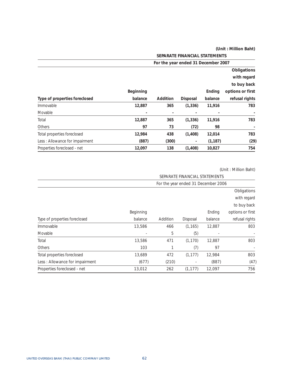|                                |                                     |                 | SEPARATE FINANCIAL STATEMENTS |          |                  |  |
|--------------------------------|-------------------------------------|-----------------|-------------------------------|----------|------------------|--|
|                                | For the year ended 31 December 2007 |                 |                               |          |                  |  |
|                                |                                     |                 |                               |          | Obligations      |  |
|                                |                                     |                 |                               |          | with regard      |  |
|                                |                                     |                 |                               |          | to buy back      |  |
|                                | Beginning                           |                 |                               | Ending   | options or first |  |
| Type of properties foreclosed  | balance                             | <b>Addition</b> | <b>Disposal</b>               | balance  | refusal rights   |  |
| Immovable                      | 12,887                              | 365             | (1, 336)                      | 11,916   | 783              |  |
| Movable                        | $\blacksquare$                      | ٠               |                               |          |                  |  |
| Total                          | 12,887                              | 365             | (1, 336)                      | 11,916   | 783              |  |
| <b>Others</b>                  | 97                                  | 73              | (72)                          | 98       |                  |  |
| Total properties foreclosed    | 12,984                              | 438             | (1, 408)                      | 12,014   | 783              |  |
| Less: Allowance for impairment | (887)                               | (300)           | $\blacksquare$                | (1, 187) | (29)             |  |
| Properties foreclosed - net    | 12,097                              | 138             | (1, 408)                      | 10,827   | 754              |  |

|                                | SEPARATE FINANCIAL STATEMENTS       |             |          |         |                  |  |  |
|--------------------------------|-------------------------------------|-------------|----------|---------|------------------|--|--|
|                                | For the year ended 31 December 2006 |             |          |         |                  |  |  |
|                                |                                     | Obligations |          |         |                  |  |  |
|                                |                                     |             |          |         | with regard      |  |  |
|                                |                                     |             |          |         | to buy back      |  |  |
|                                | Beginning                           |             |          | Ending  | options or first |  |  |
| Type of properties foreclosed  | balance                             | Addition    | Disposal | balance | refusal rights   |  |  |
| Immovable                      | 13,586                              | 466         | (1, 165) | 12,887  | 803              |  |  |
| Movable                        | ٠                                   | 5           | (5)      | $\sim$  |                  |  |  |
| Total                          | 13,586                              | 471         | (1, 170) | 12,887  | 803              |  |  |
| Others                         | 103                                 | 1           | (7)      | 97      |                  |  |  |
| Total properties foreclosed    | 13,689                              | 472         | (1, 177) | 12.984  | 803              |  |  |
| Less: Allowance for impairment | (677)                               | (210)       |          | (887)   | (47)             |  |  |
| Properties foreclosed - net    | 13,012                              | 262         | (1, 177) | 12,097  | 756              |  |  |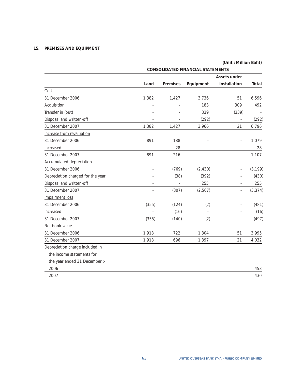# **15. PREMISES AND EQUIPMENT**

|                                   | <b>CONSOLIDATED FINANCIAL STATEMENTS</b> |                 |           |                          |          |  |  |  |
|-----------------------------------|------------------------------------------|-----------------|-----------|--------------------------|----------|--|--|--|
|                                   |                                          |                 |           | <b>Assets under</b>      |          |  |  |  |
|                                   | Land                                     | <b>Premises</b> | Equipment | installation             | Total    |  |  |  |
| Cost                              |                                          |                 |           |                          |          |  |  |  |
| 31 December 2006                  | 1,382                                    | 1,427           | 3,736     | 51                       | 6,596    |  |  |  |
| Acquisition                       |                                          |                 | 183       | 309                      | 492      |  |  |  |
| Transfer in (out)                 |                                          |                 | 339       | (339)                    |          |  |  |  |
| Disposal and written-off          | $\overline{\phantom{a}}$                 |                 | (292)     | $\overline{\phantom{a}}$ | (292)    |  |  |  |
| 31 December 2007                  | 1,382                                    | 1,427           | 3,966     | 21                       | 6,796    |  |  |  |
| Increase from revaluation         |                                          |                 |           |                          |          |  |  |  |
| 31 December 2006                  | 891                                      | 188             |           |                          | 1,079    |  |  |  |
| Increased                         |                                          | 28              |           |                          | 28       |  |  |  |
| 31 December 2007                  | 891                                      | 216             |           |                          | 1,107    |  |  |  |
| <b>Accumulated depreciation</b>   |                                          |                 |           |                          |          |  |  |  |
| 31 December 2006                  |                                          | (769)           | (2, 430)  |                          | (3, 199) |  |  |  |
| Depreciation charged for the year |                                          | (38)            | (392)     |                          | (430)    |  |  |  |
| Disposal and written-off          |                                          |                 | 255       |                          | 255      |  |  |  |
| 31 December 2007                  |                                          | (807)           | (2, 567)  |                          | (3, 374) |  |  |  |
| Impairment loss                   |                                          |                 |           |                          |          |  |  |  |
| 31 December 2006                  | (355)                                    | (124)           | (2)       |                          | (481)    |  |  |  |
| Increased                         | $\overline{\phantom{a}}$                 | (16)            | $\sim$    | ä,                       | (16)     |  |  |  |
| 31 December 2007                  | (355)                                    | (140)           | (2)       |                          | (497)    |  |  |  |
| Net book value                    |                                          |                 |           |                          |          |  |  |  |
| 31 December 2006                  | 1,918                                    | 722             | 1,304     | 51                       | 3,995    |  |  |  |
| 31 December 2007                  | 1,918                                    | 696             | 1,397     | 21                       | 4,032    |  |  |  |
| Depreciation charge included in   |                                          |                 |           |                          |          |  |  |  |
| the income statements for         |                                          |                 |           |                          |          |  |  |  |
| the year ended 31 December :-     |                                          |                 |           |                          |          |  |  |  |
| 2006                              |                                          |                 |           |                          | 453      |  |  |  |
| 2007                              |                                          |                 |           |                          | 430      |  |  |  |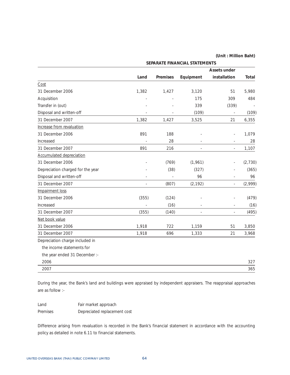|                                   | SEPARATE FINANCIAL STATEMENTS |                 |           |                     |              |  |  |
|-----------------------------------|-------------------------------|-----------------|-----------|---------------------|--------------|--|--|
|                                   |                               |                 |           | <b>Assets under</b> |              |  |  |
|                                   | Land                          | <b>Premises</b> | Equipment | installation        | <b>Total</b> |  |  |
| Cost                              |                               |                 |           |                     |              |  |  |
| 31 December 2006                  | 1,382                         | 1,427           | 3,120     | 51                  | 5,980        |  |  |
| Acquisition                       |                               |                 | 175       | 309                 | 484          |  |  |
| Transfer in (out)                 |                               |                 | 339       | (339)               |              |  |  |
| Disposal and written-off          |                               |                 | (109)     |                     | (109)        |  |  |
| 31 December 2007                  | 1,382                         | 1,427           | 3,525     | 21                  | 6,355        |  |  |
| Increase from revaluation         |                               |                 |           |                     |              |  |  |
| 31 December 2006                  | 891                           | 188             |           |                     | 1,079        |  |  |
| Increased                         |                               | 28              |           |                     | 28           |  |  |
| 31 December 2007                  | 891                           | 216             |           | ÷,                  | 1,107        |  |  |
| <b>Accumulated depreciation</b>   |                               |                 |           |                     |              |  |  |
| 31 December 2006                  |                               | (769)           | (1,961)   |                     | (2,730)      |  |  |
| Depreciation charged for the year |                               | (38)            | (327)     |                     | (365)        |  |  |
| Disposal and written-off          |                               |                 | 96        |                     | 96           |  |  |
| 31 December 2007                  |                               | (807)           | (2, 192)  |                     | (2,999)      |  |  |
| Impairment loss                   |                               |                 |           |                     |              |  |  |
| 31 December 2006                  | (355)                         | (124)           |           |                     | (479)        |  |  |
| Increased                         |                               | (16)            |           |                     | (16)         |  |  |
| 31 December 2007                  | (355)                         | (140)           |           |                     | (495)        |  |  |
| Net book value                    |                               |                 |           |                     |              |  |  |
| 31 December 2006                  | 1,918                         | 722             | 1,159     | 51                  | 3,850        |  |  |
| 31 December 2007                  | 1,918                         | 696             | 1,333     | 21                  | 3,968        |  |  |
| Depreciation charge included in   |                               |                 |           |                     |              |  |  |
| the income statements for         |                               |                 |           |                     |              |  |  |
| the year ended 31 December :-     |                               |                 |           |                     |              |  |  |
| 2006                              |                               |                 |           |                     | 327          |  |  |
| 2007                              |                               |                 |           |                     | 365          |  |  |

During the year, the Bank's land and buildings were appraised by independent appraisers. The reappraisal approaches are as follow :-

Land Fair market approach Premises Depreciated replacement cost

Difference arising from revaluation is recorded in the Bank's financial statement in accordance with the accounting policy as detailed in note 6.11 to financial statements.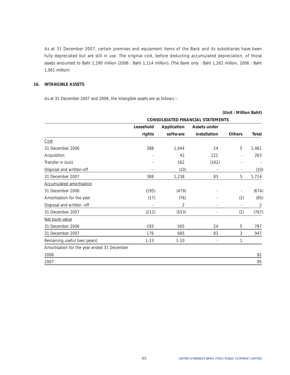As at 31 December 2007, certain premises and equipment items of the Bank and its subsidiaries have been fully depreciated but are still in use. The original cost, before deducting accumulated depreciation, of those assets amounted to Baht 1,290 million (2006 : Baht 1,114 million). (The Bank only : Baht 1,262 million, 2006 : Baht 1,061 million)

### **16. INTANGIBLE ASSETS**

As at 31 December 2007 and 2006, the intangible assets are as follows :-

|                                             |           |             |                                          | (Unit: Million Baht)     |       |
|---------------------------------------------|-----------|-------------|------------------------------------------|--------------------------|-------|
|                                             |           |             | <b>CONSOLIDATED FINANCIAL STATEMENTS</b> |                          |       |
|                                             | Leasehold | Application | <b>Assets under</b>                      |                          |       |
|                                             | rights    | software    | installation                             | <b>Others</b>            | Total |
| Cost                                        |           |             |                                          |                          |       |
| 31 December 2006                            | 388       | 1,044       | 24                                       | 5                        | 1,461 |
| Acquisition                                 |           | 42          | 221                                      | ÷,                       | 263   |
| Transfer in (out)                           |           | 162         | (162)                                    | ÷                        |       |
| Disposal and written-off                    |           | (10)        |                                          | $\overline{\phantom{a}}$ | (10)  |
| 31 December 2007                            | 388       | 1,238       | 83                                       | 5                        | 1,714 |
| <b>Accumulated amortisation</b>             |           |             |                                          |                          |       |
| 31 December 2006                            | (195)     | (479)       |                                          | $\overline{a}$           | (674) |
| Amortisation for the year                   | (17)      | (76)        |                                          | (2)                      | (95)  |
| Disposal and written -off                   |           | 2           |                                          | ä,                       | 2     |
| 31 December 2007                            | (212)     | (553)       |                                          | (2)                      | (767) |
| Net book value                              |           |             |                                          |                          |       |
| 31 December 2006                            | 193       | 565         | 24                                       | 5                        | 787   |
| 31 December 2007                            | 176       | 685         | 83                                       | 3                        | 947   |
| Remaining useful lives (years)              | $1 - 23$  | $1 - 10$    |                                          | 1                        |       |
| Amortisation for the year ended 31 December |           |             |                                          |                          |       |
| 2006                                        |           |             |                                          |                          | 82    |
| 2007                                        |           |             |                                          |                          | 95    |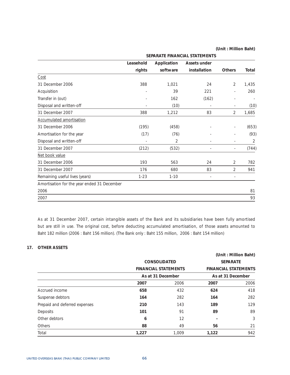|                                             |           | SEPARATE FINANCIAL STATEMENTS |                          |                          |       |  |  |  |  |
|---------------------------------------------|-----------|-------------------------------|--------------------------|--------------------------|-------|--|--|--|--|
|                                             | Leasehold | Application                   | Assets under             |                          |       |  |  |  |  |
|                                             | rights    | software                      | installation             | <b>Others</b>            | Total |  |  |  |  |
| Cost                                        |           |                               |                          |                          |       |  |  |  |  |
| 31 December 2006                            | 388       | 1,021                         | 24                       | 2                        | 1,435 |  |  |  |  |
| Acquisition                                 |           | 39                            | 221                      | ä,                       | 260   |  |  |  |  |
| Transfer in (out)                           |           | 162                           | (162)                    | ÷                        |       |  |  |  |  |
| Disposal and written-off                    |           | (10)                          |                          | ×,                       | (10)  |  |  |  |  |
| 31 December 2007                            | 388       | 1,212                         | 83                       | 2                        | 1,685 |  |  |  |  |
| Accumulated amortisation                    |           |                               |                          |                          |       |  |  |  |  |
| 31 December 2006                            | (195)     | (458)                         |                          |                          | (653) |  |  |  |  |
| Amortisation for the year                   | (17)      | (76)                          |                          |                          | (93)  |  |  |  |  |
| Disposal and written-off                    |           | 2                             |                          | ä,                       | 2     |  |  |  |  |
| 31 December 2007                            | (212)     | (532)                         |                          | ×,                       | (744) |  |  |  |  |
| Net book value                              |           |                               |                          |                          |       |  |  |  |  |
| 31 December 2006                            | 193       | 563                           | 24                       | 2                        | 782   |  |  |  |  |
| 31 December 2007                            | 176       | 680                           | 83                       | $\overline{2}$           | 941   |  |  |  |  |
| Remaining useful lives (years)              | $1 - 23$  | $1 - 10$                      | $\overline{\phantom{a}}$ | $\overline{\phantom{a}}$ |       |  |  |  |  |
| Amortisation for the year ended 31 December |           |                               |                          |                          |       |  |  |  |  |
| 2006                                        |           |                               |                          |                          | 81    |  |  |  |  |
| 2007                                        |           |                               |                          |                          | 93    |  |  |  |  |

As at 31 December 2007, certain intangible assets of the Bank and its subsidiaries have been fully amortised but are still in use. The original cost, before deducting accumulated amortisation, of those assets amounted to Baht 182 million (2006 : Baht 156 million). (The Bank only : Baht 155 million, 2006 : Baht 154 million)

# **17. OTHER ASSETS**

|                               |                     |                             |                   | (Unit: Million Baht)        |  |
|-------------------------------|---------------------|-----------------------------|-------------------|-----------------------------|--|
|                               | <b>CONSOLIDATED</b> |                             | <b>SEPARATE</b>   |                             |  |
|                               |                     | <b>FINANCIAL STATEMENTS</b> |                   | <b>FINANCIAL STATEMENTS</b> |  |
|                               |                     | As at 31 December           | As at 31 December |                             |  |
|                               | 2007                | 2006                        | 2007              | 2006                        |  |
| Accrued income                | 658                 | 432                         | 624               | 418                         |  |
| Suspense debtors              | 164                 | 282                         | 164               | 282                         |  |
| Prepaid and deferred expenses | 210                 | 143                         | 189               | 129                         |  |
| Deposits                      | 101                 | 91                          | 89                | 89                          |  |
| Other debtors                 | 6                   | 12                          |                   | 3                           |  |
| Others                        | 88                  | 49                          | 56                | 21                          |  |
| Total                         | 1,227               | 1,009                       | 1,122             | 942                         |  |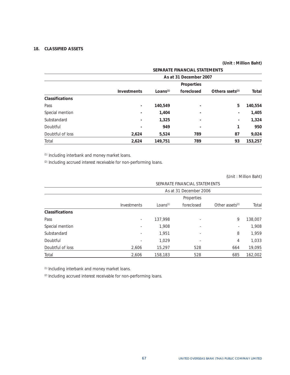### **18. CLASSIFIED ASSETS**

# **(Unit : Million Baht)**

|                        |                          |                        | SEPARATE FINANCIAL STATEMENTS |                          |         |  |  |  |
|------------------------|--------------------------|------------------------|-------------------------------|--------------------------|---------|--|--|--|
|                        |                          | As at 31 December 2007 |                               |                          |         |  |  |  |
|                        |                          |                        | Properties                    |                          |         |  |  |  |
|                        | <b>Investments</b>       | Loans <sup>(1)</sup>   | foreclosed                    | Othera ssets $(2)$       | Total   |  |  |  |
| <b>Classifications</b> |                          |                        |                               |                          |         |  |  |  |
| Pass                   | $\overline{\phantom{a}}$ | 140,549                | $\overline{\phantom{0}}$      | 5                        | 140,554 |  |  |  |
| Special mention        | $\overline{\phantom{a}}$ | 1.404                  | $\overline{\phantom{0}}$      | $\overline{\phantom{a}}$ | 1,405   |  |  |  |
| Substandard            | $\overline{\phantom{a}}$ | 1,325                  | $\blacksquare$                | $\overline{\phantom{a}}$ | 1,324   |  |  |  |
| Doubtful               | $\overline{\phantom{a}}$ | 949                    | $\overline{\phantom{a}}$      | 1                        | 950     |  |  |  |
| Doubtful of loss       | 2,624                    | 5,524                  | 789                           | 87                       | 9,024   |  |  |  |
| Total                  | 2,624                    | 149,751                | 789                           | 93                       | 153,257 |  |  |  |

(1) Including interbank and money market loans.

(2) Including accrued interest receivable for non-performing loans.

(Unit : Million Baht)

|                        |                          | SEPARATE FINANCIAL STATEMENTS |            |                          |         |  |  |
|------------------------|--------------------------|-------------------------------|------------|--------------------------|---------|--|--|
|                        | As at 31 December 2006   |                               |            |                          |         |  |  |
|                        |                          |                               | Properties |                          |         |  |  |
|                        | Investments              | Loans $(1)$                   | foreclosed | Other assets $(2)$       | Total   |  |  |
| <b>Classifications</b> |                          |                               |            |                          |         |  |  |
| Pass                   | $\overline{\phantom{a}}$ | 137,998                       | ٠          | 9                        | 138,007 |  |  |
| Special mention        | ٠                        | 1,908                         | ٠          | $\overline{\phantom{a}}$ | 1,908   |  |  |
| Substandard            | ٠                        | 1,951                         | ٠          | 8                        | 1.959   |  |  |
| Doubtful               | $\overline{\phantom{a}}$ | 1.029                         | ٠          | 4                        | 1,033   |  |  |
| Doubtful of loss       | 2,606                    | 15,297                        | 528        | 664                      | 19,095  |  |  |
| Total                  | 2,606                    | 158,183                       | 528        | 685                      | 162,002 |  |  |

(1) Including interbank and money market loans.

(2) Including accrued interest receivable for non-performing loans.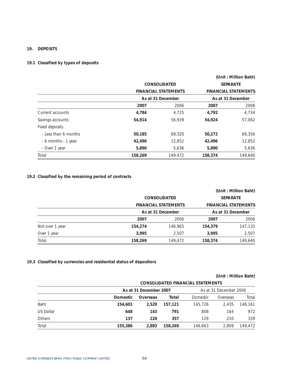### **19. DEPOSITS**

# **19.1 Classified by types of deposits**

|                      |         |                             |         | (Unit: Million Baht)        |  |  |
|----------------------|---------|-----------------------------|---------|-----------------------------|--|--|
|                      |         | <b>CONSOLIDATED</b>         |         | <b>SEPARATE</b>             |  |  |
|                      |         | <b>FINANCIAL STATEMENTS</b> |         | <b>FINANCIAL STATEMENTS</b> |  |  |
|                      |         | As at 31 December           |         | As at 31 December           |  |  |
|                      | 2007    | 2006                        | 2007    | 2006                        |  |  |
| Current accounts     | 4,784   | 4,725                       | 4,792   | 4,734                       |  |  |
| Savings accounts     | 54,914  | 56.939                      | 54,924  | 57,062                      |  |  |
| Fixed deposits       |         |                             |         |                             |  |  |
| - Less than 6 months | 50,185  | 69,320                      | 50,272  | 69,356                      |  |  |
| - 6 months - 1 year  | 42,496  | 12,852                      | 42,496  | 12,852                      |  |  |
| - Over 1 year        | 5,890   | 5,636                       | 5,890   | 5,636                       |  |  |
| Total                | 158,269 | 149,472                     | 158,374 | 149,640                     |  |  |

# **19.2 Classified by the remaining period of contracts**

|                 |         |                             |         | (Unit: Million Baht)        |
|-----------------|---------|-----------------------------|---------|-----------------------------|
|                 |         | <b>CONSOLIDATED</b>         |         | <b>SEPARATE</b>             |
|                 |         | <b>FINANCIAL STATEMENTS</b> |         | <b>FINANCIAL STATEMENTS</b> |
|                 |         | As at 31 December           |         | As at 31 December           |
|                 | 2007    | 2006                        | 2007    | 2006                        |
| Not over 1 year | 154,274 | 146,965                     | 154,379 | 147,133                     |
| Over 1 year     | 3.995   | 2.507<br>3.995              |         | 2,507                       |
| Total           | 158,269 | 149.472                     | 158,374 | 149.640                     |

# **19.3 Classified by currencies and residential status of depositors**

|               | <b>CONSOLIDATED FINANCIAL STATEMENTS</b> |                        |         |          |                        |         |  |
|---------------|------------------------------------------|------------------------|---------|----------|------------------------|---------|--|
|               |                                          | As at 31 December 2007 |         |          | As at 31 December 2006 |         |  |
|               | <b>Domestic</b>                          | Overseas               | Total   | Domestic | Overseas               | Total   |  |
| Baht          | 154,601                                  | 2.520                  | 157.121 | 145,726  | 2.435                  | 148.161 |  |
| US Dollar     | 648                                      | 143                    | 791     | 808      | 164                    | 972     |  |
| <b>Others</b> | 137                                      | 220                    | 357     | 129      | 210                    | 339     |  |
| Total         | 155,386                                  | 2,883                  | 158,269 | 146,663  | 2.809                  | 149.472 |  |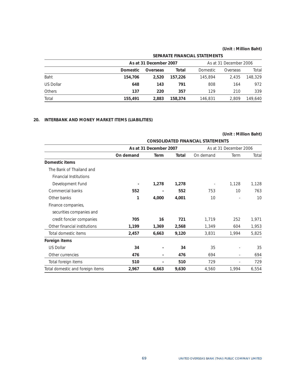|                  | SEPARATE FINANCIAL STATEMENTS |                        |         |          |                        |         |
|------------------|-------------------------------|------------------------|---------|----------|------------------------|---------|
|                  |                               | As at 31 December 2007 |         |          | As at 31 December 2006 |         |
|                  | <b>Domestic</b>               | Overseas               | Total   | Domestic | Overseas               | Total   |
| Baht             | 154,706                       | 2.520                  | 157.226 | 145,894  | 2.435                  | 148.329 |
| <b>US Dollar</b> | 648                           | 143                    | 791     | 808      | 164                    | 972     |
| <b>Others</b>    | 137                           | 220                    | 357     | 129      | 210                    | 339     |
| Total            | 155,491                       | 2,883                  | 158,374 | 146,831  | 2.809                  | 149,640 |

# **20. INTERBANK AND MONEY MARKET ITEMS (LIABILITIES)**

|                                  |           |                        |       |                                          | (Unit: Million Baht)     |       |
|----------------------------------|-----------|------------------------|-------|------------------------------------------|--------------------------|-------|
|                                  |           |                        |       | <b>CONSOLIDATED FINANCIAL STATEMENTS</b> |                          |       |
|                                  |           | As at 31 December 2007 |       |                                          | As at 31 December 2006   |       |
|                                  | On demand | <b>Term</b>            | Total | On demand                                | Term                     | Total |
| Domestic items                   |           |                        |       |                                          |                          |       |
| The Bank of Thailand and         |           |                        |       |                                          |                          |       |
| <b>Financial Institutions</b>    |           |                        |       |                                          |                          |       |
| Development Fund                 |           | 1,278                  | 1,278 |                                          | 1,128                    | 1,128 |
| Commercial banks                 | 552       |                        | 552   | 753                                      | 10                       | 763   |
| Other banks                      | 1         | 4,000                  | 4,001 | 10                                       |                          | 10    |
| Finance companies,               |           |                        |       |                                          |                          |       |
| securities companies and         |           |                        |       |                                          |                          |       |
| credit foncier companies         | 705       | 16                     | 721   | 1,719                                    | 252                      | 1,971 |
| Other financial institutions     | 1,199     | 1,369                  | 2,568 | 1,349                                    | 604                      | 1,953 |
| Total domestic items             | 2,457     | 6,663                  | 9,120 | 3,831                                    | 1,994                    | 5,825 |
| Foreign items                    |           |                        |       |                                          |                          |       |
| <b>US Dollar</b>                 | 34        |                        | 34    | 35                                       |                          | 35    |
| Other currencies                 | 476       |                        | 476   | 694                                      | $\overline{\phantom{0}}$ | 694   |
| Total foreign items              | 510       |                        | 510   | 729                                      |                          | 729   |
| Total domestic and foreign items | 2,967     | 6,663                  | 9,630 | 4,560                                    | 1,994                    | 6,554 |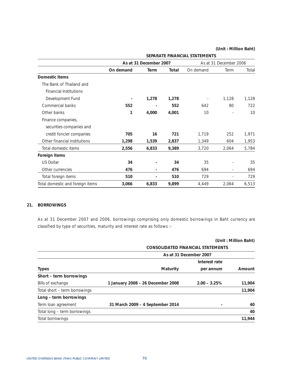|                                  | As at 31 December 2007   |                          |       |                          | As at 31 December 2006   |       |
|----------------------------------|--------------------------|--------------------------|-------|--------------------------|--------------------------|-------|
|                                  | On demand                | <b>Term</b>              | Total | On demand                | Term                     | Total |
| Domestic items                   |                          |                          |       |                          |                          |       |
| The Bank of Thailand and         |                          |                          |       |                          |                          |       |
| <b>Financial Institutions</b>    |                          |                          |       |                          |                          |       |
| Development Fund                 | $\overline{\phantom{0}}$ | 1,278                    | 1,278 | $\overline{\phantom{a}}$ | 1,128                    | 1,128 |
| Commercial banks                 | 552                      |                          | 552   | 642                      | 80                       | 722   |
| Other banks                      | 1                        | 4,000                    | 4,001 | 10                       |                          | 10    |
| Finance companies,               |                          |                          |       |                          |                          |       |
| securities companies and         |                          |                          |       |                          |                          |       |
| credit foncier companies         | 705                      | 16                       | 721   | 1,719                    | 252                      | 1,971 |
| Other financial institutions     | 1,298                    | 1,539                    | 2,837 | 1,349                    | 604                      | 1,953 |
| Total domestic items             | 2,556                    | 6,833                    | 9,389 | 3,720                    | 2,064                    | 5,784 |
| Foreign items                    |                          |                          |       |                          |                          |       |
| <b>US Dollar</b>                 | 34                       | $\overline{\phantom{a}}$ | 34    | 35                       |                          | 35    |
| Other currencies                 | 476                      | $\overline{\phantom{a}}$ | 476   | 694                      | $\overline{\phantom{0}}$ | 694   |
| Total foreign items              | 510                      | $\blacksquare$           | 510   | 729                      | L.                       | 729   |
| Total domestic and foreign items | 3,066                    | 6,833                    | 9,899 | 4,449                    | 2,064                    | 6,513 |

**SEPARATE FINANCIAL STATEMENTS** 

# **21. BORROWINGS**

As at 31 December 2007 and 2006, borrowings comprising only domestic borrowings in Baht currency are classified by type of securities, maturity and interest rate as follows :-

|                               | (Unit: Million Baht)<br><b>CONSOLIDATED FINANCIAL STATEMENTS</b> |                 |        |  |  |
|-------------------------------|------------------------------------------------------------------|-----------------|--------|--|--|
|                               |                                                                  |                 |        |  |  |
|                               | As at 31 December 2007                                           |                 |        |  |  |
|                               |                                                                  | Interest rate   |        |  |  |
| <b>Types</b>                  | Maturity                                                         | per annum       | Amount |  |  |
| Short – term borrowings       |                                                                  |                 |        |  |  |
| Bills of exchange             | 1 January 2008 - 26 December 2008                                | $2.00 - 3.25\%$ | 11,904 |  |  |
| Total short – term borrowings |                                                                  |                 | 11,904 |  |  |
| Long - term borrowings        |                                                                  |                 |        |  |  |
| Term loan agreement           | 31 March 2009 - 4 September 2014                                 |                 | 40     |  |  |
| Total long - term borrowings  |                                                                  |                 | 40     |  |  |
| Total borrowings              |                                                                  |                 | 11,944 |  |  |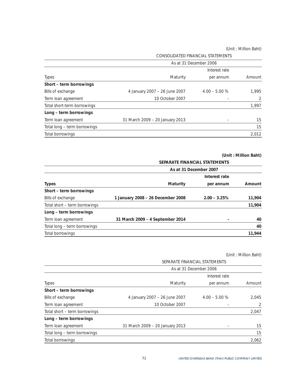|                              | As at 31 December 2006          |                 |        |  |  |
|------------------------------|---------------------------------|-----------------|--------|--|--|
|                              |                                 |                 |        |  |  |
| <b>Types</b>                 | Maturity                        | per annum       | Amount |  |  |
| Short - term borrowings      |                                 |                 |        |  |  |
| Bills of exchange            | 4 January 2007 - 26 June 2007   | $4.00 - 5.00 %$ | 1,995  |  |  |
| Term loan agreement          | 10 October 2007                 | ٠               | 2      |  |  |
| Total short-term borrowings  |                                 |                 | 1,997  |  |  |
| Long - term borrowings       |                                 |                 |        |  |  |
| Term loan agreement          | 31 March 2009 - 20 January 2013 |                 | 15     |  |  |
| Total long - term borrowings |                                 |                 | 15     |  |  |
| Total borrowings             |                                 |                 | 2.012  |  |  |

CONSOLIDATED FINANCIAL STATEMENTS

# **(Unit : Million Baht)**

|                               | SEPARATE FINANCIAL STATEMENTS     |                 |        |  |  |
|-------------------------------|-----------------------------------|-----------------|--------|--|--|
|                               | As at 31 December 2007            |                 |        |  |  |
|                               |                                   | Interest rate   |        |  |  |
| <b>Types</b>                  | Maturity                          | per annum       | Amount |  |  |
| Short - term borrowings       |                                   |                 |        |  |  |
| Bills of exchange             | 1 January 2008 - 26 December 2008 | $2.00 - 3.25\%$ | 11,904 |  |  |
| Total short – term borrowings |                                   |                 | 11,904 |  |  |
| Long – term borrowings        |                                   |                 |        |  |  |
| Term loan agreement           | 31 March 2009 - 4 September 2014  |                 | 40     |  |  |
| Total long - term borrowings  |                                   |                 | 40     |  |  |
| Total borrowings              |                                   |                 | 11,944 |  |  |

|                               | SEPARATE FINANCIAL STATEMENTS   |                 |       |  |  |
|-------------------------------|---------------------------------|-----------------|-------|--|--|
|                               | As at 31 December 2006          |                 |       |  |  |
|                               |                                 | Interest rate   |       |  |  |
| <b>Types</b>                  | Maturity<br>per annum           |                 |       |  |  |
| Short - term borrowings       |                                 |                 |       |  |  |
| Bills of exchange             | 4 January 2007 - 26 June 2007   | $4.00 - 5.00 %$ | 2,045 |  |  |
| Term loan agreement           | 10 October 2007                 |                 | 2     |  |  |
| Total short – term borrowings |                                 |                 | 2,047 |  |  |
| Long - term borrowings        |                                 |                 |       |  |  |
| Term loan agreement           | 31 March 2009 - 20 January 2013 |                 | 15    |  |  |
| Total long - term borrowings  |                                 |                 | 15    |  |  |
| Total borrowings              |                                 |                 | 2,062 |  |  |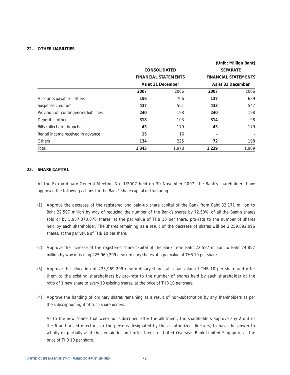## **22. OTHER LIABILITIES**

|                                        |       |                             |       | (Unit: Million Baht)        |
|----------------------------------------|-------|-----------------------------|-------|-----------------------------|
|                                        |       | <b>CONSOLIDATED</b>         |       | <b>SEPARATE</b>             |
|                                        |       | <b>FINANCIAL STATEMENTS</b> |       | <b>FINANCIAL STATEMENTS</b> |
|                                        |       | As at 31 December           |       | As at 31 December           |
|                                        | 2007  | 2006                        | 2007  | 2006                        |
| Accounts payable - others              | 156   | 706                         | 137   | 689                         |
| Suspense creditors                     | 437   | 551                         | 433   | 547                         |
| Provision of contingencies liabilities | 240   | 198                         | 240   | 198                         |
| Deposits - others                      | 318   | 103                         | 314   | 98                          |
| Bills collection - branches            | 43    | 179                         | 43    | 179                         |
| Rental income received in advance      | 15    | 16                          |       |                             |
| Others                                 | 134   | 225                         | 72    | 198                         |
| Total                                  | 1,343 | 1,978                       | 1,239 | 1,909                       |

## **23. SHARE CAPITAL**

At the Extraordinary General Meeting No. 1/2007 held on 30 November 2007, the Bank's shareholders have approved the following actions for the Bank's share capital restructuring.

- (1) Approve the decrease of the registered and paid-up share capital of the Bank from Baht 82,171 million to Baht 22,597 million by way of reducing the number of the Bank's shares by 72.50% of all the Bank's shares sold or by 5,957,370,070 shares, at the par value of THB 10 per share, pro-rata to the number of shares held by each shareholder. The shares remaining as a result of the decrease of shares will be 2,259,692,096 shares, at the par value of THB 10 per share.
- (2) Approve the increase of the registered share capital of the Bank from Baht 22,597 million to Baht 24,857 million by way of issuing 225,969,209 new ordinary shares at a par value of THB 10 per share.
- (3) Approve the allocation of 225,969,209 new ordinary shares at a par value of THB 10 per share and offer them to the existing shareholders by pro-rata to the number of shares held by each shareholder at the ratio of 1 new share to every 10 existing shares, at the price of THB 10 per share.
- (4) Approve the handing of ordinary shares remaining as a result of non-subscription by any shareholders as per the subscription right of such shareholders.

 As to the new shares that were not subscribed after the allotment, the shareholders approve any 2 out of the 6 authorized directors, or the persons designated by those authorized directors, to have the power to wholly or partially allot the remainder and offer them to United Overseas Bank Limited Singapore at the price of THB 10 per share.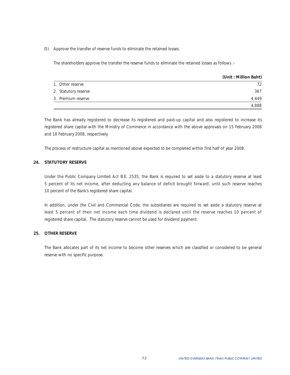#### (5) Approve the transfer of reserve funds to eliminate the retained losses.

The shareholders approve the transfer the reserve funds to eliminate the retained losses as follows :-

|                      | (Unit: Million Baht) |
|----------------------|----------------------|
| 1. Other reserve     | 72.                  |
| 2. Statutory reserve | 367                  |
| 3. Premium reserve   | 4.449                |
|                      | 4,888                |

The Bank has already registered to decrease its registered and paid-up capital and also registered to increase its registered share capital with the Ministry of Commerce in accordance with the above approvals on 15 February 2008 and 18 February 2008, respectively.

The process of restructure capital as mentioned above expected to be completed within first half of year 2008.

### **24. STATUTORY RESERVE**

Under the Public Company Limited Act B.E. 2535, the Bank is required to set aside to a statutory reserve at least 5 percent of its net income, after deducting any balance of deficit brought forward, until such reserve reaches 10 percent of the Bank's registered share capital.

In addition, under the Civil and Commercial Code, the subsidiaries are required to set aside a statutory reserve at least 5 percent of their net income each time dividend is declared until the reserve reaches 10 percent of registered share capital. The statutory reserve cannot be used for dividend payment.

# **25. OTHER RESERVE**

The Bank allocates part of its net income to become other reserves which are classified or considered to be general reserve with no specific purpose.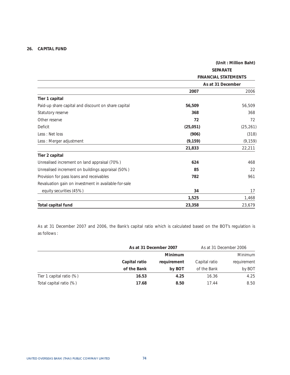# **26. CAPITAL FUND**

|                                                      |                 | (Unit: Million Baht)        |
|------------------------------------------------------|-----------------|-----------------------------|
|                                                      | <b>SEPARATE</b> |                             |
|                                                      |                 | <b>FINANCIAL STATEMENTS</b> |
|                                                      |                 | As at 31 December           |
|                                                      | 2007            | 2006                        |
| Tier 1 capital                                       |                 |                             |
| Paid-up share capital and discount on share capital  | 56,509          | 56,509                      |
| Statutory reserve                                    | 368             | 368                         |
| Other reserve                                        | 72              | 72                          |
| Deficit                                              | (25,051)        | (25, 261)                   |
| Less: Net loss                                       | (906)           | (318)                       |
| Less: Merger adjustment                              | (9, 159)        | (9, 159)                    |
|                                                      | 21,833          | 22,211                      |
| Tier 2 capital                                       |                 |                             |
| Unrealised increment on land appraisal (70%)         | 624             | 468                         |
| Unrealised increment on buildings appraisal (50%)    | 85              | 22                          |
| Provision for pass loans and receivables             | 782             | 961                         |
| Revaluation gain on investment in available-for-sale |                 |                             |
| equity securities (45%)                              | 34              | 17                          |
|                                                      | 1,525           | 1,468                       |
| <b>Total capital fund</b>                            | 23,358          | 23,679                      |

As at 31 December 2007 and 2006, the Bank's capital ratio which is calculated based on the BOT's regulation is as follows :

|                          | As at 31 December 2007 |                |               | As at 31 December 2006 |
|--------------------------|------------------------|----------------|---------------|------------------------|
|                          |                        | <b>Minimum</b> |               | <b>Minimum</b>         |
|                          | Capital ratio          | requirement    | Capital ratio | requirement            |
|                          | of the Bank            | by BOT         | of the Bank   | by BOT                 |
| Tier 1 capital ratio (%) | 16.53                  | 4.25           | 16.36         | 4.25                   |
| Total capital ratio (%)  | 17.68                  | 8.50           | 17.44         | 8.50                   |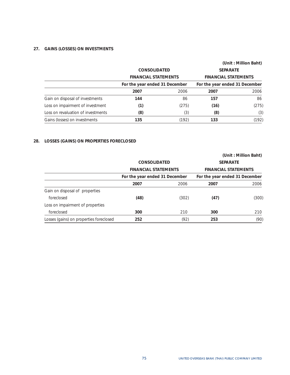# **27. GAINS (LOSSES) ON INVESTMENTS**

|                                    |                                |       |                                | (Unit: Million Baht) |
|------------------------------------|--------------------------------|-------|--------------------------------|----------------------|
|                                    | <b>CONSOLIDATED</b>            |       | <b>SEPARATE</b>                |                      |
|                                    | <b>FINANCIAL STATEMENTS</b>    |       | <b>FINANCIAL STATEMENTS</b>    |                      |
|                                    | For the year ended 31 December |       | For the year ended 31 December |                      |
|                                    | 2007                           | 2006  | 2007                           | 2006                 |
| Gain on disposal of investments    | 144                            | 86    | 157                            | 86                   |
| Loss on impairment of investment   | (1)                            | (275) | (16)                           | (275)                |
| Loss on revaluation of investments | (8)                            | (3)   | (8)                            | (3)                  |
| Gains (losses) on investments      | 135                            | (192) | 133                            | (192)                |

# **28. LOSSES (GAINS) ON PROPERTIES FORECLOSED**

|                                         |                                |       |                                | (Unit: Million Baht) |
|-----------------------------------------|--------------------------------|-------|--------------------------------|----------------------|
|                                         | <b>CONSOLIDATED</b>            |       | <b>SEPARATE</b>                |                      |
|                                         | <b>FINANCIAL STATEMENTS</b>    |       | <b>FINANCIAL STATEMENTS</b>    |                      |
|                                         | For the year ended 31 December |       | For the year ended 31 December |                      |
|                                         | 2007                           | 2006  | 2007                           | 2006                 |
| Gain on disposal of properties          |                                |       |                                |                      |
| foreclosed                              | (48)                           | (302) | (47)                           | (300)                |
| Loss on impairment of properties        |                                |       |                                |                      |
| foreclosed                              | 300                            | 210   | 300                            | 210                  |
| Losses (gains) on properties foreclosed | 252                            | (92)  | 253                            | (90)                 |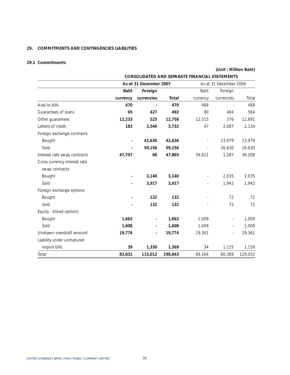# **29. COMMITMENTS AND CONTINGENCIES LIABILITIES**

# **29.1 Commitments**

|                              | CONSOLIDATED AND SEPARATE FINANCIAL STATEMENTS |            |         |                          |                        |         |
|------------------------------|------------------------------------------------|------------|---------|--------------------------|------------------------|---------|
|                              | As at 31 December 2007                         |            |         |                          | As at 31 December 2006 |         |
|                              | Baht                                           | Foreign    |         | Baht                     | Foreign                |         |
|                              | currency                                       | currencies | Total   | currency                 | currencies             | Total   |
| Aval to bills                | 470                                            |            | 470     | 488                      |                        | 488     |
| Guarantees of loans          | 65                                             | 427        | 492     | 80                       | 484                    | 564     |
| Other guarantees             | 12,233                                         | 525        | 12,758  | 12,515                   | 376                    | 12,891  |
| Letters of credit            | 183                                            | 3,549      | 3,732   | 47                       | 2,087                  | 2,134   |
| Foreign exchange contracts   |                                                |            |         |                          |                        |         |
| Bought                       | $\overline{\phantom{a}}$                       | 42,636     | 42,636  | ÷                        | 23,979                 | 23,979  |
| Sold                         | $\overline{a}$                                 | 59,156     | 59,156  | $\overline{\phantom{a}}$ | 26,630                 | 26,630  |
| Interest rate swap contracts | 47,797                                         | 68         | 47,865  | 34,621                   | 1,587                  | 36,208  |
| Cross currency interest rate |                                                |            |         |                          |                        |         |
| swap contracts               |                                                |            |         |                          |                        |         |
| Bought                       |                                                | 3,140      | 3,140   | ÷,                       | 2,035                  | 2,035   |
| Sold                         |                                                | 3,917      | 3,917   |                          | 1,942                  | 1,942   |
| Foreign exchange options     |                                                |            |         |                          |                        |         |
| Bought                       |                                                | 132        | 132     |                          | 72                     | 72      |
| Sold                         |                                                | 132        | 132     |                          | 72                     | 72      |
| Equity - linked options      |                                                |            |         |                          |                        |         |
| Bought                       | 1,662                                          |            | 1,662   | 1,009                    |                        | 1,009   |
| Sold                         | 1,608                                          |            | 1,608   | 1,009                    |                        | 1,009   |
| Undrawn overdraft amount     | 19,774                                         |            | 19,774  | 19,361                   |                        | 19,361  |
| Liability under unmatured    |                                                |            |         |                          |                        |         |
| import bills                 | 39                                             | 1,330      | 1,369   | 34                       | 1,125                  | 1,159   |
| Total                        | 83,831                                         | 115,012    | 198,843 | 69,164                   | 60,389                 | 129,553 |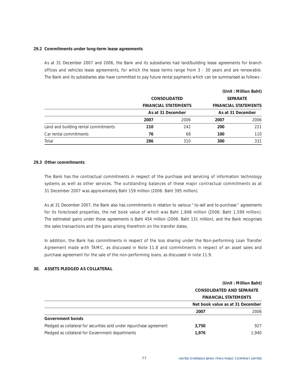## **29.2 Commitments under long-term lease agreements**

As at 31 December 2007 and 2006, the Bank and its subsidiaries had land/building lease agreements for branch offices and vehicles lease agreements, for which the lease terms range from 3 - 30 years and are renewable. The Bank and its subsidiaries also have committed to pay future rental payments which can be summarised as follows :

|                                      |                   |                             |                             | (Unit: Million Baht) |
|--------------------------------------|-------------------|-----------------------------|-----------------------------|----------------------|
|                                      |                   | <b>CONSOLIDATED</b>         | <b>SEPARATE</b>             |                      |
|                                      |                   | <b>FINANCIAL STATEMENTS</b> | <b>FINANCIAL STATEMENTS</b> |                      |
|                                      | As at 31 December |                             | As at 31 December           |                      |
|                                      | 2007              | 2006                        | 2007                        | 2006                 |
| Land and building rental commitments | 210               | 242                         | 200                         | 221                  |
| Car rental commitments               | 76                | 68                          | 100                         | 110                  |
| Total                                | 286               | 310                         | 300                         | 331                  |

### **29.3 Other commitments**

The Bank has the contractual commitments in respect of the purchase and servicing of information technology systems as well as other services. The outstanding balances of these major contractual commitments as at 31 December 2007 was approximately Baht 159 million (2006: Baht 395 million).

As at 31 December 2007, the Bank also has commitments in relation to various " to-sell and to-purchase" agreements for its foreclosed properties, the net book value of which was Baht 1,848 million (2006: Baht 1,599 million). The estimated gains under those agreements is Baht 454 million (2006: Baht 131 million), and the Bank recognises the sales transactions and the gains arising therefrom on the transfer dates.

In addition, the Bank has commitments in respect of the loss sharing under the Non-performing Loan Transfer Agreement made with TAMC, as discussed in Note 11.8 and commitments in respect of an asset sales and purchase agreement for the sale of the non-performing loans, as discussed in note 11.9.

## **30. ASSETS PLEDGED AS COLLATERAL**

|                                                                      | (Unit: Million Baht)                                            |       |
|----------------------------------------------------------------------|-----------------------------------------------------------------|-------|
|                                                                      | <b>CONSOLIDATED AND SEPARATE</b><br><b>FINANCIAL STATEMENTS</b> |       |
|                                                                      |                                                                 |       |
|                                                                      | Net book value as at 31 December                                |       |
|                                                                      | 2007                                                            | 2006  |
| Government bonds                                                     |                                                                 |       |
| Pledged as collateral for securities sold under repurchase agreement | 3,750                                                           | 927   |
| Pledged as collateral for Government departments                     | 1.976                                                           | 1.940 |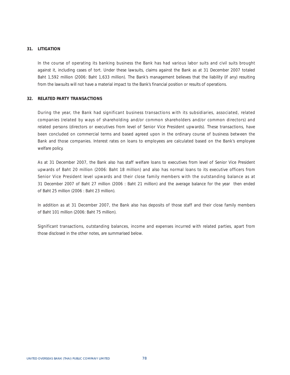## **31. LITIGATION**

In the course of operating its banking business the Bank has had various labor suits and civil suits brought against it, including cases of tort. Under these lawsuits, claims against the Bank as at 31 December 2007 totaled Baht 1,592 million (2006: Baht 1,633 million). The Bank's management believes that the liability (if any) resulting from the lawsuits will not have a material impact to the Bank's financial position or results of operations.

## **32. RELATED PARTY TRANSACTIONS**

During the year, the Bank had significant business transactions with its subsidiaries, associated, related companies (related by ways of shareholding and/or common shareholders and/or common directors) and related persons (directors or executives from level of Senior Vice President upwards). These transactions, have been concluded on commercial terms and based agreed upon in the ordinary course of business between the Bank and those companies. Interest rates on loans to employees are calculated based on the Bank's employee welfare policy.

As at 31 December 2007, the Bank also has staff welfare loans to executives from level of Senior Vice President upwards of Baht 20 million (2006: Baht 18 million) and also has normal loans to its executive officers from Senior Vice President level upwards and their close family members with the outstanding balance as at 31 December 2007 of Baht 27 million (2006 : Baht 21 million) and the average balance for the year then ended of Baht 25 million (2006 : Baht 23 million).

In addition as at 31 December 2007, the Bank also has deposits of those staff and their close family members of Baht 101 million (2006: Baht 75 million).

Significant transactions, outstanding balances, income and expenses incurred with related parties, apart from those disclosed in the other notes, are summarised below.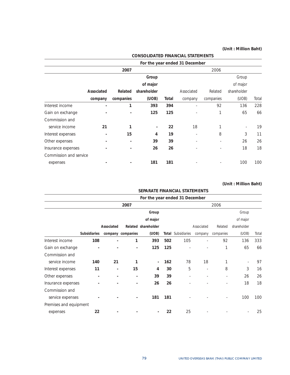|                        |                          |                          |             |       | For the year ended 31 December |                          |                          |       |
|------------------------|--------------------------|--------------------------|-------------|-------|--------------------------------|--------------------------|--------------------------|-------|
|                        |                          | 2007                     |             |       |                                | 2006                     |                          |       |
|                        |                          |                          | Group       |       |                                |                          | Group                    |       |
|                        |                          |                          | of major    |       |                                |                          | of major                 |       |
|                        | Associated               | Related                  | shareholder |       | Associated                     | Related                  | shareholder              |       |
|                        | company                  | companies                | (UOB)       | Total | company                        | companies                | (UOB)                    | Total |
| Interest income        | $\overline{\phantom{0}}$ | 1                        | 393         | 394   | ٠                              | 92                       | 136                      | 228   |
| Gain on exchange       |                          |                          | 125         | 125   |                                | 1                        | 65                       | 66    |
| Commission and         |                          |                          |             |       |                                |                          |                          |       |
| service income         | 21                       | 1                        |             | 22    | 18                             | 1                        | $\overline{\phantom{a}}$ | 19    |
| Interest expenses      | $\overline{\phantom{0}}$ | 15                       | 4           | 19    | ٠                              | 8                        | 3                        | 11    |
| Other expenses         |                          | $\overline{\phantom{a}}$ | 39          | 39    | ٠                              | ٠                        | 26                       | 26    |
| Insurance expenses     |                          |                          | 26          | 26    |                                | $\overline{\phantom{a}}$ | 18                       | 18    |
| Commission and service |                          |                          |             |       |                                |                          |                          |       |
| expenses               |                          |                          | 181         | 181   |                                |                          | 100                      | 100   |

# **CONSOLIDATED FINANCIAL STATEMENTS**

|                        |                     |                          |                          | SEPARATE FINANCIAL STATEMENTS  |     |                           |                          |           |             |       |
|------------------------|---------------------|--------------------------|--------------------------|--------------------------------|-----|---------------------------|--------------------------|-----------|-------------|-------|
|                        |                     |                          |                          | For the year ended 31 December |     |                           |                          |           |             |       |
|                        |                     |                          | 2007                     |                                |     |                           |                          | 2006      |             |       |
|                        |                     |                          |                          | Group                          |     |                           |                          |           | Group       |       |
|                        |                     |                          |                          | of major                       |     |                           |                          |           | of major    |       |
|                        |                     | Associated               |                          | Related shareholder            |     |                           | Associated               | Related   | shareholder |       |
|                        | <b>Subsidiaries</b> |                          | company companies        | (UOB)                          |     | <b>Total</b> Subsidiaries | company                  | companies | (UOB)       | Total |
| Interest income        | 108                 | $\overline{a}$           | 1                        | 393                            | 502 | 105                       |                          | 92        | 136         | 333   |
| Gain on exchange       |                     |                          |                          | 125                            | 125 |                           |                          | 1         | 65          | 66    |
| Commission and         |                     |                          |                          |                                |     |                           |                          |           |             |       |
| service income         | 140                 | 21                       | 1                        | $\blacksquare$                 | 162 | 78                        | 18                       | 1         |             | 97    |
| Interest expenses      | 11                  | $\overline{\phantom{a}}$ | 15                       | 4                              | 30  | 5                         | $\overline{\phantom{a}}$ | 8         | 3           | 16    |
| Other expenses         | -                   | $\overline{\phantom{a}}$ | $\overline{\phantom{0}}$ | 39                             | 39  | ۰                         | ٠                        |           | 26          | 26    |
| Insurance expenses     |                     |                          |                          | 26                             | 26  |                           |                          |           | 18          | 18    |
| Commission and         |                     |                          |                          |                                |     |                           |                          |           |             |       |
| service expenses       |                     |                          |                          | 181                            | 181 |                           |                          |           | 100         | 100   |
| Premises and equipment |                     |                          |                          |                                |     |                           |                          |           |             |       |
| expenses               | 22                  |                          |                          |                                | 22  | 25                        |                          |           |             | 25    |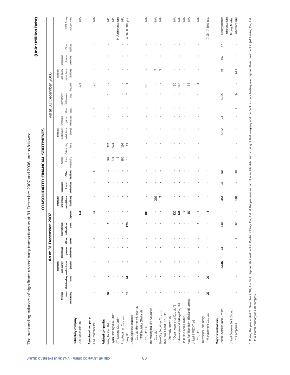| 2007 Pricing<br>policy of loans<br>N/A<br>reference rate<br>reference rate<br>MLR reference rate<br>N/A<br>$\mathbb N$<br>N/A<br>$\mathbb{\overline{E}}$<br>gl<br>NIA<br>NA<br>Money market<br>Money Market<br>흦<br>4.88 - 8.00% p.a.<br>7.05 - 7.50% p.a.<br>$\overline{4}$<br>Other<br>liabilities<br>loss on<br>derivatives<br>Unrealised<br>157<br>and money<br>market items<br>(liabilities)<br>5<br>39<br>613<br>Deposits<br>106<br>140<br>105<br>23<br>$\approx$<br>$\sim$<br>36<br>₹<br>sheet<br>/off-balance<br>3,025<br>36<br>Commitment<br>Other<br>assets<br>5<br>gain on<br>derivatives<br>23<br>Unrealised<br>and money<br>market items<br>(assets)<br>3,322<br>Outstanding<br>loans<br>574<br>186<br>$\widetilde{\mathbb{C}}$<br>367<br>loans<br>Average<br>outstanding<br>$\circ$<br>186<br>$\frac{6}{5}$<br>574<br>367<br>liabilities<br>Other<br>50<br>$\overset{\circ}{=}$<br>derivatives<br>loss on<br>$\frac{6}{1}$<br>Unrealised<br>and money<br>market items<br>210<br>352<br>160<br>(liabilities)<br>$\sim$<br><b>Deposits</b><br>105<br>$\sim$<br>59<br>F<br>120<br>144<br>۰<br>$\overline{11}$ | As at 31 December 2007                   |                  |                                                             |          |                                      |                 |                                     |           | CONSOLIDATED FINANCIAL STATEMENTS |  |           |  | As at 31 December 2006 |           |  | (Unit: Million Baht)   |
|--------------------------------------------------------------------------------------------------------------------------------------------------------------------------------------------------------------------------------------------------------------------------------------------------------------------------------------------------------------------------------------------------------------------------------------------------------------------------------------------------------------------------------------------------------------------------------------------------------------------------------------------------------------------------------------------------------------------------------------------------------------------------------------------------------------------------------------------------------------------------------------------------------------------------------------------------------------------------------------------------------------------------------------------------------------------------------------------------------------------------|------------------------------------------|------------------|-------------------------------------------------------------|----------|--------------------------------------|-----------------|-------------------------------------|-----------|-----------------------------------|--|-----------|--|------------------------|-----------|--|------------------------|
| 810<br><b>PZI</b><br>Ξ<br>3<br>$\sim$<br>23<br>8,146<br>20<br>$\overline{4}$<br>$\overline{P}$<br>22<br>92<br>Haw Par Tiger Balm (Thailand) Limited<br>Underwaterworld Pattaya Co., Ltd.<br>"Ocean Assurance Co., Ltd")<br>Co., Ltd (Formerly known as<br>The Muangthai Life Assurance<br>United Overseas Bank Limited<br>United Overseas Bank Group<br>" TNT Logistics (Thailand)<br>Siam City Securities Co., Ltd.<br>Thai Samut Asset Co., Ltd.<br>Piyalai Holdings Co., Ltd.*<br>Management Co., Ltd.<br>Ceva Logistics (Thailand)<br>PPHR (Thailand) Limited.<br>(Formerly known as<br>First Andaman Co., Ltd.<br>Professional Laboratory<br>AT Leasing Co., Ltd.*<br>Major shareholders<br>United B MEC (Thai)<br>Wing Fat Co., Ltd.<br>of Companies<br>Co., Ltd.")<br>Co., Ltd.<br>Co., Ltd.<br>Loxley Plc.                                                                                                                                                                                                                                                                                                       | outstanding                              | loans<br>Average | and money<br>Outstanding market items<br>Interbank<br>loans | (assets) | gain on<br>Unrealised<br>derivatives | Other<br>assets | sheet<br>/off-balance<br>Commitment | Interbank |                                   |  | Interbank |  |                        | Interbank |  |                        |
|                                                                                                                                                                                                                                                                                                                                                                                                                                                                                                                                                                                                                                                                                                                                                                                                                                                                                                                                                                                                                                                                                                                          | Subsidiary company<br>UOB Radanasin Plc. |                  |                                                             |          |                                      |                 |                                     |           |                                   |  |           |  |                        |           |  | $\frac{1}{2}$          |
|                                                                                                                                                                                                                                                                                                                                                                                                                                                                                                                                                                                                                                                                                                                                                                                                                                                                                                                                                                                                                                                                                                                          | Associated company<br>AXA Insurance Plc. |                  |                                                             |          |                                      |                 |                                     |           |                                   |  |           |  |                        |           |  | $\mathbb{N}\mathbb{A}$ |
|                                                                                                                                                                                                                                                                                                                                                                                                                                                                                                                                                                                                                                                                                                                                                                                                                                                                                                                                                                                                                                                                                                                          | Related companies                        |                  |                                                             |          |                                      |                 |                                     |           |                                   |  |           |  |                        |           |  |                        |
|                                                                                                                                                                                                                                                                                                                                                                                                                                                                                                                                                                                                                                                                                                                                                                                                                                                                                                                                                                                                                                                                                                                          |                                          |                  |                                                             |          |                                      |                 |                                     |           |                                   |  |           |  |                        |           |  |                        |
|                                                                                                                                                                                                                                                                                                                                                                                                                                                                                                                                                                                                                                                                                                                                                                                                                                                                                                                                                                                                                                                                                                                          |                                          |                  |                                                             |          |                                      |                 |                                     |           |                                   |  |           |  |                        |           |  |                        |
|                                                                                                                                                                                                                                                                                                                                                                                                                                                                                                                                                                                                                                                                                                                                                                                                                                                                                                                                                                                                                                                                                                                          |                                          |                  |                                                             |          |                                      |                 |                                     |           |                                   |  |           |  |                        |           |  |                        |
|                                                                                                                                                                                                                                                                                                                                                                                                                                                                                                                                                                                                                                                                                                                                                                                                                                                                                                                                                                                                                                                                                                                          |                                          |                  |                                                             |          |                                      |                 |                                     |           |                                   |  |           |  |                        |           |  |                        |
|                                                                                                                                                                                                                                                                                                                                                                                                                                                                                                                                                                                                                                                                                                                                                                                                                                                                                                                                                                                                                                                                                                                          |                                          |                  |                                                             |          |                                      |                 |                                     |           |                                   |  |           |  |                        |           |  |                        |
|                                                                                                                                                                                                                                                                                                                                                                                                                                                                                                                                                                                                                                                                                                                                                                                                                                                                                                                                                                                                                                                                                                                          |                                          |                  |                                                             |          |                                      |                 |                                     |           |                                   |  |           |  |                        |           |  |                        |
|                                                                                                                                                                                                                                                                                                                                                                                                                                                                                                                                                                                                                                                                                                                                                                                                                                                                                                                                                                                                                                                                                                                          |                                          |                  |                                                             |          |                                      |                 |                                     |           |                                   |  |           |  |                        |           |  |                        |
|                                                                                                                                                                                                                                                                                                                                                                                                                                                                                                                                                                                                                                                                                                                                                                                                                                                                                                                                                                                                                                                                                                                          |                                          |                  |                                                             |          |                                      |                 |                                     |           |                                   |  |           |  |                        |           |  |                        |
|                                                                                                                                                                                                                                                                                                                                                                                                                                                                                                                                                                                                                                                                                                                                                                                                                                                                                                                                                                                                                                                                                                                          |                                          |                  |                                                             |          |                                      |                 |                                     |           |                                   |  |           |  |                        |           |  |                        |
|                                                                                                                                                                                                                                                                                                                                                                                                                                                                                                                                                                                                                                                                                                                                                                                                                                                                                                                                                                                                                                                                                                                          |                                          |                  |                                                             |          |                                      |                 |                                     |           |                                   |  |           |  |                        |           |  |                        |
|                                                                                                                                                                                                                                                                                                                                                                                                                                                                                                                                                                                                                                                                                                                                                                                                                                                                                                                                                                                                                                                                                                                          |                                          |                  |                                                             |          |                                      |                 |                                     |           |                                   |  |           |  |                        |           |  | $\frac{4}{2}$          |
|                                                                                                                                                                                                                                                                                                                                                                                                                                                                                                                                                                                                                                                                                                                                                                                                                                                                                                                                                                                                                                                                                                                          |                                          |                  |                                                             |          |                                      |                 |                                     |           |                                   |  |           |  |                        |           |  |                        |
|                                                                                                                                                                                                                                                                                                                                                                                                                                                                                                                                                                                                                                                                                                                                                                                                                                                                                                                                                                                                                                                                                                                          |                                          |                  |                                                             |          |                                      |                 |                                     |           |                                   |  |           |  |                        |           |  |                        |
|                                                                                                                                                                                                                                                                                                                                                                                                                                                                                                                                                                                                                                                                                                                                                                                                                                                                                                                                                                                                                                                                                                                          |                                          |                  |                                                             |          |                                      |                 |                                     |           |                                   |  |           |  |                        |           |  |                        |
|                                                                                                                                                                                                                                                                                                                                                                                                                                                                                                                                                                                                                                                                                                                                                                                                                                                                                                                                                                                                                                                                                                                          |                                          |                  |                                                             |          |                                      |                 |                                     |           |                                   |  |           |  |                        |           |  | $\lessapprox$          |
|                                                                                                                                                                                                                                                                                                                                                                                                                                                                                                                                                                                                                                                                                                                                                                                                                                                                                                                                                                                                                                                                                                                          |                                          |                  |                                                             |          |                                      |                 |                                     |           |                                   |  |           |  |                        |           |  |                        |
|                                                                                                                                                                                                                                                                                                                                                                                                                                                                                                                                                                                                                                                                                                                                                                                                                                                                                                                                                                                                                                                                                                                          |                                          |                  |                                                             |          |                                      |                 |                                     |           |                                   |  |           |  |                        |           |  |                        |
|                                                                                                                                                                                                                                                                                                                                                                                                                                                                                                                                                                                                                                                                                                                                                                                                                                                                                                                                                                                                                                                                                                                          |                                          |                  |                                                             |          |                                      |                 |                                     |           |                                   |  |           |  |                        |           |  |                        |
|                                                                                                                                                                                                                                                                                                                                                                                                                                                                                                                                                                                                                                                                                                                                                                                                                                                                                                                                                                                                                                                                                                                          |                                          |                  |                                                             |          |                                      |                 |                                     |           |                                   |  |           |  |                        |           |  |                        |

\* During the year ended 31 December 2007, the Bank disposed its investment in Piyalai Hollogs Co., Ltd. at the par value as part of a trouble debt restructuring of that company and the Bank and a subsidiary also disposed t \* During the year ended 31 December 2007, the Bank disposed its like and keat of the part of the part value as part of a frouturing of that company and the Bank and a subsidiary also designed their in JAT Leasing Co., Ltd. to a related company of such company.

The outstanding balances of significant related party transactions as at 31 December 2007 and 2006, are as follows:

The outstanding balances of significant related party transactions as at 31 December 2007 and 2006, are as follows: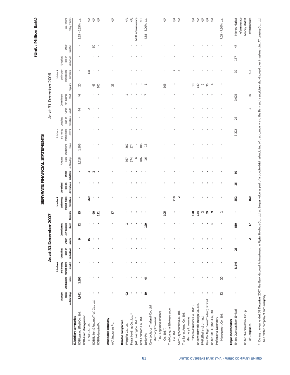|                                                                                                                                                                                                                                                                         |                  |                                   |                                    | As at                               | 31 Decemb       |                                     | er 2007         |                                                         | SEPARATE FINANCIAL STATEMENTS |       |                                                |                            |                                                    |                                      |                    | As at 31 December 2006              |                                |                                                         |                                      |                      |                                          |
|-------------------------------------------------------------------------------------------------------------------------------------------------------------------------------------------------------------------------------------------------------------------------|------------------|-----------------------------------|------------------------------------|-------------------------------------|-----------------|-------------------------------------|-----------------|---------------------------------------------------------|-------------------------------|-------|------------------------------------------------|----------------------------|----------------------------------------------------|--------------------------------------|--------------------|-------------------------------------|--------------------------------|---------------------------------------------------------|--------------------------------------|----------------------|------------------------------------------|
| outstanding                                                                                                                                                                                                                                                             | loans<br>Average | Outstanding market items<br>loans | and money<br>(assets)<br>Interbank | gainon<br>Unrealised<br>derivatives | Other<br>assets | sheet<br>/off-balance<br>Commitment | <b>Deposits</b> | market items<br>and money<br>(liabilities)<br>Interbank | loss on<br>Unrealised         | Other | derivatives liabilities outstanding<br>Average | loans Outstanding<br>loans | and money<br>market items<br>(assets)<br>Interbank | gain on<br>derivatives<br>Unrealised | Other<br>assets    | sheet<br>/off-balance<br>Commitment | Deposits                       | market items<br>and money<br>(liabilities)<br>Interbank | loss on<br>derivatives<br>Unrealised | Other<br>liabilities | 2007 Pricing<br>policy of loans          |
| UOB Leasing (Thai) Co., Ltd.<br>Subsidiary companies                                                                                                                                                                                                                    | 1,991            | 1,896                             |                                    |                                     | ò               | 22                                  | 台               |                                                         |                               |       | 2,218                                          | 1,906                      |                                                    |                                      | 44                 | 46                                  | g                              |                                                         |                                      |                      | 3.63 - 6.25% p.a.                        |
| UOB Asset Management<br>(Thai) Co., Ltd.                                                                                                                                                                                                                                |                  |                                   |                                    |                                     | ⊵               |                                     |                 | 269                                                     |                               |       |                                                |                            |                                                    |                                      | $\scriptstyle\sim$ |                                     |                                | 134                                                     |                                      |                      | $\stackrel{\triangle}{\leq}$             |
| UOB Bullion & Futures (Thai) Co., Ltd.<br>UOB Radanasin Plc.                                                                                                                                                                                                            |                  |                                   |                                    |                                     |                 |                                     | 8<br>Ξ          |                                                         |                               |       |                                                |                            |                                                    |                                      |                    |                                     | $43$<br>105                    |                                                         |                                      | $\rm{50}$            | $\mathbb{N}^{\mathbb{A}}$<br>$\lesssim$  |
| Associated company<br>AXA Insurance Plc.                                                                                                                                                                                                                                |                  |                                   |                                    |                                     |                 |                                     | H               |                                                         |                               |       |                                                |                            |                                                    |                                      |                    |                                     | 23                             |                                                         |                                      |                      | $\stackrel{\triangle}{\geq}$             |
| Related companies<br>Wing Fat Co., Ltd.                                                                                                                                                                                                                                 | 55               |                                   |                                    |                                     |                 |                                     |                 |                                                         |                               |       | 367                                            | 367                        |                                                    |                                      |                    |                                     |                                |                                                         |                                      |                      | $\overrightarrow{\Xi}$                   |
| Piyalai Holdings Co., Ltd. *                                                                                                                                                                                                                                            |                  |                                   |                                    |                                     |                 |                                     |                 |                                                         |                               |       | 574                                            | 574                        |                                                    |                                      |                    |                                     |                                |                                                         |                                      |                      | $\overrightarrow{\Xi}$                   |
| JAT Leasing Co., Ltd. *                                                                                                                                                                                                                                                 |                  |                                   |                                    |                                     |                 |                                     |                 |                                                         |                               |       | $\circ$                                        |                            |                                                    |                                      |                    |                                     |                                |                                                         |                                      |                      | MLR reference rate                       |
| First Andaman Co., Ltd.                                                                                                                                                                                                                                                 |                  |                                   |                                    |                                     |                 |                                     |                 |                                                         |                               |       | 186                                            | 186                        |                                                    |                                      |                    |                                     |                                |                                                         |                                      |                      | g                                        |
| Ceva Logistics (Thailand) Co., Ltd.<br>Loxley Plc.                                                                                                                                                                                                                      | ድ                | $\ddot{a}$                        |                                    |                                     |                 | 129                                 |                 |                                                         |                               |       | $\approx$                                      | $\widetilde{\phantom{a}}$  |                                                    |                                      |                    |                                     |                                |                                                         |                                      |                      | 4.88 - 8.00% p.a.                        |
| "TNT Logistics (Thailand)<br>(Formerly known as                                                                                                                                                                                                                         |                  |                                   |                                    |                                     |                 |                                     |                 |                                                         |                               |       |                                                |                            |                                                    |                                      |                    |                                     |                                |                                                         |                                      |                      |                                          |
| Co., Ltd.")                                                                                                                                                                                                                                                             |                  |                                   |                                    |                                     |                 |                                     | 105             |                                                         |                               |       |                                                |                            |                                                    |                                      |                    |                                     | 106                            |                                                         |                                      |                      | $\stackrel{\triangle}{\geq}$             |
| The Muangthai Life Assurance<br>$Co.,$ Ltd.                                                                                                                                                                                                                             |                  |                                   |                                    |                                     |                 |                                     |                 | 210                                                     |                               |       |                                                |                            |                                                    |                                      |                    |                                     |                                |                                                         |                                      |                      | $\stackrel{\triangle}{\geq}$             |
| Siam City Securities Co., Ltd.                                                                                                                                                                                                                                          |                  |                                   |                                    |                                     |                 |                                     |                 | $\sim$                                                  |                               |       |                                                |                            |                                                    |                                      |                    |                                     |                                | S                                                       |                                      |                      | $\mathbb N$                              |
| Thai Samut Asset Co., Ltd.                                                                                                                                                                                                                                              |                  |                                   |                                    |                                     |                 |                                     |                 |                                                         |                               |       |                                                |                            |                                                    |                                      |                    |                                     |                                |                                                         |                                      |                      |                                          |
| (Formerly known as                                                                                                                                                                                                                                                      |                  |                                   |                                    |                                     |                 |                                     |                 |                                                         |                               |       |                                                |                            |                                                    |                                      |                    |                                     |                                |                                                         |                                      |                      |                                          |
| "Ocean Assurance Co., Ltd")                                                                                                                                                                                                                                             |                  |                                   |                                    |                                     |                 |                                     | 120             |                                                         |                               |       |                                                |                            |                                                    |                                      |                    |                                     | $\cong$                        |                                                         |                                      |                      | $\stackrel{\triangle}{\leq}$             |
| Underwaterworld Pattaya Co., Ltd.                                                                                                                                                                                                                                       |                  |                                   |                                    |                                     |                 |                                     | 144             |                                                         |                               |       |                                                |                            |                                                    |                                      |                    |                                     | 140                            |                                                         |                                      |                      | $\mathbb N$                              |
| PPHR (Thailand) Limited.                                                                                                                                                                                                                                                |                  |                                   |                                    |                                     |                 |                                     | S9<br>$\sim$    |                                                         |                               |       |                                                |                            |                                                    |                                      |                    |                                     | $\sim$                         |                                                         |                                      |                      | $\mathbb N$<br>$\mathbb{N}^{\mathbb{A}}$ |
| Haw Par Tiger Balm (Thailand) Limited<br>United B MEC (Thai) Co., Ltd.                                                                                                                                                                                                  |                  |                                   |                                    |                                     |                 |                                     | $\circ$         |                                                         |                               |       |                                                |                            |                                                    |                                      |                    |                                     | 36<br>$\overline{\phantom{a}}$ |                                                         |                                      |                      | $\mathbb N$                              |
| Professional Laboratory                                                                                                                                                                                                                                                 |                  |                                   |                                    |                                     |                 |                                     |                 |                                                         |                               |       |                                                |                            |                                                    |                                      |                    |                                     |                                |                                                         |                                      |                      |                                          |
| Management Co., Ltd.                                                                                                                                                                                                                                                    | 22               | 20                                |                                    |                                     |                 |                                     |                 |                                                         |                               |       |                                                |                            |                                                    |                                      |                    |                                     |                                |                                                         |                                      |                      | 7.05 - 7.50% p.a.                        |
| United Overseas Bank Limited<br>Major shareholders                                                                                                                                                                                                                      |                  |                                   | 8,146                              | 23                                  |                 | 810                                 |                 | 352                                                     | $\frac{6}{1}$                 | 50    |                                                |                            | 3,322                                              | 23                                   |                    | 3,025                               |                                | 39                                                      | 157                                  | 47                   | Money Market                             |
| United Overseas Bank Group                                                                                                                                                                                                                                              |                  |                                   |                                    |                                     |                 |                                     |                 |                                                         |                               |       |                                                |                            |                                                    |                                      |                    |                                     |                                |                                                         |                                      |                      | reference rate<br>Money Market           |
| of Companies                                                                                                                                                                                                                                                            |                  |                                   |                                    |                                     | $\sim$          | $\overline{1}$                      |                 | 160                                                     |                               |       |                                                |                            |                                                    |                                      |                    | 36                                  |                                | 613                                                     |                                      |                      | reference rate                           |
| * During the year ended 31 December 2007, the Bank disposed its investment in Pyalal Holdings Co., Ltd. at the par value as part of a trouble debt restructuring of that company and the Bank and a subsidiary also disposed t<br>to a related company of such company. |                  |                                   |                                    |                                     |                 |                                     |                 |                                                         |                               |       |                                                |                            |                                                    |                                      |                    |                                     |                                |                                                         |                                      |                      |                                          |

(Unit: Million Baht)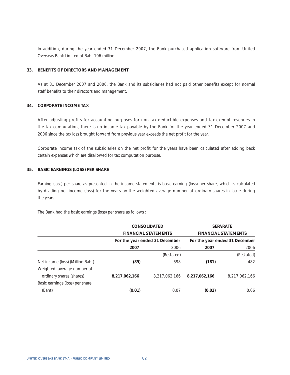In addition, during the year ended 31 December 2007, the Bank purchased application software from United Overseas Bank Limited of Baht 106 million.

## **33. BENEFITS OF DIRECTORS AND MANAGEMENT**

As at 31 December 2007 and 2006, the Bank and its subsidiaries had not paid other benefits except for normal staff benefits to their directors and management.

## **34. CORPORATE INCOME TAX**

After adjusting profits for accounting purposes for non-tax deductible expenses and tax-exempt revenues in the tax computation, there is no income tax payable by the Bank for the year ended 31 December 2007 and 2006 since the tax loss brought forward from previous year exceeds the net profit for the year.

Corporate income tax of the subsidiaries on the net profit for the years have been calculated after adding back certain expenses which are disallowed for tax computation purpose.

## **35. BASIC EARNINGS (LOSS) PER SHARE**

Earning (loss) per share as presented in the income statements is basic earning (loss) per share, which is calculated by dividing net income (loss) for the years by the weighted average number of ordinary shares in issue during the years.

The Bank had the basic earnings (loss) per share as follows :

|                                  |               | <b>CONSOLIDATED</b>            |               | <b>SEPARATE</b>                |
|----------------------------------|---------------|--------------------------------|---------------|--------------------------------|
|                                  |               | <b>FINANCIAL STATEMENTS</b>    |               | <b>FINANCIAL STATEMENTS</b>    |
|                                  |               | For the year ended 31 December |               | For the year ended 31 December |
|                                  | 2007          | 2006                           | 2007          | 2006                           |
|                                  |               | (Restated)                     |               | (Restated)                     |
| Net income (loss) (Million Baht) | (89)          | 598                            | (181)         | 482                            |
| Weighted average number of       |               |                                |               |                                |
| ordinary shares (shares)         | 8,217,062,166 | 8.217.062.166                  | 8,217,062,166 | 8.217.062.166                  |
| Basic earnings (loss) per share  |               |                                |               |                                |
| (Baht)                           | (0.01)        | 0.07                           | (0.02)        | 0.06                           |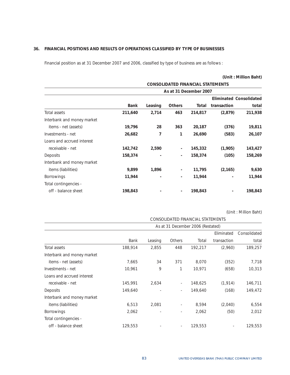## **36. FINANCIAL POSITIONS AND RESULTS OF OPERATIONS CLASSIFIED BY TYPE OF BUSINESSES**

Financial position as at 31 December 2007 and 2006, classified by type of business are as follows :

|                            |             |         |                          |                                          |             | (Unit: Million Baht)           |
|----------------------------|-------------|---------|--------------------------|------------------------------------------|-------------|--------------------------------|
|                            |             |         |                          | <b>CONSOLIDATED FINANCIAL STATEMENTS</b> |             |                                |
|                            |             |         |                          | As at 31 December 2007                   |             |                                |
|                            |             |         |                          |                                          |             | <b>Eliminated Consolidated</b> |
|                            | <b>Bank</b> | Leasing | <b>Others</b>            | Total                                    | transaction | total                          |
| Total assets               | 211,640     | 2,714   | 463                      | 214,817                                  | (2,879)     | 211,938                        |
| Interbank and money market |             |         |                          |                                          |             |                                |
| items - net (assets)       | 19,796      | 28      | 363                      | 20,187                                   | (376)       | 19,811                         |
| Investments - net          | 26,682      | 7       | 1                        | 26,690                                   | (583)       | 26,107                         |
| Loans and accrued interest |             |         |                          |                                          |             |                                |
| receivable - net           | 142,742     | 2,590   | $\overline{\phantom{a}}$ | 145,332                                  | (1,905)     | 143,427                        |
| Deposits                   | 158,374     |         | $\overline{\phantom{a}}$ | 158,374                                  | (105)       | 158,269                        |
| Interbank and money market |             |         |                          |                                          |             |                                |
| items (liabilities)        | 9,899       | 1,896   | $\overline{\phantom{a}}$ | 11,795                                   | (2, 165)    | 9,630                          |
| <b>Borrowings</b>          | 11,944      |         | $\overline{\phantom{a}}$ | 11,944                                   |             | 11,944                         |
| Total contingencies -      |             |         |                          |                                          |             |                                |
| off - balance sheet        | 198,843     |         |                          | 198,843                                  |             | 198,843                        |

|                            |             |         |                          | CONSOLIDATED FINANCIAL STATEMENTS |             |              |
|----------------------------|-------------|---------|--------------------------|-----------------------------------|-------------|--------------|
|                            |             |         |                          | As at 31 December 2006 (Restated) |             |              |
|                            |             |         |                          |                                   | Eliminated  | Consolidated |
|                            | <b>Bank</b> | Leasing | Others                   | Total                             | transaction | total        |
| Total assets               | 188,914     | 2,855   | 448                      | 192,217                           | (2,960)     | 189,257      |
| Interbank and money market |             |         |                          |                                   |             |              |
| items - net (assets)       | 7,665       | 34      | 371                      | 8,070                             | (352)       | 7,718        |
| Investments - net          | 10,961      | 9       |                          | 10,971                            | (658)       | 10,313       |
| Loans and accrued interest |             |         |                          |                                   |             |              |
| receivable - net           | 145,991     | 2,634   | $\sim$                   | 148,625                           | (1, 914)    | 146,711      |
| Deposits                   | 149,640     |         | $\sim$                   | 149,640                           | (168)       | 149,472      |
| Interbank and money market |             |         |                          |                                   |             |              |
| items (liabilities)        | 6,513       | 2,081   | $\overline{\phantom{a}}$ | 8,594                             | (2,040)     | 6,554        |
| Borrowings                 | 2,062       |         | $\overline{\phantom{a}}$ | 2,062                             | (50)        | 2,012        |
| Total contingencies -      |             |         |                          |                                   |             |              |
| off - balance sheet        | 129,553     |         | ٠                        | 129,553                           |             | 129,553      |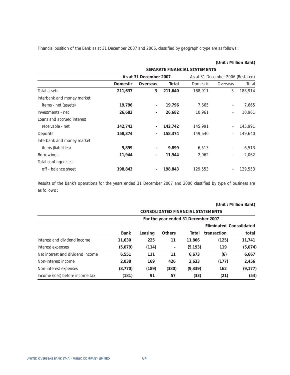Financial position of the Bank as at 31 December 2007 and 2006, classified by geographic type are as follows :

|                            |                 |                          |         | SEPARATE FINANCIAL STATEMENTS |                                   |         |
|----------------------------|-----------------|--------------------------|---------|-------------------------------|-----------------------------------|---------|
|                            |                 | As at 31 December 2007   |         |                               | As at 31 December 2006 (Restated) |         |
|                            | <b>Domestic</b> | Overseas                 | Total   | <b>Domestic</b>               | Overseas                          | Total   |
| Total assets               | 211,637         | 3                        | 211,640 | 188,911                       | 3                                 | 188,914 |
| Interbank and money market |                 |                          |         |                               |                                   |         |
| items - net (assets)       | 19,796          | $\overline{\phantom{a}}$ | 19,796  | 7,665                         |                                   | 7,665   |
| Investments - net          | 26,682          | $\overline{\phantom{a}}$ | 26,682  | 10,961                        | $\sim$                            | 10,961  |
| Loans and accrued interest |                 |                          |         |                               |                                   |         |
| receivable - net           | 142,742         |                          | 142,742 | 145,991                       |                                   | 145,991 |
| Deposits                   | 158,374         |                          | 158,374 | 149,640                       |                                   | 149,640 |
| Interbank and money market |                 |                          |         |                               |                                   |         |
| items (liabilities)        | 9,899           |                          | 9,899   | 6,513                         |                                   | 6,513   |
| <b>Borrowings</b>          | 11,944          | ٠                        | 11,944  | 2,062                         | ٠.                                | 2,062   |
| Total contingencies -      |                 |                          |         |                               |                                   |         |
| off - balance sheet        | 198,843         |                          | 198,843 | 129,553                       |                                   | 129,553 |

**(Unit : Million Baht)** 

Results of the Bank's operations for the years ended 31 December 2007 and 2006 classified by type of business are as follows :

|                                  |             |         |                          | <b>CONSOLIDATED FINANCIAL STATEMENTS</b> |             |                                |
|----------------------------------|-------------|---------|--------------------------|------------------------------------------|-------------|--------------------------------|
|                                  |             |         |                          | For the year ended 31 December 2007      |             |                                |
|                                  |             |         |                          |                                          |             | <b>Eliminated Consolidated</b> |
|                                  | <b>Bank</b> | Leasing | <b>Others</b>            | Total                                    | transaction | total                          |
| Interest and dividend income     | 11,630      | 225     | 11                       | 11.866                                   | (125)       | 11,741                         |
| Interest expenses                | (5,079)     | (114)   | $\overline{\phantom{a}}$ | (5, 193)                                 | 119         | (5,074)                        |
| Net interest and dividend income | 6,551       | 111     | 11                       | 6,673                                    | (6)         | 6,667                          |
| Non-interest income              | 2,038       | 169     | 426                      | 2,633                                    | (177)       | 2,456                          |
| Non-interest expenses            | (8, 770)    | (189)   | (380)                    | (9, 339)                                 | 162         | (9, 177)                       |
| Income (loss) before income tax  | (181)       | 91      | 57                       | (33)                                     | (21)        | (54)                           |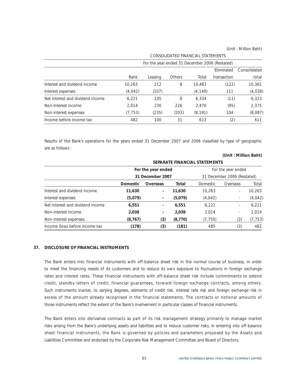|                                  |          |         |               | <u>CONJOLIDATED TINANOME JIATEMIENTJ</u> |                                                |              |
|----------------------------------|----------|---------|---------------|------------------------------------------|------------------------------------------------|--------------|
|                                  |          |         |               |                                          | For the year ended 31 December 2006 (Restated) |              |
|                                  |          |         |               |                                          | Eliminated                                     | Consolidated |
|                                  | Bank     | Leasing | <b>Others</b> | Total                                    | transaction                                    | total        |
| Interest and dividend income     | 10.263   | 212     | 8             | 10.483                                   | (122)                                          | 10,361       |
| Interest expenses                | (4,042)  | (107)   |               | (4, 149)                                 | 111                                            | (4,038)      |
| Net interest and dividend income | 6,221    | 105     | 8             | 6.334                                    | (11)                                           | 6,323        |
| Non-interest income              | 2.014    | 230     | 226           | 2.470                                    | (95)                                           | 2,375        |
| Non-interest expenses            | (7, 753) | (235)   | (203)         | (8, 191)                                 | 104                                            | (8,087)      |
| Income before income tax         | 482      | 100     | 31            | 613                                      | (2)                                            | 611          |

CONSOLIDATED FINANCIAL STATEMENTS

Results of the Bank's operations for the years ended 31 December 2007 and 2006 classified by type of geographic are as follows :

#### **(Unit : Million Baht)**

|                                  |                 |                          |          | SEPARATE FINANCIAL STATEMENTS |                             |          |
|----------------------------------|-----------------|--------------------------|----------|-------------------------------|-----------------------------|----------|
|                                  |                 | For the year ended       |          |                               | For the year ended          |          |
|                                  |                 | 31 December 2007         |          |                               | 31 December 2006 (Restated) |          |
|                                  | <b>Domestic</b> | Overseas                 | Total    | Domestic                      | Overseas                    | Total    |
| Interest and dividend income     | 11,630          | $\overline{\phantom{a}}$ | 11,630   | 10,263                        | ۰.                          | 10,263   |
| Interest expenses                | (5,079)         | $\overline{\phantom{a}}$ | (5,079)  | (4, 042)                      | $\overline{\phantom{a}}$    | (4, 042) |
| Net interest and dividend income | 6,551           | $\overline{\phantom{a}}$ | 6,551    | 6.221                         | ۰                           | 6,221    |
| Non-interest income              | 2,038           | $\overline{\phantom{a}}$ | 2,038    | 2,014                         | ۰                           | 2,014    |
| Non-interest expenses            | (8, 767)        | (3)                      | (8, 770) | (7, 750)                      | (3)                         | (7, 753) |
| Income (loss) before income tax  | (178)           | (3)                      | (181)    | 485                           | (3)                         | 482      |

### **37. DISCLOSURE OF FINANCIAL INSTRUMENTS**

The Bank enters into financial instruments with off-balance sheet risk in the normal course of business, in order to meet the financing needs of its customers and to reduce its own exposure to fluctuations in foreign exchange rates and interest rates. These financial instruments with off-balance sheet risk include commitments to extend credit, standby letters of credit, financial guarantees, forward foreign exchange contracts, among others. Such instruments involve, to varying degrees, elements of credit risk, interest rate risk and foreign exchange risk in excess of the amount already recognised in the financial statements. The contracts or notional amounts of those instruments reflect the extent of the Bank's involvement in particular classes of financial instruments.

The Bank enters into derivative contracts as part of its risk management strategy primarily to manage market risks arising from the Bank's underlying assets and liabilities and to reduce customer risks. In entering into off-balance sheet financial instruments, the Bank is governed by policies and parameters proposed by the Assets and Liabilities Committee and endorsed by the Corporate Risk Management Committee and Board of Directors.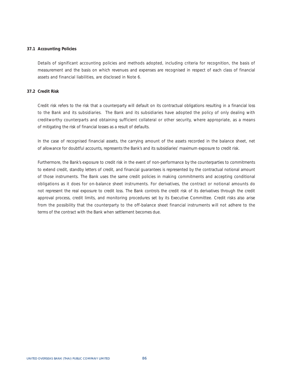### **37.1 Accounting Policies**

Details of significant accounting policies and methods adopted, including criteria for recognition, the basis of measurement and the basis on which revenues and expenses are recognised in respect of each class of financial assets and financial liabilities, are disclosed in Note 6.

## **37.2 Credit Risk**

Credit risk refers to the risk that a counterparty will default on its contractual obligations resulting in a financial loss to the Bank and its subsidiaries. The Bank and its subsidiaries have adopted the policy of only dealing with creditworthy counterparts and obtaining sufficient collateral or other security, where appropriate, as a means of mitigating the risk of financial losses as a result of defaults.

In the case of recognised financial assets, the carrying amount of the assets recorded in the balance sheet, net of allowance for doubtful accounts, represents the Bank's and its subsidiaries' maximum exposure to credit risk.

Furthermore, the Bank's exposure to credit risk in the event of non-performance by the counterparties to commitments to extend credit, standby letters of credit, and financial guarantees is represented by the contractual notional amount of those instruments. The Bank uses the same credit policies in making commitments and accepting conditional obligations as it does for on-balance sheet instruments. For derivatives, the contract or notional amounts do not represent the real exposure to credit loss. The Bank controls the credit risk of its derivatives through the credit approval process, credit limits, and monitoring procedures set by its Executive Committee. Credit risks also arise from the possibility that the counterparty to the off-balance sheet financial instruments will not adhere to the terms of the contract with the Bank when settlement becomes due.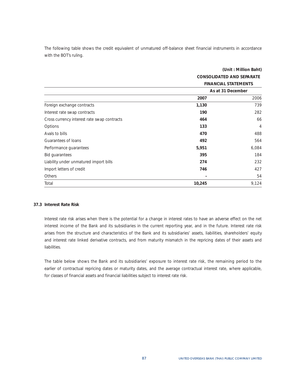The following table shows the credit equivalent of unmatured off-balance sheet financial instruments in accordance with the BOT's ruling.

|                                             |                          | <b>CONSOLIDATED AND SEPARATE</b> |
|---------------------------------------------|--------------------------|----------------------------------|
|                                             |                          | <b>FINANCIAL STATEMENTS</b>      |
|                                             |                          | As at 31 December                |
|                                             | 2007                     | 2006                             |
| Foreign exchange contracts                  | 1,130                    | 739                              |
| Interest rate swap contracts                | 190                      | 282                              |
| Cross currency interest rate swap contracts | 464                      | 66                               |
| Options                                     | 133                      | $\overline{4}$                   |
| Avals to bills                              | 470                      | 488                              |
| Guarantees of loans                         | 492                      | 564                              |
| Performance guarantees                      | 5,951                    | 6,084                            |
| Bid guarantees                              | 395                      | 184                              |
| Liability under unmatured import bills      | 274                      | 232                              |
| Import letters of credit                    | 746                      | 427                              |
| Others                                      | $\overline{\phantom{a}}$ | 54                               |
| Total                                       | 10,245                   | 9,124                            |

## **37.3 Interest Rate Risk**

Interest rate risk arises when there is the potential for a change in interest rates to have an adverse effect on the net interest income of the Bank and its subsidiaries in the current reporting year, and in the future. Interest rate risk arises from the structure and characteristics of the Bank and its subsidiaries' assets, liabilities, shareholders' equity and interest rate linked derivative contracts, and from maturity mismatch in the repricing dates of their assets and liabilities.

The table below shows the Bank and its subsidiaries' exposure to interest rate risk, the remaining period to the earlier of contractual repricing dates or maturity dates, and the average contractual interest rate, where applicable, for classes of financial assets and financial liabilities subject to interest rate risk.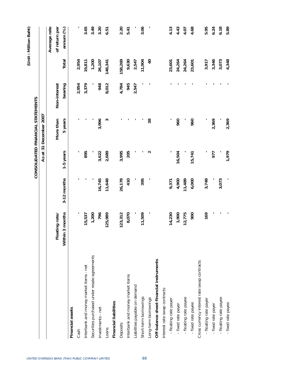|                                              |                 |             |                   |                                   |              |                 | (Unit: Million Baht) |
|----------------------------------------------|-----------------|-------------|-------------------|-----------------------------------|--------------|-----------------|----------------------|
|                                              |                 |             |                   | CONSOLIDATED FINANCIAL STATEMENTS |              |                 |                      |
|                                              |                 |             |                   | As at 31 December 2007            |              |                 |                      |
|                                              |                 |             |                   |                                   |              |                 | Average rate         |
|                                              | Floating rate/  |             |                   | More than                         | Non-interest |                 | of return per        |
|                                              | Within 3 months | 3-12 months | 1-5 years         | 5 years                           | bearing      | Total           | annum (%)            |
| Financial assets                             |                 |             |                   |                                   |              |                 |                      |
| Cash                                         | ı               |             |                   |                                   | 2,954        | 2,954           |                      |
| Interbank and money market items - net       | 15,537          |             | 895               |                                   | 3,379        | 19,811          | 3.65                 |
| Securities purchased under resale agreements | 1,200           |             |                   |                                   |              | 1,200           | 3.49                 |
| Investments - net                            | 796             | 16,745      | 3,622             | 3,996                             | 948          | 26,107          | 3.20                 |
| Loans                                        | 125,989         | 11,648      | 2,689             | 3                                 | 8,012        | 148,341         | 6.51                 |
| <b>Financial liabilities</b>                 |                 |             |                   |                                   |              |                 |                      |
| Deposits                                     | 123,312         | 26,178      | 3,995             |                                   | 4,784        | 158,269         | 2.20                 |
| Interbank and money market items             | 8,070           | 410         | 205               |                                   | 945          | 9,630           | 5.41                 |
| Liabilities payable on demand                |                 |             |                   |                                   | 2,547        | 2,547           |                      |
| Short-term borrowings                        | 11,509          | 395         | I,                |                                   |              | 11,904          | 3.06                 |
| Long-term borrowings                         |                 |             | $\mathbf{\Omega}$ | 38                                |              | $\overline{40}$ |                      |
| Off-balance sheet financial instruments      |                 |             |                   |                                   |              |                 |                      |
| Interest rate swap contracts                 |                 |             |                   |                                   |              |                 |                      |
| - floating rate payer                        | 14,230          | 9,371       |                   | ٠                                 |              | 23,601          | 4.13                 |
| - fixed rate payer                           | 1,900           | 4,900       | 16,504            | 960                               |              | 24,264          | 4.43                 |
| - floating rate payee                        | 12,775          | 11,489      |                   |                                   |              | 24,264          | 4.07                 |
| - fixed rate payee                           | 900             | 6,000       | 15,741            | 960                               |              | 23,601          | 4.68                 |
| Cross currency interest rate swap contracts  |                 |             |                   |                                   |              |                 |                      |
| - floating rate payer                        | 169             | 3,748       |                   |                                   |              | 3,917           | 5.95                 |
| - fixed rate payer                           |                 |             | 977               | 2,369                             |              | 3,346           | 6.24                 |
| - floating rate payee                        |                 | 3,073       |                   |                                   |              | 3,073           | 6.18                 |
| - fixed rate payee                           |                 |             | 1,979             | 2,369                             |              | 4,348           | 5.89                 |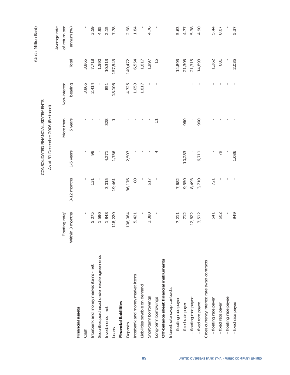|                                              |                 |             |           | CONSOLIDATED FINANCIAL STATEMENTS              |              |               | (Unit: Million Baht) |
|----------------------------------------------|-----------------|-------------|-----------|------------------------------------------------|--------------|---------------|----------------------|
|                                              |                 |             |           | As at 31 December 2006 (Restated)              |              |               |                      |
|                                              |                 |             |           |                                                |              |               | Average rate         |
|                                              | Floating rate/  |             |           | More than                                      | Non-interest |               | of return per        |
|                                              | Within 3 months | 3-12 months | 1-5 years | 5 years                                        | bearing      | Total         | annum (%)            |
| Financial assets                             |                 |             |           |                                                |              |               |                      |
| Cash                                         |                 |             | ٠         |                                                | 3,865        | 3,865         |                      |
| Interbank and money market items - net       | 5,075           | 131         | 98        |                                                | 2,414        | 7,718         | 3.59                 |
| Securities purchased under resale agreements | 1,590           |             |           |                                                |              | 1,590         | 4.95                 |
| Investments - net                            | 1,848           | 3,015       | 4,271     | 328                                            | 851          | 10,313        | 2.15                 |
| Loans                                        | 118,220         | 19,461      | 1,756     |                                                | 18,105       | 157,543       | 7.78                 |
| <b>Financial liabilities</b>                 |                 |             |           |                                                |              |               |                      |
| Deposits                                     | 106,064         | 36,176      | 2,507     |                                                | 4,725        | 149,472       | 2.98                 |
| Interbank and money market items             | 5,421           | $\infty$    |           |                                                | 1,053        | 6,554         | 1.84                 |
| Liabilities payable on demand                |                 |             |           |                                                | 1,817        | 1,817         |                      |
| Short-term borrowings                        | 1,380           | 617         |           |                                                |              | 1,997         | 4.76                 |
| Long-term borrowings                         |                 |             | 4         | $\overline{\overline{\phantom{0}}\phantom{0}}$ |              | $\frac{5}{1}$ |                      |
| Off-balance sheet financial instruments      |                 |             |           |                                                |              |               |                      |
| Interest rate swap contracts                 |                 |             |           |                                                |              |               |                      |
| - floating rate payer                        | 7,211           | 7,682       |           |                                                |              | 14,893        | 5.63                 |
| - fixed rate payer                           | 712             | 9,350       | 10,283    | 960                                            |              | 21,305        | 4.77                 |
| - floating rate payee                        | 12,822          | 8,493       |           |                                                |              | 21,315        | 5.38                 |
| - fixed rate payee                           | 3,512           | 3,710       | 6,711     | 960                                            |              | 14,893        | 4.90                 |
| Cross currency interest rate swap contracts  |                 |             |           |                                                |              |               |                      |
| - floating rate payer                        | 541             | 721         |           |                                                |              | 1,262         | 5.44                 |
| - fixed rate payer                           | 602             |             | 79        |                                                |              | 681           | 8.07                 |
| - floating rate payee                        |                 |             |           |                                                |              |               |                      |
| - fixed rate payee                           | 949             |             | 1,086     |                                                |              | 2,035         | 5.37                 |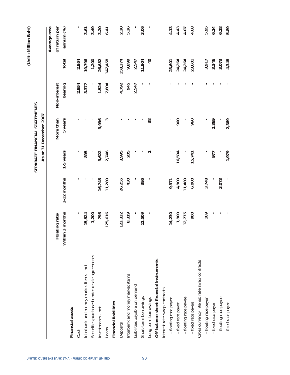|                                              |                 |             |           |                               |              |                 | (Unit: Million Baht) |
|----------------------------------------------|-----------------|-------------|-----------|-------------------------------|--------------|-----------------|----------------------|
|                                              |                 |             |           | SEPARATE FINANCIAL STATEMENTS |              |                 |                      |
|                                              |                 |             |           | As at 31 December 2007        |              |                 |                      |
|                                              |                 |             |           |                               |              |                 | Average rate         |
|                                              | Floating rate/  |             |           | More than                     | Non-interest |                 | of return per        |
|                                              | Within 3 months | 3-12 months | 1-5 years | 5 years                       | bearing      | Total           | annum (%)            |
| Financial assets                             |                 |             |           |                               |              |                 |                      |
| Cash                                         | ı               |             | ٠         |                               | 2,954        | 2,954           |                      |
| Interbank and money market items - net       | 15,524          |             | 895       |                               | 3,377        | 19,796          | 3.61                 |
| Securities purchased under resale agreements | 1,200           |             |           |                               |              | 1,200           | 3.49                 |
| Investments - net                            | 795             | 16,745      | 3,622     | 3,996                         | 1,524        | 26,682          | 3.20                 |
| Loans                                        | 125,616         | 11,289      | 2,746     | ς                             | 7,804        | 147,458         | 6.41                 |
| <b>Financial liabilities</b>                 |                 |             |           |                               |              |                 |                      |
| Deposits                                     | 123,332         | 26,255      | 3,995     |                               | 4,792        | 158,374         | 2.20                 |
| Interbank and money market items             | 8,319           | 430         | 205       |                               | 945          | 9,899           | 5.26                 |
| Liabilities payable on demand                |                 |             |           |                               | 2,547        | 2,547           |                      |
| Short-term borrowings                        | 11,509          | 395         |           |                               |              | 11,904          | 3.06                 |
| Long-term borrowings                         | ı               | ı           | $\sim$    | 38                            |              | $\overline{40}$ |                      |
| Off-balance sheet financial instruments      |                 |             |           |                               |              |                 |                      |
| Interest rate swap contracts                 |                 |             |           |                               |              |                 |                      |
| - floating rate payer                        | 14,230          | 9,371       |           |                               |              | 23,601          | 4.13                 |
| - fixed rate payer                           | 1,900           | 4,900       | 16,504    | 960                           |              | 24,264          | 4.43                 |
| - floating rate payee                        | 12,775          | 11,489      |           |                               |              | 24,264          | 4.07                 |
| - fixed rate payee                           | 900             | 6,000       | 15,741    | 960                           |              | 23,601          | 4.68                 |
| Cross currency interest rate swap contracts  |                 |             |           |                               |              |                 |                      |
| - floating rate payer                        | 169             | 3,748       |           |                               |              | 3,917           | 5.95                 |
| - fixed rate payer                           |                 |             | 977       | 2,369                         |              | 3,346           | 6.24                 |
| - floating rate payee                        |                 | 3,073       |           |                               |              | 3,073           | 6.18                 |
| - fixed rate payee                           |                 |             | 1,979     | 2,369                         |              | 4,348           | 5.89                 |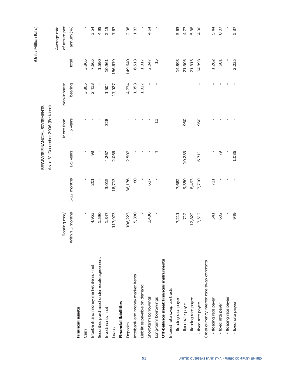|                                             |                 |             |           |                                                |              |               | (Unit: Million Baht) |
|---------------------------------------------|-----------------|-------------|-----------|------------------------------------------------|--------------|---------------|----------------------|
|                                             |                 |             |           | SEPARATE FINANCIAL STATEMENTS                  |              |               |                      |
|                                             |                 |             |           | As at 31 December 2006 (Restated)              |              |               |                      |
|                                             |                 |             |           |                                                |              |               | Average rate         |
|                                             | Floating rate/  |             |           | More than                                      | Non-interest |               | of return per        |
|                                             | Within 3 months | 3-12 months | 1-5 years | 5 years                                        | bearing      | Total         | annum (%)            |
| Financial assets                            |                 |             |           |                                                |              |               |                      |
| Cash                                        |                 |             | 1         |                                                | 3,865        | 3,865         |                      |
| Interbank and money market items - net      | 4,953           | 201         | 98        |                                                | 2,413        | 7,665         | 3.54                 |
| Securities purchased under resale agreement | 1,590           |             |           |                                                |              | 1,590         | 4.95                 |
| Investments - net                           | 1,847           | 3,015       | 4,267     | 328                                            | 1,504        | 10,961        | 2.15                 |
| Loans                                       | 117,973         | 18,713      | 2,066     |                                                | 17,927       | 156,679       | 7.67                 |
| <b>Financial liabilities</b>                |                 |             |           |                                                |              |               |                      |
| Deposits                                    | 106,223         | 36,176      | 2,507     |                                                | 4,734        | 149,640       | 2.98                 |
| Interbank and money market items            | 5,380           | $\infty$    |           |                                                | 1,053        | 6,513         | 1.83                 |
| Liabilities payable on demand               |                 |             |           |                                                | 1,817        | 1,817         |                      |
| Short-term borrowings                       | 1,430           | 617         |           |                                                |              | 2,047         | 4.64                 |
| Long-term borrowings                        |                 |             | 4         | $\overline{\overline{\phantom{0}}\phantom{0}}$ |              | $\frac{5}{1}$ |                      |
| Off-balance sheet financial instruments     |                 |             |           |                                                |              |               |                      |
| Interest rate swap contracts                |                 |             |           |                                                |              |               |                      |
| - floating rate payer                       | 7,211           | 7,682       |           |                                                |              | 14,893        | 5.63                 |
| - fixed rate payer                          | 712             | 9,350       | 10,283    | 960                                            |              | 21,305        | 4.77                 |
| - floating rate payee                       | 12,822          | 8,493       |           |                                                |              | 21,315        | 5.38                 |
| - fixed rate payee                          | 3,512           | 3,710       | 6,711     | 960                                            |              | 14,893        | 4.90                 |
| Cross currency interest rate swap contracts |                 |             |           |                                                |              |               |                      |
| - floating rate payer                       | 541             | 721         |           |                                                |              | 1,262         | 5.44                 |
| - fixed rate payer                          | 602             |             | 79        |                                                |              | 681           | 8.07                 |
| - floating rate payee                       |                 |             |           |                                                |              |               |                      |
| - fixed rate payee                          | 949             |             | 1,086     |                                                |              | 2,035         | 5.37                 |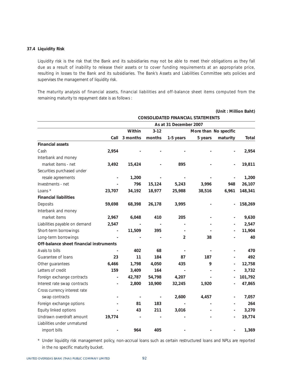## **37.4 Liquidity Risk**

Liquidity risk is the risk that the Bank and its subsidiaries may not be able to meet their obligations as they fall due as a result of inability to release their assets or to cover funding requirements at an appropriate price, resulting in losses to the Bank and its subsidiaries. The Bank's Assets and Liabilities Committee sets policies and supervises the management of liquidity risk.

The maturity analysis of financial assets, financial liabilities and off-balance sheet items computed from the remaining maturity to repayment date is as follows :

|                                         |                          |                          |                          |                        |                                          | (Unit: Million Baht)         |         |
|-----------------------------------------|--------------------------|--------------------------|--------------------------|------------------------|------------------------------------------|------------------------------|---------|
|                                         |                          |                          |                          |                        | <b>CONSOLIDATED FINANCIAL STATEMENTS</b> |                              |         |
|                                         |                          |                          |                          | As at 31 December 2007 |                                          |                              |         |
|                                         |                          | Within                   | $3 - 12$                 |                        |                                          | More than No specific        |         |
|                                         | Call                     | 3 months                 | months                   | 1-5 years              | 5 years                                  | maturity                     | Total   |
| <b>Financial assets</b>                 |                          |                          |                          |                        |                                          |                              |         |
| Cash                                    | 2,954                    |                          |                          |                        |                                          |                              | 2,954   |
| Interbank and money                     |                          |                          |                          |                        |                                          |                              |         |
| market items - net                      | 3,492                    | 15,424                   |                          | 895                    |                                          |                              | 19,811  |
| Securities purchased under              |                          |                          |                          |                        |                                          |                              |         |
| resale agreements                       |                          | 1,200                    |                          |                        |                                          |                              | 1,200   |
| Investments - net                       |                          | 796                      | 15,124                   | 5,243                  | 3,996                                    | 948                          | 26,107  |
| Loans *                                 | 23,707                   | 34,192                   | 18,977                   | 25,988                 | 38,516                                   | 6,961                        | 148,341 |
| <b>Financial liabilities</b>            |                          |                          |                          |                        |                                          |                              |         |
| Deposits                                | 59,698                   | 68,398                   | 26,178                   | 3,995                  |                                          |                              | 158,269 |
| Interbank and money                     |                          |                          |                          |                        |                                          |                              |         |
| market items                            | 2,967                    | 6,048                    | 410                      | 205                    |                                          | $\qquad \qquad \blacksquare$ | 9,630   |
| Liabilities payable on demand           | 2,547                    |                          |                          |                        |                                          |                              | 2,547   |
| Short-term borrowings                   |                          | 11,509                   | 395                      |                        |                                          |                              | 11,904  |
| Long-term borrowings                    |                          |                          |                          | $\overline{2}$         | 38                                       |                              | 40      |
| Off-balance sheet financial instruments |                          |                          |                          |                        |                                          |                              |         |
| Avals to bills                          |                          | 402                      | 68                       |                        |                                          | -                            | 470     |
| Guarantee of loans                      | 23                       | 11                       | 184                      | 87                     | 187                                      |                              | 492     |
| Other guarantees                        | 6,466                    | 1,798                    | 4,050                    | 435                    | 9                                        | $\overline{\phantom{0}}$     | 12,758  |
| Letters of credit                       | 159                      | 3,409                    | 164                      |                        |                                          |                              | 3,732   |
| Foreign exchange contracts              | $\overline{a}$           | 42,787                   | 54,798                   | 4,207                  |                                          | $\overline{a}$               | 101,792 |
| Interest rate swap contracts            | $\overline{\phantom{a}}$ | 2,800                    | 10,900                   | 32,245                 | 1,920                                    |                              | 47,865  |
| Cross currency interest rate            |                          |                          |                          |                        |                                          |                              |         |
| swap contracts                          |                          | $\overline{\phantom{a}}$ | $\overline{\phantom{a}}$ | 2,600                  | 4,457                                    | $\overline{\phantom{0}}$     | 7,057   |
| Foreign exchange options                |                          | 81                       | 183                      |                        |                                          |                              | 264     |
| Equity linked options                   |                          | 43                       | 211                      | 3,016                  |                                          |                              | 3,270   |
| Undrawn overdraft amount                | 19,774                   |                          |                          |                        |                                          |                              | 19,774  |
| Liabilities under unmatured             |                          |                          |                          |                        |                                          |                              |         |
| import bills                            |                          | 964                      | 405                      |                        |                                          |                              | 1,369   |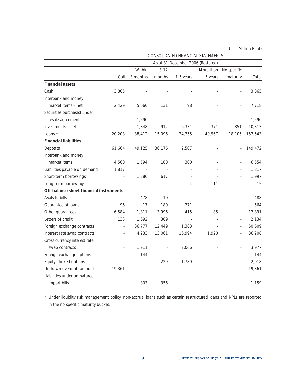|                                         |                          |          |          | As at 31 December 2006 (Restated) |           |             |         |
|-----------------------------------------|--------------------------|----------|----------|-----------------------------------|-----------|-------------|---------|
|                                         |                          | Within   | $3 - 12$ |                                   | More than | No specific |         |
|                                         | Call                     | 3 months | months   | 1-5 years                         | 5 years   | maturity    | Total   |
| <b>Financial assets</b>                 |                          |          |          |                                   |           |             |         |
| Cash                                    | 3,865                    |          |          |                                   |           |             | 3,865   |
| Interbank and money                     |                          |          |          |                                   |           |             |         |
| market items - net                      | 2,429                    | 5,060    | 131      | 98                                |           |             | 7,718   |
| Securities purchased under              |                          |          |          |                                   |           |             |         |
| resale agreements                       |                          | 1,590    |          |                                   |           |             | 1,590   |
| Investments - net                       |                          | 1,848    | 912      | 6,331                             | 371       | 851         | 10,313  |
| Loans *                                 | 20,208                   | 38,412   | 15,096   | 24,755                            | 40,967    | 18,105      | 157,543 |
| <b>Financial liabilities</b>            |                          |          |          |                                   |           |             |         |
| Deposits                                | 61,664                   | 49,125   | 36,176   | 2,507                             |           |             | 149,472 |
| Interbank and money                     |                          |          |          |                                   |           |             |         |
| market items                            | 4,560                    | 1,594    | 100      | 300                               |           |             | 6,554   |
| Liabilities payable on demand           | 1,817                    |          |          |                                   |           |             | 1,817   |
| Short-term borrowings                   | $\overline{\phantom{a}}$ | 1,380    | 617      |                                   |           |             | 1,997   |
| Long-term borrowings                    |                          |          |          | 4                                 | 11        |             | 15      |
| Off-balance sheet financial instruments |                          |          |          |                                   |           |             |         |
| Avals to bills                          |                          | 478      | 10       |                                   |           |             | 488     |
| Guarantee of loans                      | 96                       | 17       | 180      | 271                               |           | L,          | 564     |
| Other guarantees                        | 6,584                    | 1,811    | 3,996    | 415                               | 85        | ÷,          | 12,891  |
| Letters of credit                       | 133                      | 1,692    | 309      |                                   |           | ÷,          | 2,134   |
| Foreign exchange contracts              | ÷,                       | 36,777   | 12,449   | 1,383                             |           | ÷,          | 50,609  |
| Interest rate swap contracts            | ÷,                       | 4,233    | 13,061   | 16,994                            | 1,920     | ÷,          | 36,208  |
| Cross currency interest rate            |                          |          |          |                                   |           |             |         |
| swap contracts                          |                          | 1,911    |          | 2,066                             |           |             | 3,977   |
| Foreign exchange options                |                          | 144      |          |                                   |           |             | 144     |
| Equity - linked options                 |                          |          | 229      | 1,789                             |           |             | 2,018   |
| Undrawn overdraft amount                | 19,361                   |          |          |                                   |           |             | 19,361  |
| Liabilities under unmatured             |                          |          |          |                                   |           |             |         |
| import bills                            |                          | 803      | 356      |                                   |           |             | 1,159   |

CONSOLIDATED FINANCIAL STATEMENTS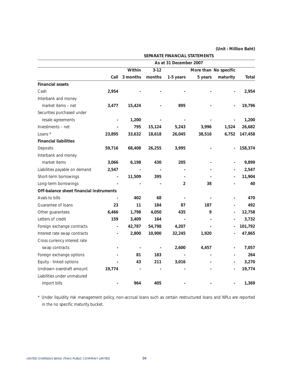|                                                   |          |          |                        | SEPARATE FINANCIAL STATEMENTS |                          |         |
|---------------------------------------------------|----------|----------|------------------------|-------------------------------|--------------------------|---------|
|                                                   |          |          | As at 31 December 2007 |                               |                          |         |
|                                                   | Within   | $3 - 12$ |                        | More than No specific         |                          |         |
| Call                                              | 3 months | months   | 1-5 years              | 5 years                       | maturity                 | Total   |
| <b>Financial assets</b>                           |          |          |                        |                               |                          |         |
| Cash<br>2,954                                     |          |          |                        |                               |                          | 2,954   |
| Interbank and money                               |          |          |                        |                               |                          |         |
| market items - net<br>3,477                       | 15,424   |          | 895                    |                               |                          | 19,796  |
| Securities purchased under                        |          |          |                        |                               |                          |         |
| resale agreements                                 | 1,200    |          |                        |                               | $\overline{a}$           | 1,200   |
| Investments - net                                 | 795      | 15,124   | 5,243                  | 3,996                         | 1,524                    | 26,682  |
| Loans *<br>23,895                                 | 33,632   | 18,618   | 26,045                 | 38,516                        | 6,752                    | 147,458 |
| <b>Financial liabilities</b>                      |          |          |                        |                               |                          |         |
| Deposits<br>59,716                                | 68,408   | 26,255   | 3,995                  |                               | $\overline{\phantom{0}}$ | 158,374 |
| Interbank and money                               |          |          |                        |                               |                          |         |
| market items<br>3,066                             | 6,198    | 430      | 205                    |                               | $\overline{a}$           | 9,899   |
| Liabilities payable on demand<br>2,547            |          |          |                        |                               |                          | 2,547   |
| Short-term borrowings<br>$\overline{\phantom{a}}$ | 11,509   | 395      |                        |                               |                          | 11,904  |
| Long-term borrowings                              |          |          | 2                      | 38                            |                          | 40      |
| Off-balance sheet financial instruments           |          |          |                        |                               |                          |         |
| Avals to bills                                    | 402      | 68       |                        |                               | $\overline{a}$           | 470     |
| Guarantee of loans<br>23                          | 11       | 184      | 87                     | 187                           |                          | 492     |
| 6,466<br>Other guarantees                         | 1,798    | 4,050    | 435                    | 9                             | $\overline{\phantom{0}}$ | 12,758  |
| Letters of credit<br>159                          | 3,409    | 164      |                        |                               |                          | 3,732   |
| Foreign exchange contracts<br>$\overline{a}$      | 42,787   | 54,798   | 4,207                  |                               | $\overline{\phantom{0}}$ | 101,792 |
| Interest rate swap contracts<br>$\overline{a}$    | 2,800    | 10,900   | 32,245                 | 1,920                         |                          | 47,865  |
| Cross currency interest rate                      |          |          |                        |                               |                          |         |
| swap contracts                                    |          |          | 2,600                  | 4,457                         |                          | 7,057   |
| Foreign exchange options                          | 81       | 183      | $\blacksquare$         | $\overline{\phantom{0}}$      |                          | 264     |
| Equity - linked options                           | 43       | 211      | 3,016                  |                               |                          | 3,270   |
| Undrawn overdraft amount<br>19,774                |          |          |                        |                               |                          | 19,774  |
| Liabilities under unmatured                       |          |          |                        |                               |                          |         |
| import bills                                      | 964      | 405      |                        |                               |                          | 1,369   |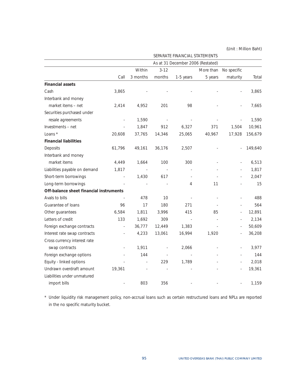|                                         |        |                          |          | SEPARATE FINANCIAL STATEMENTS     |           |                          |         |
|-----------------------------------------|--------|--------------------------|----------|-----------------------------------|-----------|--------------------------|---------|
|                                         |        |                          |          | As at 31 December 2006 (Restated) |           |                          |         |
|                                         |        | Within                   | $3 - 12$ |                                   | More than | No specific              |         |
|                                         | Call   | 3 months                 | months   | 1-5 years                         | 5 years   | maturity                 | Total   |
| <b>Financial assets</b>                 |        |                          |          |                                   |           |                          |         |
| Cash                                    | 3,865  |                          |          |                                   |           |                          | 3,865   |
| Interbank and money                     |        |                          |          |                                   |           |                          |         |
| market items - net                      | 2,414  | 4,952                    | 201      | 98                                |           |                          | 7,665   |
| Securities purchased under              |        |                          |          |                                   |           |                          |         |
| resale agreements                       |        | 1,590                    |          |                                   |           |                          | 1,590   |
| Investments - net                       |        | 1,847                    | 912      | 6,327                             | 371       | 1,504                    | 10,961  |
| Loans *                                 | 20,608 | 37,765                   | 14,346   | 25,065                            | 40,967    | 17,928                   | 156,679 |
| <b>Financial liabilities</b>            |        |                          |          |                                   |           |                          |         |
| Deposits                                | 61,796 | 49,161                   | 36,176   | 2,507                             |           |                          | 149,640 |
| Interbank and money                     |        |                          |          |                                   |           |                          |         |
| market items                            | 4,449  | 1,664                    | 100      | 300                               |           | $\overline{\phantom{a}}$ | 6,513   |
| Liabilities payable on demand           | 1,817  | $\overline{\phantom{a}}$ |          |                                   |           |                          | 1,817   |
| Short-term borrowings                   | ÷,     | 1,430                    | 617      |                                   |           |                          | 2,047   |
| Long-term borrowings                    |        |                          |          | 4                                 | 11        |                          | 15      |
| Off-balance sheet financial instruments |        |                          |          |                                   |           |                          |         |
| Avals to bills                          |        | 478                      | 10       |                                   |           |                          | 488     |
| Guarantee of loans                      | 96     | 17                       | 180      | 271                               |           | L,                       | 564     |
| Other guarantees                        | 6,584  | 1,811                    | 3,996    | 415                               | 85        | ÷,                       | 12,891  |
| Letters of credit                       | 133    | 1,692                    | 309      |                                   |           | $\overline{\phantom{a}}$ | 2,134   |
| Foreign exchange contracts              | ÷,     | 36,777                   | 12,449   | 1,383                             |           | ä,                       | 50,609  |
| Interest rate swap contracts            |        | 4,233                    | 13,061   | 16,994                            | 1,920     |                          | 36,208  |
| Cross currency interest rate            |        |                          |          |                                   |           |                          |         |
| swap contracts                          | ÷,     | 1,911                    |          | 2,066                             |           | ä,                       | 3,977   |
| Foreign exchange options                |        | 144                      |          |                                   |           |                          | 144     |
| Equity - linked options                 |        | ÷,                       | 229      | 1,789                             |           |                          | 2,018   |
| Undrawn overdraft amount                | 19,361 |                          |          |                                   |           |                          | 19,361  |
| Liabilities under unmatured             |        |                          |          |                                   |           |                          |         |
| import bills                            |        | 803                      | 356      |                                   |           |                          | 1,159   |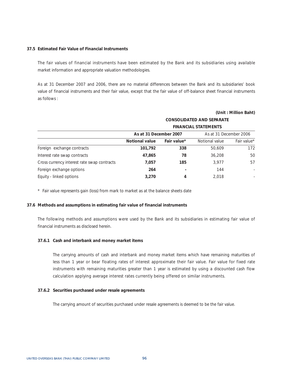#### **37.5 Estimated Fair Value of Financial Instruments**

The fair values of financial instruments have been estimated by the Bank and its subsidiaries using available market information and appropriate valuation methodologies.

As at 31 December 2007 and 2006, there are no material differences between the Bank and its subsidiaries' book value of financial instruments and their fair value, except that the fair value of off-balance sheet financial instruments as follows :

### **(Unit : Million Baht)**

|                                             |                        |             | <b>CONSOLIDATED AND SEPARATE</b> |             |
|---------------------------------------------|------------------------|-------------|----------------------------------|-------------|
|                                             |                        |             | <b>FINANCIAL STATEMENTS</b>      |             |
|                                             | As at 31 December 2007 |             | As at 31 December 2006           |             |
|                                             | <b>Notional value</b>  | Fair value* | Notional value                   | Fair value* |
| Foreign exchange contracts                  | 101,792                | 338         | 50.609                           | 172         |
| Interest rate swap contracts                | 47,865                 | 78          | 36,208                           | 50          |
| Cross currency interest rate swap contracts | 7,057                  | 185         | 3.977                            | 57          |
| Foreign exchange options                    | 264                    |             | 144                              | ٠           |
| Equity - linked options                     | 3,270                  | 4           | 2,018                            | ٠           |

\* Fair value represents gain (loss) from mark to market as at the balance sheets date

#### **37.6 Methods and assumptions in estimating fair value of financial instruments**

The following methods and assumptions were used by the Bank and its subsidiaries in estimating fair value of financial instruments as disclosed herein.

#### **37.6.1 Cash and interbank and money market items**

The carrying amounts of cash and interbank and money market items which have remaining maturities of less than 1 year or bear floating rates of interest approximate their fair value. Fair value for fixed rate instruments with remaining maturities greater than 1 year is estimated by using a discounted cash flow calculation applying average interest rates currently being offered on similar instruments.

## **37.6.2 Securities purchased under resale agreements**

The carrying amount of securities purchased under resale agreements is deemed to be the fair value.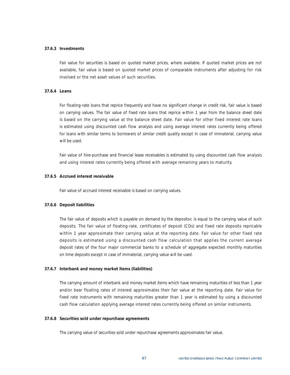#### **37.6.3 Investments**

Fair value for securities is based on quoted market prices, where available. If quoted market prices are not available, fair value is based on quoted market prices of comparable instruments after adjusting for risk involved or the net asset values of such securities.

# **37.6.4 Loans**

For floating-rate loans that reprice frequently and have no significant change in credit risk, fair value is based on carrying values. The fair value of fixed rate loans that reprice within 1 year from the balance sheet date is based on the carrying value at the balance sheet date. Fair value for other fixed interest rate loans is estimated using discounted cash flow analysis and using average interest rates currently being offered for loans with similar terms to borrowers of similar credit quality except in case of immaterial, carrying value will be used.

Fair value of hire-purchase and financial lease receivables is estimated by using discounted cash flow analysis and using interest rates currently being offered with average remaining years to maturity.

#### **37.6.5 Accrued interest receivable**

Fair value of accrued interest receivable is based on carrying values.

#### **37.6.6 Deposit liabilities**

The fair value of deposits which is payable on demand by the depositor, is equal to the carrying value of such deposits. The fair value of floating-rate, certificates of deposit (CDs) and fixed rate deposits repricable within 1 year approximate their carrying value at the reporting date. Fair value for other fixed rate deposits is estimated using a discounted cash flow calculation that applies the current average deposit rates of the four major commercial banks to a schedule of aggregate expected monthly maturities on time deposits except in case of immaterial, carrying value will be used.

#### **37.6.7 Interbank and money market items (liabilities)**

The carrying amount of interbank and money market items which have remaining maturities of less than 1 year and/or bear floating rates of interest approximates their fair value at the reporting date. Fair value for fixed rate instruments with remaining maturities greater than 1 year is estimated by using a discounted cash flow calculation applying average interest rates currently being offered on similar instruments.

#### **37.6.8 Securities sold under repurchase agreements**

The carrying value of securities sold under repurchase agreements approximates fair value.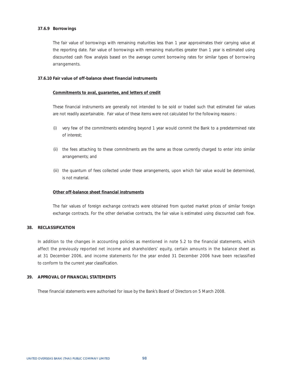## **37.6.9 Borrowings**

The fair value of borrowings with remaining maturities less than 1 year approximates their carrying value at the reporting date. Fair value of borrowings with remaining maturities greater than 1 year is estimated using discounted cash flow analysis based on the average current borrowing rates for similar types of borrowing arrangements.

### **37.6.10 Fair value of off-balance sheet financial instruments**

# **Commitments to aval, guarantee, and letters of credit**

These financial instruments are generally not intended to be sold or traded such that estimated fair values are not readily ascertainable. Fair value of these items were not calculated for the following reasons :

- (i) very few of the commitments extending beyond 1 year would commit the Bank to a predetermined rate of interest;
- (ii) the fees attaching to these commitments are the same as those currently charged to enter into similar arrangements; and
- (iii) the quantum of fees collected under these arrangements, upon which fair value would be determined, is not material.

### **Other off-balance sheet financial instruments**

The fair values of foreign exchange contracts were obtained from quoted market prices of similar foreign exchange contracts. For the other derivative contracts, the fair value is estimated using discounted cash flow.

### **38. RECLASSIFICATION**

In addition to the changes in accounting policies as mentioned in note 5.2 to the financial statements, which affect the previously reported net income and shareholders' equity, certain amounts in the balance sheet as at 31 December 2006, and income statements for the year ended 31 December 2006 have been reclassified to conform to the current year classification.

# **39. APPROVAL OF FINANCIAL STATEMENTS**

These financial statements were authorised for issue by the Bank's Board of Directors on 5 March 2008.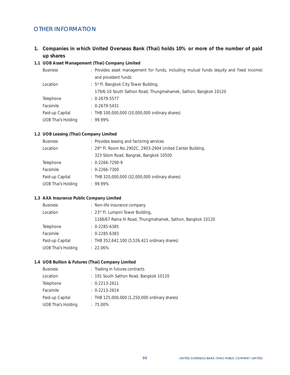# OTHER INFORMATION

**1. Companies in which United Overseas Bank (Thai) holds 10% or more of the number of paid up shares** 

# **1.1 UOB Asset Management (Thai) Company Limited**

| <b>Business</b>           | : Provides asset management for funds, including mutual funds (equity and fixed income) |
|---------------------------|-----------------------------------------------------------------------------------------|
|                           | and provident funds                                                                     |
| Location                  | : 5 <sup>th</sup> Fl. Bangkok City Tower Building,                                      |
|                           | 179/6-10 South Sathon Road, Thungmahamek, Sathon, Bangkok 10120                         |
| Telephone                 | $: 0 - 2679 - 5577$                                                                     |
| <b>Facsimile</b>          | $\therefore$ 0-2679-5431                                                                |
| Paid-up Capital           | $\pm$ THB 100,000,000 (10,000,000 ordinary shares)                                      |
| <b>UOB Thai's Holding</b> | $.99.99\%$                                                                              |
|                           |                                                                                         |

# **1.2 UOB Leasing (Thai) Company Limited**

| <b>Business</b>           | : Provides leasing and factoring services                   |
|---------------------------|-------------------------------------------------------------|
| Location                  | : 29th Fl. Room No.2902C, 2903-2904 United Center Building, |
|                           | 323 Silom Road, Bangrak, Bangkok 10500                      |
| Telephone                 | $: 0 - 2266 - 7290 - 9$                                     |
| Facsimile                 | $\therefore$ 0-2266-7300                                    |
| Paid-up Capital           | : THB 320,000,000 (32,000,000 ordinary shares)              |
| <b>UOB Thai's Holding</b> | $.99.99\%$                                                  |
|                           |                                                             |

# **1.3 AXA Insurance Public Company Limited**

| <b>Business</b>           | : Non-life insurance company                              |
|---------------------------|-----------------------------------------------------------|
| Location                  | : 23rd Fl. Lumpini Tower Building,                        |
|                           | 1168/67 Rama IV Road, Thungmahamek, Sathon, Bangkok 10120 |
| Telephone                 | $: 0.2285 - 6385$                                         |
| Facsimile                 | $: 0-2285-6383$                                           |
| Paid-up Capital           | : THB 352,642,100 (3,526,421 ordinary shares)             |
| <b>UOB Thai's Holding</b> | $: 22.06\%$                                               |
|                           |                                                           |

# **1.4 UOB Bullion & Futures (Thai) Company Limited**

| <b>Business</b>           | : Trading in futures contracts                |
|---------------------------|-----------------------------------------------|
| Location                  | : 191 South Sathon Road, Bangkok 10120        |
| Telephone                 | : 0.2213.2611                                 |
| Facsimile                 | : 0.2213.2614                                 |
| Paid-up Capital           | : THB 125,000,000 (1,250,000 ordinary shares) |
| <b>UOB Thai's Holding</b> | $: 75.00\%$                                   |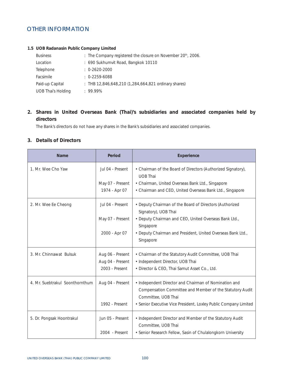# OTHER INFORMATION

# **1.5 UOB Radanasin Public Company Limited**

| <b>Business</b>           | : The Company registered the closure on November 20 <sup>th</sup> , 2006. |
|---------------------------|---------------------------------------------------------------------------|
| Location                  | : 690 Sukhumvit Road, Bangkok 10110                                       |
| Telephone                 | $\therefore$ 0-2620-2000                                                  |
| Facsimile                 | $: 0-2259-6088$                                                           |
| Paid-up Capital           | : THB 12,846,648,210 (1,284,664,821 ordinary shares)                      |
| <b>UOB Thai's Holding</b> | .9999%                                                                    |

# **2. Shares in United Overseas Bank (Thai)'s subsidiaries and associated companies held by directors**

The Bank's directors do not have any shares in the Bank's subsidiaries and associated companies.

# **3. Details of Directors**

| <b>Name</b>                     | <b>Period</b>    | <b>Experience</b>                                                                                                                        |  |  |
|---------------------------------|------------------|------------------------------------------------------------------------------------------------------------------------------------------|--|--|
| 1. Mr. Wee Cho Yaw              | Jul 04 - Present | • Chairman of the Board of Directors (Authorized Signatory),<br><b>UOB Thai</b>                                                          |  |  |
|                                 | May 07 - Present | • Chairman, United Overseas Bank Ltd., Singapore                                                                                         |  |  |
|                                 | 1974 - Apr 07    | • Chairman and CEO, United Overseas Bank Ltd., Singapore                                                                                 |  |  |
| 2. Mr. Wee Ee Cheong            | Jul 04 - Present | • Deputy Chairman of the Board of Directors (Authorized<br>Signatory), UOB Thai                                                          |  |  |
|                                 | May 07 - Present | • Deputy Chairman and CEO, United Overseas Bank Ltd.,<br>Singapore                                                                       |  |  |
|                                 | 2000 - Apr 07    | • Deputy Chairman and President, United Overseas Bank Ltd.,                                                                              |  |  |
|                                 |                  | Singapore                                                                                                                                |  |  |
| 3. Mr. Chinnawat Bulsuk         | Aug 06 - Present | • Chairman of the Statutory Audit Committee, UOB Thai                                                                                    |  |  |
|                                 | Aug 04 - Present | • Independent Director, UOB Thai                                                                                                         |  |  |
|                                 | 2003 - Present   | • Director & CEO, Thai Samut Asset Co., Ltd.                                                                                             |  |  |
| 4. Mr. Suebtrakul Soonthornthum | Aug 04 - Present | • Independent Director and Chairman of Nomination and<br>Compensation Committee and Member of the Statutory Audit<br>Committee, UOB Thai |  |  |
|                                 | 1992 - Present   | • Senior Executive Vice President, Loxley Public Company Limited                                                                         |  |  |
| 5. Dr. Pongsak Hoontrakul       | Jun 05 - Present | • Independent Director and Member of the Statutory Audit<br>Committee, UOB Thai                                                          |  |  |
|                                 | 2004 - Present   | • Senior Research Fellow, Sasin of Chulalongkorn University                                                                              |  |  |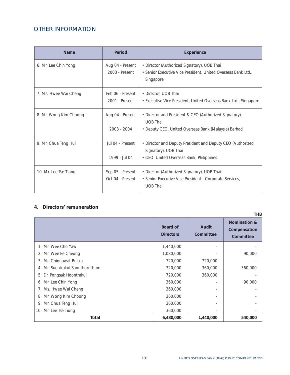# OTHER INFORMATION

| <b>Name</b>            | Period                               | <b>Experience</b>                                                                                                                 |
|------------------------|--------------------------------------|-----------------------------------------------------------------------------------------------------------------------------------|
| 6. Mr. Lee Chin Yong   | Aug 04 - Present<br>2003 - Present   | • Director (Authorized Signatory), UOB Thai<br>• Senior Executive Vice President, United Overseas Bank Ltd.,<br>Singapore         |
| 7. Ms. Hwee Wai Cheng  | Feb 06 - Present<br>2001 - Present   | • Director, UOB Thai<br>• Executive Vice President, United Overseas Bank Ltd., Singapore                                          |
| 8. Mr. Wong Kim Choong | Aug 04 - Present<br>$2003 - 2004$    | • Director and President & CEO (Authorized Signatory),<br><b>UOB Thai</b><br>• Deputy CEO, United Overseas Bank (Malaysia) Berhad |
| 9. Mr. Chua Teng Hui   | Jul 04 - Present<br>1999 - Jul 04    | • Director and Deputy President and Deputy CEO (Authorized<br>Signatory), UOB Thai<br>• CEO, United Overseas Bank, Philippines    |
| 10. Mr. Lee Tse Tiong  | Sep 05 - Present<br>Oct 04 - Present | • Director (Authorized Signatory), UOB Thai<br>• Senior Executive Vice President - Corporate Services,<br><b>UOB Thai</b>         |

# **4. Directors' remuneration**

|                                 |                                     |                    | <b>THB</b>                                           |
|---------------------------------|-------------------------------------|--------------------|------------------------------------------------------|
|                                 | <b>Board of</b><br><b>Directors</b> | Audit<br>Committee | <b>Nomination &amp;</b><br>Compensation<br>Committee |
| 1. Mr. Wee Cho Yaw              | 1,440,000                           |                    |                                                      |
| 2. Mr. Wee Ee Cheong            | 1,080,000                           |                    | 90,000                                               |
| 3. Mr. Chinnawat Bulsuk         | 720,000                             | 720,000            |                                                      |
| 4. Mr. Suebtrakul Soonthornthum | 720,000                             | 360,000            | 360,000                                              |
| 5. Dr. Pongsak Hoontrakul       | 720,000                             | 360,000            |                                                      |
| 6. Mr. Lee Chin Yong            | 360,000                             |                    | 90,000                                               |
| 7. Ms. Hwee Wai Cheng           | 360,000                             |                    |                                                      |
| 8. Mr. Wong Kim Choong          | 360,000                             |                    |                                                      |
| 9. Mr. Chua Teng Hui            | 360,000                             |                    |                                                      |
| 10. Mr. Lee Tse Tiong           | 360,000                             |                    |                                                      |
| Total                           | 6,480,000                           | 1,440,000          | 540,000                                              |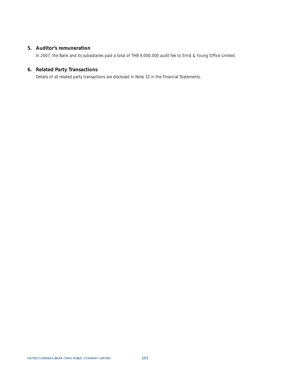# **5. Auditor's remuneration**

In 2007, the Bank and its subsidiaries paid a total of THB 9,000,000 audit fee to Ernst & Young Office Limited.

# **6. Related Party Transactions**

Details of all related party transactions are disclosed in Note 32 in the Financial Statements.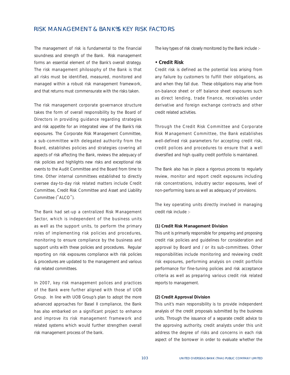# RISK MANAGEMENT & BANK S KEY RISK FACTORS

The management of risk is fundamental to the financial soundness and strength of the Bank. Risk management forms an essential element of the Bank's overall strategy. The risk management philosophy of the Bank is that all risks must be identified, measured, monitored and managed within a robust risk management framework, and that returns must commensurate with the risks taken.

The risk management corporate governance structure takes the form of overall responsibility by the Board of Directors in providing guidance regarding strategies and risk appetite for an integrated view of the Bank's risk exposures. The Corporate Risk Management Committee, a sub-committee with delegated authority from the Board, establishes policies and strategies covering all aspects of risk affecting the Bank, reviews the adequacy of risk policies and highlights new risks and exceptional risk events to the Audit Committee and the Board from time to time. Other internal committees established to directly oversee day-to-day risk related matters include Credit Committee, Credit Risk Committee and Asset and Liability Committee ("ALCO").

The Bank had set-up a centralized Risk Management Sector, which is independent of the business units as well as the support units, to perform the primary roles of implementing risk policies and procedures, monitoring to ensure compliance by the business and support units with these policies and procedures. Regular reporting on risk exposures compliance with risk policies & procedures are updated to the management and various risk related committees.

In 2007, key risk management polices and practices of the Bank were further aligned with those of UOB Group. In line with UOB Group's plan to adopt the more advanced approaches for Basel II compliance, the Bank has also embarked on a significant project to enhance and improve its risk management framework and related systems which would further strengthen overall risk management process of the bank.

The key types of risk closely monitored by the Bank include :-

## **• Credit Risk**

Credit risk is defined as the potential loss arising from any failure by customers to fulfill their obligations, as and when they fall due. These obligations may arise from on-balance sheet or off balance sheet exposures such as direct lending, trade finance, receivables under derivative and foreign exchange contracts and other credit related activities.

Through the Credit Risk Committee and Corporate Risk Management Committee, the Bank establishes well-defined risk parameters for accepting credit risk, credit polices and procedures to ensure that a well diversified and high quality credit portfolio is maintained.

The Bank also has in place a rigorous process to regularly review, monitor and report credit exposures including risk concentrations, industry sector exposures, level of non-performing loans as well as adequacy of provisions.

The key operating units directly involved in managing credit risk include :-

#### **(1) Credit Risk Management Division**

This unit is primarily responsible for preparing and proposing credit risk policies and guidelines for consideration and approval by Board and / or its sub-committees. Other responsibilities include monitoring and reviewing credit risk exposures, performing analysis on credit portfolio performance for fine-tuning policies and risk acceptance criteria as well as preparing various credit risk related reports to management.

## **(2) Credit Approval Division**

This unit's main responsibility is to provide independent analysis of the credit proposals submitted by the business units. Through the issuance of a separate credit advice to the approving authority, credit analysts under this unit address the degree of risks and concerns in each risk aspect of the borrower in order to evaluate whether the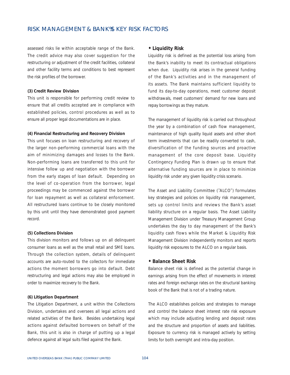# RISK MANAGEMENT & BANK S KEY RISK FACTORS

assessed risks lie within acceptable range of the Bank. The credit advice may also cover suggestion for the restructuring or adjustment of the credit facilities, collateral and other facility terms and conditions to best represent the risk profiles of the borrower.

#### **(3) Credit Review Division**

This unit is responsible for performing credit review to ensure that all credits accepted are in compliance with established policies, control procedures as well as to ensure all proper legal documentations are in place.

#### **(4) Financial Restructuring and Recovery Division**

This unit focuses on loan restructuring and recovery of the larger non-performing commercial loans with the aim of minimizing damages and losses to the Bank. Non-performing loans are transferred to this unit for intensive follow up and negotiation with the borrower from the early stages of loan default. Depending on the level of co-operation from the borrower, legal proceedings may be commenced against the borrower for loan repayment as well as collateral enforcement. All restructured loans continue to be closely monitored by this unit until they have demonstrated good payment record.

#### **(5) Collections Division**

This division monitors and follows up on all delinquent consumer loans as well as the small retail and SME loans. Through the collection system, details of delinquent accounts are auto-routed to the collectors for immediate actions the moment borrowers go into default. Debt restructuring and legal actions may also be employed in order to maximize recovery to the Bank.

## **(6) Litigation Department**

The Litigation Department, a unit within the Collections Division, undertakes and oversees all legal actions and related activities of the Bank. Besides undertaking legal actions against defaulted borrowers on behalf of the Bank, this unit is also in charge of putting up a legal defence against all legal suits filed against the Bank.

#### **• Liquidity Risk**

Liquidity risk is defined as the potential loss arising from the Bank's inability to meet its contractual obligations when due. Liquidity risk arises in the general funding of the Bank's activities and in the management of its assets. The Bank maintains sufficient liquidity to fund its day-to-day operations, meet customer deposit withdrawals, meet customers' demand for new loans and repay borrowings as they mature.

The management of liquidity risk is carried out throughout the year by a combination of cash flow management, maintenance of high quality liquid assets and other short term investments that can be readily converted to cash, diversification of the funding sources and proactive management of the core deposit base. Liquidity Contingency Funding Plan is drawn up to ensure that alternative funding sources are in place to minimize liquidity risk under any given liquidity crisis scenario.

The Asset and Liability Committee ("ALCO") formulates key strategies and policies on liquidity risk management, sets up control limits and reviews the Bank's asset liability structure on a regular basis. The Asset Liability Management Division under Treasury Management Group undertakes the day to day management of the Bank's liquidity cash flows while the Market & Liquidity Risk Management Division independently monitors and reports liquidity risk exposures to the ALCO on a regular basis.

## **• Balance Sheet Risk**

Balance sheet risk is defined as the potential change in earnings arising from the effect of movements in interest rates and foreign exchange rates on the structural banking book of the Bank that is not of a trading nature.

The ALCO establishes policies and strategies to manage and control the balance sheet interest rate risk exposure which may include adjusting lending and deposit rates and the structure and proportion of assets and liabilities. Exposure to currency risk is managed actively by setting limits for both overnight and intra-day position.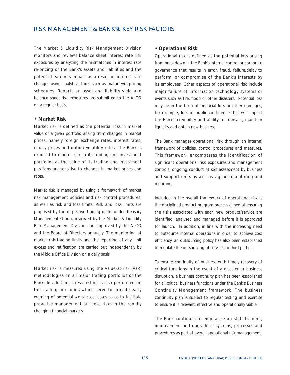# RISK MANAGEMENT & BANK S KEY RISK FACTORS

The Market & Liquidity Risk Management Division monitors and reviews balance sheet interest rate risk exposures by analyzing the mismatches in interest rate re-pricing of the Bank's assets and liabilities and the potential earnings impact as a result of interest rate changes using analytical tools such as maturity/re-pricing schedules. Reports on asset and liability yield and balance sheet risk exposures are submitted to the ALCO on a regular basis.

### **• Market Risk**

Market risk is defined as the potential loss in market value of a given portfolio arising from changes in market prices, namely foreign exchange rates, interest rates, equity prices and option volatility rates. The Bank is exposed to market risk in its trading and investment portfolios as the value of its trading and investment positions are sensitive to changes in market prices and rates.

Market risk is managed by using a framework of market risk management policies and risk control procedures, as well as risk and loss limits. Risk and loss limits are proposed by the respective trading desks under Treasury Management Group, reviewed by the Market & Liquidity Risk Management Division and approved by the ALCO and the Board of Directors annually. The monitoring of market risk trading limits and the reporting of any limit excess and ratification are carried out independently by the Middle Office Division on a daily basis.

Market risk is measured using the Value-at-risk (VaR) methodologies on all major trading portfolios of the Bank. In addition, stress testing is also performed on the trading portfolios which serve to provide early warning of potential worst case losses so as to facilitate proactive management of these risks in the rapidly changing financial markets.

# **• Operational Risk**

Operational risk is defined as the potential loss arising from breakdown in the Bank's internal control or corporate governance that results in error, fraud, failure/delay to perform, or compromise of the Bank's interests by its employees. Other aspects of operational risk include major failure of information technology systems or events such as fire, flood or other disasters. Potential loss may be in the form of financial loss or other damages, for example, loss of public confidence that will impact the Bank's credibility and ability to transact, maintain liquidity and obtain new business.

The Bank manages operational risk through an internal framework of policies, control procedures and measures. This framework encompasses the identification of significant operational risk exposures and management controls, ongoing conduct of self assessment by business and support units as well as vigilant monitoring and reporting.

Included in the overall framework of operational risk is the disciplined product program process aimed at ensuring the risks associated with each new product/service are identified, analysed and managed before it is approved for launch. In addition, in line with the increasing need to outsource internal operations in order to achieve cost efficiency, an outsourcing policy has also been established to regulate the outsourcing of services to third parties.

To ensure continuity of business with timely recovery of critical functions in the event of a disaster or business disruption, a business continuity plan has been established for all critical business functions under the Bank's Business Continuity Management framework. The business continuity plan is subject to regular testing and exercise to ensure it is relevant, effective and operationally viable.

The Bank continues to emphasize on staff training, improvement and upgrade in systems, processes and procedures as part of overall operational risk management.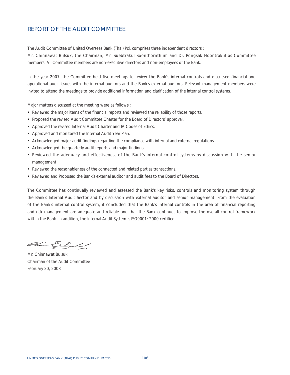# REPORT OF THE AUDIT COMMITTEE

The Audit Committee of United Overseas Bank (Thai) Pcl. comprises three independent directors :

Mr. Chinnawat Bulsuk, the Chairman, Mr. Suebtrakul Soonthornthum and Dr. Pongsak Hoontrakul as Committee members. All Committee members are non-executive directors and non-employees of the Bank.

In the year 2007, the Committee held five meetings to review the Bank's internal controls and discussed financial and operational audit issues with the internal auditors and the Bank's external auditors. Relevant management members were invited to attend the meetings to provide additional information and clarification of the internal control systems.

Major matters discussed at the meeting were as follows :

- Reviewed the major items of the financial reports and reviewed the reliability of those reports.
- Proposed the revised Audit Committee Charter for the Board of Directors' approval.
- Approved the revised Internal Audit Charter and IA Codes of Ethics.
- Approved and monitored the Internal Audit Year Plan.
- Acknowledged major audit findings regarding the compliance with internal and external regulations.
- Acknowledged the quarterly audit reports and major findings.
- Reviewed the adequacy and effectiveness of the Bank's internal control systems by discussion with the senior management.
- Reviewed the reasonableness of the connected and related parties transactions.
- Reviewed and Proposed the Bank's external auditor and audit fees to the Board of Directors.

The Committee has continually reviewed and assessed the Bank's key risks, controls and monitoring system through the Bank's Internal Audit Sector and by discussion with external auditor and senior management. From the evaluation of the Bank's internal control system, it concluded that the Bank's internal controls in the area of financial reporting and risk management are adequate and reliable and that the Bank continues to improve the overall control framework within the Bank. In addition, the Internal Audit System is ISO9001: 2000 certified.

Amin  $\triangle$   $\angle$ 

Mr. Chinnawat Bulsuk Chairman of the Audit Committee February 20, 2008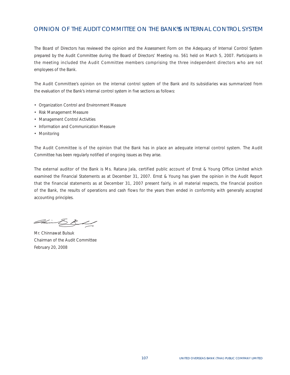# OPINION OF THE AUDIT COMMITTEE ON THE BANK S INTERNAL CONTROL SYSTEM

The Board of Directors has reviewed the opinion and the Assessment Form on the Adequacy of Internal Control System prepared by the Audit Committee during the Board of Directors' Meeting no. 561 held on March 5, 2007. Participants in the meeting included the Audit Committee members comprising the three independent directors who are not employees of the Bank.

The Audit Committee's opinion on the internal control system of the Bank and its subsidiaries was summarized from the evaluation of the Bank's internal control system in five sections as follows:

- Organization Control and Environment Measure
- Risk Management Measure
- Management Control Activities
- Information and Communication Measure
- Monitoring

The Audit Committee is of the opinion that the Bank has in place an adequate internal control system. The Audit Committee has been regularly notified of ongoing issues as they arise.

The external auditor of the Bank is Ms. Ratana Jala, certified public account of Ernst & Young Office Limited which examined the Financial Statements as at December 31, 2007. Ernst & Young has given the opinion in the Audit Report that the financial statements as at December 31, 2007 present fairly, in all material respects, the financial position of the Bank, the results of operations and cash flows for the years then ended in conformity with generally accepted accounting principles.

Ahmad Sanda (  $\geq$   $\mathcal{R}$ 

Mr. Chinnawat Bulsuk Chairman of the Audit Committee February 20, 2008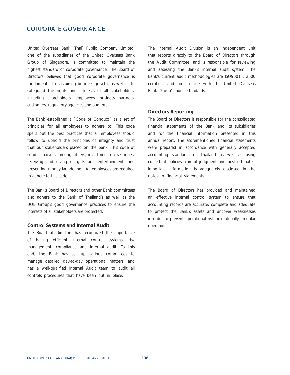# CORPORATE GOVERNANCE

United Overseas Bank (Thai) Public Company Limited, one of the subsidiaries of the United Overseas Bank Group of Singapore, is committed to maintain the highest standard of corporate governance. The Board of Directors believes that good corporate governance is fundamental to sustaining business growth, as well as to safeguard the rights and interests of all stakeholders, including shareholders, employees, business partners, customers, regulatory agencies and auditors.

The Bank established a "Code of Conduct" as a set of principles for all employees to adhere to. This code spells out the best practices that all employees should follow to uphold the principles of integrity and trust that our stakeholders placed on the bank. This code of conduct covers, among others, investment on securities, receiving and giving of gifts and entertainment, and preventing money laundering. All employees are required to adhere to this code.

The Bank's Board of Directors and other Bank committees also adhere to the Bank of Thailand's as well as the UOB Group's good governance practices to ensure the interests of all stakeholders are protected.

#### **Control Systems and Internal Audit**

The Board of Directors has recognized the importance of having efficient internal control systems, risk management, compliance and internal audit. To this end, the Bank has set up various committees to manage detailed day-to-day operational matters, and has a well-qualified Internal Audit team to audit all controls procedures that have been put in place.

The Internal Audit Division is an independent unit that reports directly to the Board of Directors through the Audit Committee, and is responsible for reviewing and assessing the Bank's internal audit system. The Bank's current audit methodologies are ISO9001 : 2000 certified, and are in line with the United Overseas Bank Group's audit standards.

## **Directors Reporting**

The Board of Directors is responsible for the consolidated financial statements of the Bank and its subsidiaries and for the financial information presented in this annual report. The aforementioned financial statements were prepared in accordance with generally accepted accounting standards of Thailand as well as using consistent policies, careful judgment and best estimates. Important information is adequately disclosed in the notes to financial statements.

The Board of Directors has provided and maintained an effective internal control system to ensure that accounting records are accurate, complete and adequate to protect the Bank's assets and uncover weaknesses in order to prevent operational risk or materially irregular operations.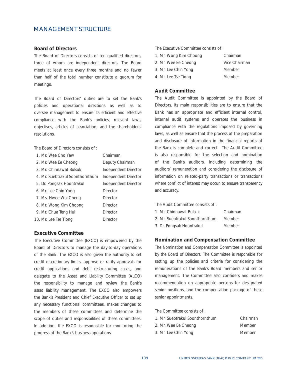# MANAGEMENT STRUCTURE

#### **Board of Directors**

The Board of Directors consists of ten qualified directors, three of whom are independent directors. The Board meets at least once every three months and no fewer than half of the total number constitute a quorum for meetings.

The Board of Directors' duties are to set the Bank's policies and operational directions as well as to oversee management to ensure its efficient and effective compliance with the Bank's policies, relevant laws, objectives, articles of association, and the shareholders' resolutions.

The Board of Directors consists of :

| 1. Mr. Wee Cho Yaw              | Chairman             |
|---------------------------------|----------------------|
| 2. Mr. Wee Ee Cheong            | Deputy Chairman      |
| 3. Mr. Chinnawat Bulsuk         | Independent Director |
| 4. Mr. Suebtrakul Soonthornthum | Independent Director |
| 5. Dr. Pongsak Hoontrakul       | Independent Director |
| 6. Mr. Lee Chin Yong            | Director             |
| 7. Ms. Hwee Wai Cheng           | Director             |
| 8. Mr. Wong Kim Choong          | Director             |
| 9. Mr. Chua Teng Hui            | Director             |
| 10. Mr. Lee Tse Tiong           | Director             |

#### **Executive Committee**

The Executive Committee (EXCO) is empowered by the Board of Directors to manage the day-to-day operations of the Bank. The EXCO is also given the authority to set credit discretionary limits, approve or ratify approvals for credit applications and debt restructuring cases, and delegate to the Asset and Liability Committee (ALCO) the responsibility to manage and review the Bank's asset liability management. The EXCO also empowers the Bank's President and Chief Executive Officer to set up any necessary functional committees, makes changes to the members of these committees and determine the scope of duties and responsibilities of these committees. In addition, the EXCO is responsible for monitoring the progress of the Bank's business operations.

The Executive Committee consists of :

| 1. Mr. Wong Kim Choong | Chairman      |
|------------------------|---------------|
| 2. Mr. Wee Ee Cheong   | Vice Chairman |
| 3. Mr. Lee Chin Yong   | Member        |

4. Mr. Lee Tse Tiong Member

## **Audit Committee**

The Audit Committee is appointed by the Board of Directors. Its main responsibilities are to ensure that the Bank has an appropriate and efficient internal control, internal audit systems and operates the business in compliance with the regulations imposed by governing laws, as well as ensure that the process of the preparation and disclosure of information in the financial reports of the Bank is complete and correct. The Audit Committee is also responsible for the selection and nomination of the Bank's auditors, including determining the auditors' remuneration and considering the disclosure of information on related-party transactions or transactions where conflict of interest may occur, to ensure transparency and accuracy.

The Audit Committee consists of :

| 1. Mr. Chinnawat Bulsuk         | Chairman |
|---------------------------------|----------|
| 2. Mr. Suebtrakul Soonthornthum | Member   |
| 3. Dr. Pongsak Hoontrakul       | Member   |

#### **Nomination and Compensation Committee**

The Nomination and Compensation Committee is appointed by the Board of Directors. The Committee is responsible for setting up the policies and criteria for considering the remunerations of the Bank's Board members and senior management. The Committee also considers and makes recommendation on appropriate persons for designated senior positions, and the compensation package of these senior appointments.

The Committee consists of :

| 1. Mr. Suebtrakul Soonthornthum | Chairman |
|---------------------------------|----------|
| 2. Mr. Wee Ee Cheong            | Member   |
| 3. Mr. Lee Chin Yong            | Member   |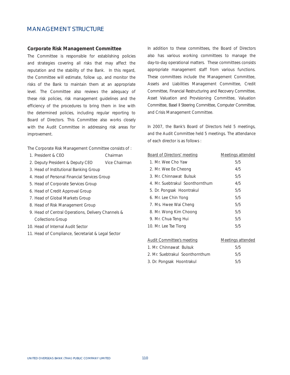# MANAGEMENT STRUCTURE

#### **Corporate Risk Management Committee**

The Committee is responsible for establishing policies and strategies covering all risks that may affect the reputation and the stability of the Bank. In this regard, the Committee will estimate, follow up, and monitor the risks of the Bank to maintain them at an appropriate level. The Committee also reviews the adequacy of these risk policies, risk management guidelines and the efficiency of the procedures to bring them in line with the determined policies, including regular reporting to Board of Directors. This Committee also works closely with the Audit Committee in addressing risk areas for improvement.

The Corporate Risk Management Committee consists of :

- 1. President & CEO Chairman
- 2. Deputy President & Deputy CEO Vice Chairman
- 3. Head of Institutional Banking Group
- 4. Head of Personal Financial Services Group
- 5. Head of Corporate Services Group
- 6. Head of Credit Approval Group
- 7. Head of Global Markets Group
- 8. Head of Risk Management Group
- 9. Head of Central Operations, Delivery Channels & Collections Group
- 10. Head of Internal Audit Sector
- 11. Head of Compliance, Secretariat & Legal Sector

In addition to these committees, the Board of Directors also has various working committees to manage the day-to-day operational matters. These committees consists appropriate management staff from various functions. These committees include the Management Committee, Assets and Liabilities Management Committee, Credit Committee, Financial Restructuring and Recovery Committee, Asset Valuation and Provisioning Committee, Valuation Committee, Basel II Steering Committee, Computer Committee, and Crisis Management Committee.

In 2007, the Bank's Board of Directors held 5 meetings, and the Audit Committee held 5 meetings. The attendance of each director is as follows :

| <b>Board of Directors' meeting</b> | <b>Meetings attended</b> |
|------------------------------------|--------------------------|
| 1. Mr. Wee Cho Yaw                 | 5/5                      |
| 2. Mr. Wee Ee Cheong               | 4/5                      |
| 3. Mr. Chinnawat Bulsuk            | 5/5                      |
| 4. Mr. Suebtrakul Soonthornthum    | 4/5                      |
| 5. Dr. Pongsak Hoontrakul          | 5/5                      |
| 6. Mr. Lee Chin Yong               | 5/5                      |
| 7. Ms. Hwee Wai Cheng              | 5/5                      |
| 8. Mr. Wong Kim Choong             | 5/5                      |
| 9. Mr. Chua Teng Hui               | 5/5                      |
| 10. Mr. Lee Tse Tiong              | 5/5                      |

| Audit Committee's meeting       | Meetings attended |
|---------------------------------|-------------------|
| 1. Mr. Chinnawat Bulsuk         | 5/5               |
| 2. Mr. Suebtrakul Soonthornthum | 5/5               |
| 3. Dr. Pongsak Hoontrakul       | 5/5               |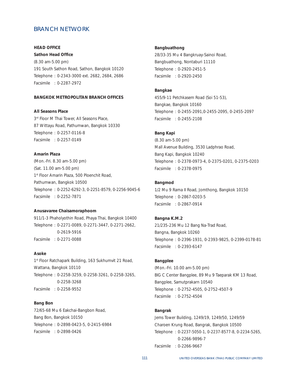# **HEAD OFFICE**

**Sathon Head Office** 

(8.30 am-5.00 pm) 191 South Sathon Road, Sathon, Bangkok 10120 Telephone : 0-2343-3000 ext. 2682, 2684, 2686 Facsimile : 0-2287-2972

# **BANGKOK METROPOLITAN BRANCH OFFICES**

**All Seasons Place**

3rd Floor M Thai Tower, All Seasons Place, 87 Wittayu Road, Pathumwan, Bangkok 10330 Telephone : 0-2257-0116-8 Facsimile : 0-2257-0149

## **Amarin Plaza**

(Mon.-Fri. 8.30 am-5.00 pm) (Sat. 11.00 am-5.00 pm) 1st Floor Amarin Plaza, 500 Ploenchit Road, Pathumwan, Bangkok 10500 Telephone : 0-2252-6292-3, 0-2251-8579, 0-2256-9045-6 Facsimile : 0-2252-7871

### **Anusavaree Chaisamoraphoom**

911/1-3 Phaholyothin Road, Phaya Thai, Bangkok 10400 Telephone : 0-2271-0089, 0-2271-3447, 0-2271-2662, 0-2619-5916 Facsimile : 0-2271-0088

#### **Asoke**

1st Floor Ratchapark Building, 163 Sukhumvit 21 Road, Wattana, Bangkok 10110 Telephone : 0-2258-3259, 0-2258-3261, 0-2258-3265, 0-2258-3268 Facsimile : 0-2258-9552

### **Bang Bon**

72/65-68 Mu 6 Eakchai-Bangbon Road, Bang Bon, Bangkok 10150 Telephone : 0-2898-0423-5, 0-2415-6984 Facsimile : 0-2898-0426

#### **Bangbuathong**

28/33-35 Mu 4 Bangkruay-Sainoi Road, Bangbuathong, Nontaburi 11110 Telephone : 0-2920-2451-5 Facsimile : 0-2920-2450

#### **Bangkae**

455/9-11 Petchkasem Road (Soi 51-53), Bangkae, Bangkok 10160 Telephone : 0-2455-2091,0-2455-2095, 0-2455-2097 Facsimile : 0-2455-2108

#### **Bang Kapi**

(8.30 am-5.00 pm) Mall Avenue Building, 3530 Ladphrao Road, Bang Kapi, Bangkok 10240 Telephone : 0-2378-0973-4, 0-2375-0201, 0-2375-0203 Facsimile : 0-2378-0975

## **Bangmod**

1/2 Mu 9 Rama II Road, Jomthong, Bangkok 10150 Telephone : 0-2867-0203-5 Facsimile : 0-2867-0914

#### **Bangna K.M.2**

21/235-236 Mu 12 Bang Na-Trad Road, Bangna, Bangkok 10260 Telephone : 0-2396-1931, 0-2393-9825, 0-2399-0178-81 Facsimile : 0-2393-6147

### **Bangplee**

(Mon.-Fri. 10.00 am-5.00 pm) BIG C Center Bangplee, 89 Mu 9 Taeparak KM 13 Road, Bangplee, Samutprakarn 10540 Telephone : 0-2752-4505, 0-2752-4507-9 Facsimile : 0-2752-4504

# **Bangrak**

Jems Tower Building, 1249/19, 1249/50, 1249/59 Charoen Krung Road, Bangrak, Bangkok 10500 Telephone : 0-2237-5050-1, 0-2237-8577-8, 0-2234-5265, 0-2266-9896-7 Facsimile : 0-2266-9667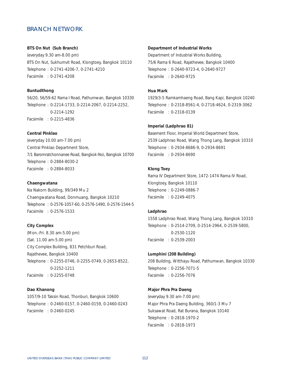## **BTS On Nut (Sub Branch)**

(everyday 9.30 am-8.00 pm) BTS On Nut, Sukhumvit Road, Klongtoey, Bangkok 10110 Telephone : 0-2741-4206-7, 0-2741-4210 Facsimile : 0-2741-4208

## **Buntudthong**

56/20, 56/59-62 Rama I Road, Pathumwan, Bangkok 10330 Telephone : 0-2214-1733, 0-2214-2067, 0-2214-2252, 0-2214-1292 Facsimile : 0-2215-4836

## **Central Pinklao**

(everyday 10.00 am-7.00 pm) Central Pinklao Department Store, 7/1 Baromratchonnanee Road, Bangkok-Noi, Bangkok 10700 Telephone : 0-2884-8030-2 Facsimile : 0-2884-8033

#### **Chaengwatana**

Na Nakorn Building, 99/349 Mu 2 Chaengwatana Road, Donmuang, Bangkok 10210 Telephone : 0-2576-1057-60, 0-2576-1490, 0-2576-1544-5 Facsimile : 0-2576-1533

### **City Complex**

(Mon.-Fri. 8.30 am-5.00 pm) (Sat. 11.00 am-5.00 pm) City Complex Building, 831 Petchburi Road, Rajathevee, Bangkok 10400 Telephone : 0-2255-0746, 0-2255-0749, 0-2653-8522, 0-2252-1211 Facsimile : 0-2255-0748

### **Dao Khanong**

1057/9-10 Taksin Road, Thonburi, Bangkok 10600 Telephone : 0-2460-0157, 0-2460-0159, 0-2460-0243 Facsimile : 0-2460-0245

#### **Department of Industrial Works**

Department of Industrial Works Building, 75/6 Rama 6 Road, Rajathevee, Bangkok 10400 Telephone : 0-2640-9723-4, 0-2640-9727 Facsimile : 0-2640-9725

## **Hua Mark**

1929/3-5 Ramkamhaeng Road, Bang Kapi, Bangkok 10240 Telephone : 0-2318-8561-4, 0-2718-4624, 0-2319-3062 Facsimile : 0-2318-0139

#### **Imperial (Ladphrao 81)**

Basement Floor, Imperial World Department Store, 2539 Ladphrao Road, Wang Thong Lang, Bangkok 10310 Telephone : 0-2934-8686-9, 0-2934-8691 Facsimile : 0-2934-8690

## **Klong Toey**

Rama IV Department Store, 1472-1474 Rama IV Road, Klongtoey, Bangkok 10110 Telephone : 0-2249-0886-7 Facsimile : 0-2249-4075

## **Ladphrao**

1558 Ladphrao Road, Wang Thong Lang, Bangkok 10310 Telephone : 0-2514-2709, 0-2514-2964, 0-2539-5800, 0-2530-1120 Facsimile : 0-2539-2003

#### **Lumphini (208 Building)**

208 Building, Witthayu Road, Pathumwan, Bangkok 10330 Telephone : 0-2256-7071-5 Facsimile : 0-2256-7076

### **Major Phra Pra Daeng**

(everyday 9.30 am-7.00 pm) Major Phra Pra Daeng Building, 360/1-3 Mu 7 Suksawat Road, Rat Burana, Bangkok 10140 Telephone : 0-2818-1970-2 Facsimile : 0-2818-1973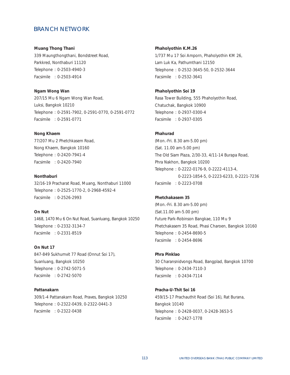#### **Muang Thong Thani**

339 Maungthongthani, Bondstreet Road, Parkkred, Nonthaburi 11120 Telephone : 0-2503-4940-3 Facsimile : 0-2503-4914

**Ngam Wong Wan** 207/15 Mu 6 Ngam Wong Wan Road, Luksi, Bangkok 10210 Telephone : 0-2591-7902, 0-2591-0770, 0-2591-0772 Facsimile : 0-2591-0771

#### **Nong Khaem**

77/207 Mu 2 Phetchkasem Road, Nong Khaem, Bangkok 10160 Telephone : 0-2420-7941-4 Facsimile : 0-2420-7940

#### **Nonthaburi**

32/16-19 Pracharat Road, Muang, Nonthaburi 11000 Telephone : 0-2525-1770-2, 0-2968-4592-4 Facsimile : 0-2526-2993

## **On Nut**

1468, 1470 Mu 6 On Nut Road, Suanluang, Bangkok 10250 Telephone : 0-2332-3134-7 Facsimile : 0-2331-8519

## **On Nut 17**

847-849 Sukhumvit 77 Road (Onnut Soi 17), Suanluang, Bangkok 10250 Telephone : 0-2742-5071-5 Facsimile : 0-2742-5070

### **Pattanakarn**

309/1-4 Pattanakarn Road, Praves, Bangkok 10250 Telephone : 0-2322-0439, 0-2322-0441-3 Facsimile : 0-2322-0438

**Phaholyothin K.M.26**

1/737 Mu 17 Soi Amporn, Phaholyothin KM 26, Lam Luk Ka, Pathumthani 12150 Telephone : 0-2532-3645-50, 0-2532-3644 Facsimile : 0-2532-3641

#### **Phaholyothin Soi 19**

Rasa Tower Building, 555 Phaholyothin Road, Chatuchak, Bangkok 10900 Telephone : 0-2937-0300-4 Facsimile : 0-2937-0305

#### **Phahurad**

(Mon.-Fri. 8.30 am-5.00 pm) (Sat. 11.00 am-5.00 pm) The Old Siam Plaza, 2/30-33, 4/11-14 Burapa Road, Phra Nakhon, Bangkok 10200 Telephone : 0-2222-0176-9, 0-2222-4113-4, 0-2223-1854-5, 0-2223-6233, 0-2221-7236 Facsimile : 0-2223-0708

## **Phetchakasem 35**

(Mon.-Fri. 8.30 am-5.00 pm) (Sat.11.00 am-5.00 pm) Future Park-Robinson Bangkae, 110 Mu 9 Phetchakasem 35 Road, Phasi Charoen, Bangkok 10160 Telephone : 0-2454-8690-5 Facsimile : 0-2454-8696

## **Phra Pinklao**

30 Charansnidvongs Road, Bangplad, Bangkok 10700 Telephone : 0-2434-7110-3 Facsimile : 0-2434-7114

## **Pracha-U-Thit Soi 16**

459/15-17 Prachauthit Road (Soi 16), Rat Burana, Bangkok 10140 Telephone : 0-2428-0037, 0-2428-3653-5 Facsimile : 0-2427-1778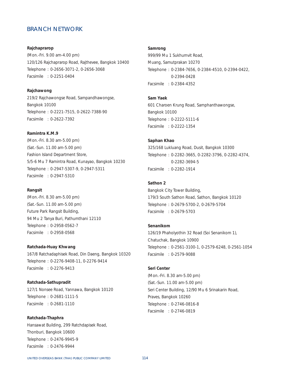### **Rajchaprarop**

(Mon.-Fri. 9.00 am-4.00 pm) 120/126 Rajchaprarop Road, Rajthevee, Bangkok 10400 Telephone : 0-2656-3071-2, 0-2656-3068 Facsimile : 0-2251-0404

## **Rajchawong**

219/2 Rajchawongse Road, Sampandhawongse, Bangkok 10100 Telephone : 0-2221-7515, 0-2622-7388-90 Facsimile : 0-2622-7392

## **Ramintra K.M.9**

(Mon.-Fri. 8.30 am-5.00 pm) (Sat.-Sun. 11.00 am-5.00 pm) Fashion Island Department Store, 5/5-6 Mu 7 Ramintra Road, Kunayao, Bangkok 10230 Telephone : 0-2947-5307-9, 0-2947-5311 Facsimile : 0-2947-5310

## **Rangsit**

(Mon.-Fri. 8.30 am-5.00 pm) (Sat.-Sun. 11.00 am-5.00 pm) Future Park Rangsit Building, 94 Mu 2 Tanya Buri, Pathumthani 12110 Telephone : 0-2958-0562-7 Facsimile : 0-2958-0568

#### **Ratchada-Huay Khwang**

167/8 Ratchadaphisek Road, Din Daeng, Bangkok 10320 Telephone : 0-2276-9408-11, 0-2276-9414 Facsimile : 0-2276-9413

#### **Ratchada-Sathupradit**

127/1 Nonsee Road, Yannawa, Bangkok 10120 Telephone : 0-2681-1111-5 Facsimile : 0-2681-1110

**Ratchada-Thaphra** Hansawat Building, 299 Ratchdapisek Road, Thonburi, Bangkok 10600 Telephone : 0-2476-9945-9 Facsimile : 0-2476-9944

#### **Samrong**

999/99 Mu 1 Sukhumvit Road, Muang, Samutprakan 10270 Telephone : 0-2384-7656, 0-2384-4510, 0-2394-0422, 0-2394-0428 Facsimile : 0-2384-4352

## **Sam Yaek**

601 Charoen Krung Road, Samphanthawongse, Bangkok 10100 Telephone : 0-2222-5111-6 Facsimile : 0-2222-1354

# **Saphan Khao**

325/168 Lukluang Road, Dusit, Bangkok 10300 Telephone : 0-2282-3665, 0-2282-3796, 0-2282-4374, 0-2282-3694-5 Facsimile : 0-2282-1914

# **Sathon 2**

Bangkok City Tower Building, 179/3 South Sathon Road, Sathon, Bangkok 10120 Telephone : 0-2679-5700-2, 0-2679-5704 Facsimile : 0-2679-5703

## **Senanikom**

126/19 Phaholyothin 32 Road (Soi Senanikom 1), Chatuchak, Bangkok 10900 Telephone : 0-2561-3100-1, 0-2579-6248, 0-2561-1054 Facsimile : 0-2579-9088

## **Seri Center**

(Mon.-Fri. 8.30 am-5.00 pm) (Sat.-Sun. 11.00 am-5.00 pm) Seri Center Building, 12/90 Mu 6 Srinakarin Road, Praves, Bangkok 10260 Telephone : 0-2746-0816-8 Facsimile : 0-2746-0819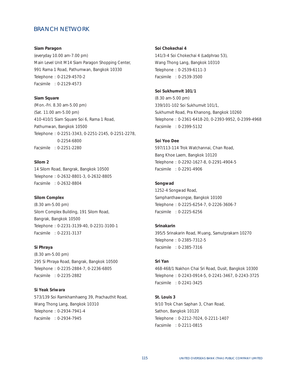#### **Siam Paragon**

(everyday 10.00 am-7.00 pm) Main Level Unit M14 Siam Paragon Shopping Center, 991 Rama 1 Road, Pathumwan, Bangkok 10330 Telephone : 0-2129-4570-2 Facsimile : 0-2129-4573

#### **Siam Square**

(Mon.-Fri. 8.30 am-5.00 pm) (Sat. 11.00 am-5.00 pm) 410-410/1 Siam Square Soi 6, Rama 1 Road, Pathumwan, Bangkok 10500 Telephone : 0-2251-3343, 0-2251-2145, 0-2251-2278, 0-2254-6800 Facsimile : 0-2251-2280

# **Silom 2**

14 Silom Road, Bangrak, Bangkok 10500 Telephone : 0-2632-8801-3, 0-2632-8805 Facsimile : 0-2632-8804

# **Silom Complex**

(8.30 am-5.00 pm) Silom Complex Building, 191 Silom Road, Bangrak, Bangkok 10500 Telephone : 0-2231-3139-40, 0-2231-3100-1 Facsimile : 0-2231-3137

#### **Si Phraya**

(8.30 am-5.00 pm) 295 Si Phraya Road, Bangrak, Bangkok 10500 Telephone : 0-2235-2884-7, 0-2236-6805 Facsimile : 0-2235-2882

### **Si Yeak Sriwara**

573/139 Soi Ramkhamhaeng 39, Prachauthit Road, Wang Thong Lang, Bangkok 10310 Telephone : 0-2934-7941-4 Facsimile : 0-2934-7945

#### **Soi Chokechai 4**

141/3-4 Soi Chokechai 4 (Ladphrao 53), Wang Thong Lang, Bangkok 10310 Telephone : 0-2539-6111-3 Facsimile : 0-2539-3500

### **Soi Sukhumvit 101/1**

(8.30 am-5.00 pm) 339/101-102 Soi Sukhumvit 101/1, Sukhumvit Road, Pra Khanong, Bangkok 10260 Telephone : 0-2361-6418-20, 0-2393-9952, 0-2399-4968 Facsimile : 0-2399-5132

## **Soi Yoo Dee**

597/113-114 Trok Watchannai, Chan Road, Bang Khoe Laem, Bangkok 10120 Telephone : 0-2292-1627-8, 0-2291-4904-5 Facsimile : 0-2291-4906

## **Songwad**

1252-4 Songwad Road, Samphanthawongse, Bangkok 10100 Telephone : 0-2225-6254-7, 0-2226-3606-7 Facsimile : 0-2225-6256

### **Srinakarin**

395/5 Srinakarin Road, Muang, Samutprakarn 10270 Telephone : 0-2385-7312-5 Facsimile : 0-2385-7316

# **Sri Yan**

468-468/1 Nakhon Chai Sri Road, Dusit, Bangkok 10300 Telephone : 0-2243-0914-5, 0-2241-3467, 0-2243-3725 Facsimile : 0-2241-3425

# **St. Louis 3**

9/10 Trok Chan Saphan 3, Chan Road, Sathon, Bangkok 10120 Telephone : 0-2212-7024, 0-2211-1407 Facsimile : 0-2211-0815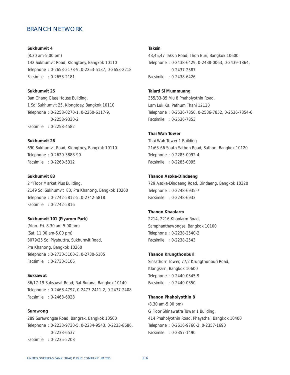**Sukhumvit 4** (8.30 am-5.00 pm) 142 Sukhumvit Road, Klongtoey, Bangkok 10110 Telephone : 0-2653-2178-9, 0-2253-5137, 0-2653-2218 Facsimile : 0-2653-2181

#### **Sukhumvit 25**

Ban Chang Glass House Building, 1 Soi Sukhumvit 25, Klongtoey, Bangkok 10110 Telephone : 0-2258-0270-1, 0-2260-6117-9, 0-2258-9330-2 Facsimile : 0-2258-4582

#### **Sukhumvit 26**

690 Sukhumvit Road, Klongtoey, Bangkok 10110 Telephone : 0-2620-3888-90 Facsimile : 0-2260-5312

### **Sukhumvit 83**

2<sup>nd</sup> Floor Market Plus Building, 2149 Soi Sukhumvit 83, Pra Khanong, Bangkok 10260 Telephone : 0-2742-5812-5, 0-2742-5818 Facsimile : 0-2742-5816

## **Sukhumvit 101 (Piyarom Park)**

(Mon.-Fri. 8.30 am-5.00 pm) (Sat. 11.00 am-5.00 pm) 3079/25 Soi Piyabuttra, Sukhumvit Road, Pra Khanong, Bangkok 10260 Telephone : 0-2730-5100-3, 0-2730-5105 Facsimile : 0-2730-5106

## **Suksawat**

86/17-19 Suksawat Road, Rat Burana, Bangkok 10140 Telephone : 0-2468-4797, 0-2477-2411-2, 0-2477-2408 Facsimile : 0-2468-6028

## **Surawong**

289 Surawongse Road, Bangrak, Bangkok 10500 Telephone : 0-2233-9730-5, 0-2234-9543, 0-2233-8686, 0-2233-6537 Facsimile : 0-2235-5208

#### **Taksin**

43,45,47 Taksin Road, Thon Buri, Bangkok 10600 Telephone : 0-2438-6429, 0-2438-0063, 0-2439-1864, 0-2437-2387 Facsimile : 0-2438-6426

#### **Talard Si Mummuang**

355/33-35 Mu 8 Phaholyothin Road, Lam Luk Ka, Pathum Thani 12130 Telephone : 0-2536-7850, 0-2536-7852, 0-2536-7854-6 Facsimile : 0-2536-7853

#### **Thai Wah Tower**

Thai Wah Tower 1 Building 21/63-66 South Sathon Road, Sathon, Bangkok 10120 Telephone : 0-2285-0092-4 Facsimile : 0-2285-0095

### **Thanon Asoke-Dindaeng**

729 Asoke-Dindaeng Road, Dindaeng, Bangkok 10320 Telephone : 0-2248-6935-7 Facsimile : 0-2248-6933

## **Thanon Khaolarm**

2214, 2216 Khaolarm Road, Samphanthawongse, Bangkok 10100 Telephone : 0-2238-2540-2 Facsimile : 0-2238-2543

#### **Thanon Krungthonburi**

Sinsathorn Tower, 77/2 Krungthonburi Road, Klongsarn, Bangkok 10600 Telephone : 0-2440-0345-9 Facsimile : 0-2440-0350

#### **Thanon Phaholyothin 8**

(8.30 am-5.00 pm) G Floor Shinawatra Tower 1 Building, 414 Phaholyothin Road, Phayathai, Bangkok 10400 Telephone : 0-2616-9760-2, 0-2357-1690 Facsimile : 0-2357-1490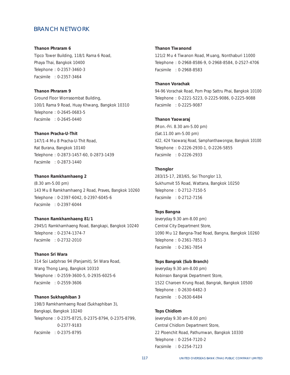#### **Thanon Phraram 6**

Tipco Tower Building, 118/1 Rama 6 Road, Phaya Thai, Bangkok 10400 Telephone : 0-2357-3460-3 Facsimile : 0-2357-3464

## **Thanon Phraram 9**

Ground Floor Worrasombat Building, 100/1 Rama 9 Road, Huay Khwang, Bangkok 10310 Telephone : 0-2645-0683-5 Facsimile : 0-2645-0440

#### **Thanon Pracha-U-Thit**

147/1-4 Mu 8 Pracha-U-Thit Road, Rat Burana, Bangkok 10140 Telephone : 0-2873-1457-60, 0-2873-1439 Facsimile : 0-2873-1440

## **Thanon Ramkhamhaeng 2**

(8.30 am-5.00 pm) 143 Mu 8 Ramkhamhaeng 2 Road, Praves, Bangkok 10260 Telephone : 0-2397-6042, 0-2397-6045-6 Facsimile : 0-2397-6044

## **Thanon Ramkhamhaeng 81/1**

2945/1 Ramkhamhaeng Road, Bangkapi, Bangkok 10240 Telephone : 0-2374-1374-7 Facsimile : 0-2732-2010

## **Thanon Sri Wara**

314 Soi Ladphrao 94 (Panjamit), Sri Wara Road, Wang Thong Lang, Bangkok 10310 Telephone : 0-2559-3600-5, 0-2935-6025-6 Facsimile : 0-2559-3606

#### **Thanon Sukhaphiban 3**

198/3 Ramkhamhaeng Road (Sukhaphiban 3), Bangkapi, Bangkok 10240 Telephone : 0-2375-8725, 0-2375-8794, 0-2375-8799, 0-2377-9183 Facsimile : 0-2375-8795

#### **Thanon Tiwanond**

121/2 Mu 4 Tiwanon Road, Muang, Nonthaburi 11000 Telephone : 0-2968-8586-9, 0-2968-8584, 0-2527-4706 Facsimile : 0-2968-8583

## **Thanon Vorachak**

94-96 Vorachak Road, Pom Prap Sattru Phai, Bangkok 10100 Telephone : 0-2221-5223, 0-2225-9086, 0-2225-9088 Facsimile : 0-2225-9087

## **Thanon Yaowaraj**

(Mon.-Fri. 8.30 am-5.00 pm) (Sat.11.00 am-5.00 pm) 422, 424 Yaowaraj Road, Samphanthawongse, Bangkok 10100 Telephone : 0-2226-2930-1, 0-2226-5855 Facsimile : 0-2226-2933

## **Thonglor**

283/15-17, 283/65, Soi Thonglor 13, Sukhumvit 55 Road, Wattana, Bangkok 10250 Telephone : 0-2712-7150-5 Facsimile : 0-2712-7156

## **Tops Bangna**

(everyday 9.30 am-8.00 pm) Central City Department Store, 1090 Mu 12 Bangna-Trad Road, Bangna, Bangkok 10260 Telephone : 0-2361-7851-3 Facsimile : 0-2361-7854

#### **Tops Bangrak (Sub Branch)**

(everyday 9.30 am-8.00 pm) Robinson Bangrak Department Store, 1522 Charoen Krung Road, Bangrak, Bangkok 10500 Telephone : 0-2630-6482-3 Facsimile : 0-2630-6484

#### **Tops Chidlom**

(everyday 9.30 am-8.00 pm) Central Chidlom Department Store, 22 Ploenchit Road, Pathumwan, Bangkok 10330 Telephone : 0-2254-7120-2 Facsimile : 0-2254-7123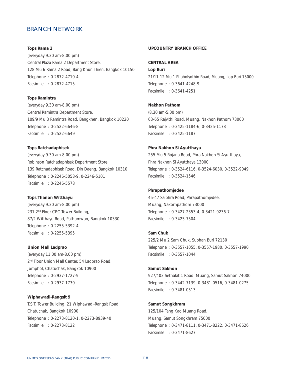#### **Tops Rama 2**

(everyday 9.30 am-8.00 pm) Central Plaza Rama 2 Department Store, 128 Mu 6 Rama 2 Road, Bang Khun Thien, Bangkok 10150 Telephone : 0-2872-4710-4 Facsimile : 0-2872-4715

#### **Tops Ramintra**

(everyday 9.30 am-8.00 pm) Central Ramintra Department Store, 109/9 Mu 3 Ramintra Road, Bangkhen, Bangkok 10220 Telephone : 0-2522-6646-8 Facsimile : 0-2522-6649

# **Tops Ratchadaphisek**

(everyday 9.30 am-8.00 pm) Robinson Ratchadaphisek Department Store, 139 Ratchadaphisek Road, Din Daeng, Bangkok 10310 Telephone : 0-2246-5058-9, 0-2246-5101 Facsimile : 0-2246-5578

## **Tops Thanon Witthayu**

(everyday 9.30 am-8.00 pm) 231 2<sup>nd</sup> Floor CRC Tower Building, 87/2 Witthayu Road, Pathumwan, Bangkok 10330 Telephone : 0-2255-5392-4 Facsimile : 0-2255-5395

## **Union Mall Ladprao**

(everyday 11.00 am-8.00 pm) 2<sup>nd</sup> Floor Union Mall Center, 54 Ladprao Road, Jomphol, Chatuchak, Bangkok 10900 Telephone : 0-2937-1727-9 Facsimile : 0-2937-1730

#### **Wiphawadi-Rangsit 9**

T.S.T. Tower Building, 21 Wiphawadi-Rangsit Road, Chatuchak, Bangkok 10900 Telephone : 0-2273-8120-1, 0-2273-8939-40 Facsimile : 0-2273-8122

#### **UPCOUNTRY BRANCH OFFICE**

### **CENTRAL AREA**

**Lop Buri** 21/11-12 Mu 1 Phaholyothin Road, Muang, Lop Buri 15000 Telephone : 0-3641-4248-9 Facsimile : 0-3641-4251

## **Nakhon Pathom**

(8.30 am-5.00 pm) 63-65 Rajvithi Road, Muang, Nakhon Pathom 73000 Telephone : 0-3425-1184-6, 0-3425-1178 Facsimile : 0-3425-1187

## **Phra Nakhon Si Ayutthaya**

255 Mu 5 Rojana Road, Phra Nakhon Si Ayutthaya, Phra Nakhon Si Ayutthaya 13000 Telephone : 0-3524-6116, 0-3524-6030, 0-3522-9049 Facsimile : 0-3524-1546

## **Phrapathomjedee**

45-47 Saiphra Road, Phrapathomjedee, Muang, Nakornpathom 73000 Telephone : 0-3427-2353-4, 0-3421-9236-7 Facsimile : 0-3425-7504

### **Sam Chuk**

225/2 Mu 2 Sam Chuk, Suphan Buri 72130 Telephone : 0-3557-1055, 0-3557-1980, 0-3557-1990 Facsimile : 0-3557-1044

#### **Samut Sakhon**

927/403 Sethakit 1 Road, Muang, Samut Sakhon 74000 Telephone : 0-3442-7139, 0-3481-0516, 0-3481-0275 Facsimile : 0-3481-0513

# **Samut Songkhram**

125/104 Tang Kao Muang Road, Muang, Samut Songkhram 75000 Telephone : 0-3471-8111, 0-3471-8222, 0-3471-8626 Facsimile : 0-3471-8627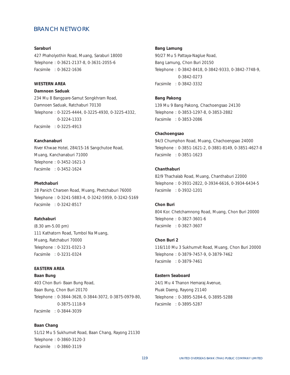#### **Saraburi**

427 Phaholyothin Road, Muang, Saraburi 18000 Telephone : 0-3621-2137-8, 0-3631-2055-6 Facsimile : 0-3622-1636

# **WESTERN AREA**

## **Damnoen Saduak**

234 Mu 8 Bangpare-Samut Songkhram Road, Damnoen Saduak, Ratchaburi 70130 Telephone : 0-3225-4444, 0-3225-4930, 0-3225-4332, 0-3224-1333 Facsimile : 0-3225-4913

## **Kanchanaburi**

River Khwae Hotel, 284/15-16 Sangchutoe Road, Muang, Kanchanaburi 71000 Telephone : 0-3452-1621-3 Facsimile : 0-3452-1624

#### **Phetchaburi**

28 Panich Charoen Road, Muang, Phetchaburi 76000 Telephone : 0-3241-5883-4, 0-3242-5959, 0-3242-5169 Facsimile : 0-3242-8517

## **Ratchaburi**

(8.30 am-5.00 pm) 111 Kathatorn Road, Tumbol Na Muang, Muang, Ratchaburi 70000 Telephone : 0-3231-0321-3 Facsimile : 0-3231-0324

# **EASTERN AREA**

**Baan Bung**

403 Chon Buri- Baan Bung Road, Baan Bung, Chon Buri 20170 Telephone : 0-3844-3628, 0-3844-3072, 0-3875-0979-80, 0-3875-1118-9 Facsimile : 0-3844-3039

## **Baan Chang**

51/12 Mu 5 Sukhumvit Road, Baan Chang, Rayong 21130 Telephone : 0-3860-3120-3 Facsimile : 0-3860-3119

#### **Bang Lamung**

90/27 Mu 5 Pattaya-Naglue Road, Bang Lamung, Chon Buri 20150 Telephone : 0-3842-8418, 0-3842-9333, 0-3842-7748-9, 0-3842-0273 Facsimile : 0-3842-3332

## **Bang Pakong**

139 Mu 9 Bang Pakong, Chachoengsao 24130 Telephone : 0-3853-1297-8, 0-3853-2882 Facsimile : 0-3853-2086

#### **Chachoengsao**

94/3 Chumphon Road, Muang, Chachoengsao 24000 Telephone : 0-3851-1621-2, 0-3881-8149, 0-3851-4627-8 Facsimile : 0-3851-1623

# **Chanthaburi**

82/9 Thachalab Road, Muang, Chanthaburi 22000 Telephone : 0-3931-2822, 0-3934-6616, 0-3934-6434-5 Facsimile : 0-3932-1201

### **Chon Buri**

804 Kor. Chetchamnong Road, Muang, Chon Buri 20000 Telephone : 0-3827-3601-6 Facsimile : 0-3827-3607

## **Chon Buri 2**

116/110 Mu 3 Sukhumvit Road, Muang, Chon Buri 20000 Telephone : 0-3879-7457-9, 0-3879-7462 Facsimile : 0-3879-7461

### **Eastern Seaboard**

24/1 Mu 4 Thanon Hemaraj Avenue, Pluak Daeng, Rayong 21140 Telephone : 0-3895-5284-6, 0-3895-5288 Facsimile : 0-3895-5287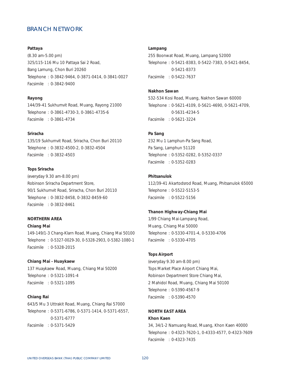## **Pattaya**

(8.30 am-5.00 pm) 325/115-116 Mu 10 Pattaya Sai 2 Road, Bang Lamung, Chon Buri 20260 Telephone : 0-3842-9464, 0-3871-0414, 0-3841-0027 Facsimile : 0-3842-9400

## **Rayong**

144/39-41 Sukhumvit Road, Muang, Rayong 21000 Telephone : 0-3861-4730-3, 0-3861-4735-6 Facsimile : 0-3861-4734

#### **Sriracha**

135/19 Sukhumvit Road, Sriracha, Chon Buri 20110 Telephone : 0-3832-4500-2, 0-3832-4504 Facsimile : 0-3832-4503

# **Tops Sriracha**

(everyday 9.30 am-8.00 pm) Robinson Sriracha Department Store, 90/1 Sukhumvit Road, Sriracha, Chon Buri 20110 Telephone : 0-3832-8458, 0-3832-8459-60 Facsimile : 0-3832-8461

## **NORTHERN AREA**

## **Chiang Mai**

149-149/1-3 Chang-Klarn Road, Muang, Chiang Mai 50100 Telephone : 0-5327-0029-30, 0-5328-2903, 0-5382-1080-1 Facsimile : 0-5328-2015

#### **Chiang Mai - Huaykaew**

137 Huaykaew Road, Muang, Chiang Mai 50200 Telephone : 0-5321-1091-4 Facsimile : 0-5321-1095

### **Chiang Rai**

643/5 Mu 3 Uttrakit Road, Muang, Chiang Rai 57000 Telephone : 0-5371-6786, 0-5371-1414, 0-5371-6557, 0-5371-6777 Facsimile : 0-5371-5429

#### **Lampang**

255 Boonwat Road, Muang, Lampang 52000 Telephone : 0-5421-8383, 0-5422-7383, 0-5421-8454, 0-5421-8373 Facsimile : 0-5422-7637

#### **Nakhon Sawan**

532-534 Kosi Road, Muang, Nakhon Sawan 60000 Telephone : 0-5621-4109, 0-5621-4690, 0-5621-4709, 0-5631-4234-5 Facsimile : 0-5621-3224

#### **Pa Sang**

232 Mu 1 Lamphun-Pa Sang Road, Pa Sang, Lamphun 51120 Telephone : 0-5352-0282, 0-5352-0337 Facsimile : 0-5352-0283

### **Phitsanulok**

112/39-41 Akartodsrod Road, Muang, Phitsanulok 65000 Telephone : 0-5522-5153-5 Facsimile : 0-5522-5156

#### **Thanon Highway-Chiang Mai**

1/99 Chiang Mai-Lampang Road, Muang, Chiang Mai 50000 Telephone : 0-5330-4701-4, 0-5330-4706 Facsimile : 0-5330-4705

## **Tops Airport**

(everyday 9.30 am-8.00 pm) Tops Market Place Airport Chiang Mai, Robinson Department Store Chiang Mai, 2 Mahidol Road, Muang, Chiang Mai 50100 Telephone : 0-5390-4567-9 Facsimile : 0-5390-4570

## **NORTH EAST AREA**

## **Khon Kaen**

34, 34/1-2 Namuang Road, Muang, Khon Kaen 40000 Telephone : 0-4323-7620-1, 0-4333-4577, 0-4323-7609 Facsimile : 0-4323-7435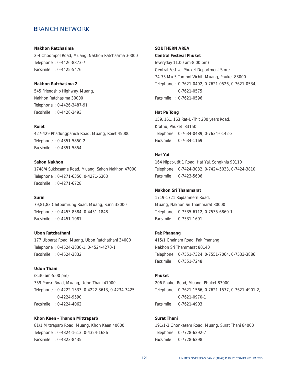#### **Nakhon Ratchasima**

2-4 Choompol Road, Muang, Nakhon Ratchasima 30000 Telephone : 0-4426-8873-7 Facsimile : 0-4425-5476

# **Nakhon Ratchasima 2**

545 Friendship Highway, Muang, Nakhon Ratchasima 30000 Telephone : 0-4426-3487-91 Facsimile : 0-4426-3493

#### **Roiet**

427-429 Phadungpanich Road, Muang, Roiet 45000 Telephone : 0-4351-5850-2 Facsimile : 0-4351-5854

## **Sakon Nakhon**

1748/4 Sukkasame Road, Muang, Sakon Nakhon 47000 Telephone : 0-4271-6350, 0-4271-6303 Facsimile : 0-4271-6728

# **Surin**

79,81,83 Chitbumrung Road, Muang, Surin 32000 Telephone : 0-4453-8384, 0-4451-1848 Facsimile : 0-4451-1081

### **Ubon Ratchathani**

177 Ubparat Road, Muang, Ubon Ratchathani 34000 Telephone : 0-4524-3830-1, 0-4524-4270-1 Facsimile : 0-4524-3832

### **Udon Thani**

(8.30 am-5.00 pm) 359 Phosri Road, Muang, Udon Thani 41000 Telephone : 0-4222-1333, 0-4222-3613, 0-4234-3425, 0-4224-9590 Facsimile : 0-4224-4062

#### **Khon Kaen - Thanon Mittraparb**

81/1 Mittraparb Road, Muang, Khon Kaen 40000 Telephone : 0-4324-1613, 0-4324-1686 Facsimile : 0-4323-8435

## **SOUTHERN AREA**

## **Central Festival Phuket**

(everyday 11.00 am-8.00 pm) Central Festival Phuket Department Store, 74-75 Mu 5 Tumbol Vichit, Muang, Phuket 83000 Telephone : 0-7621-0492, 0-7621-0526, 0-7621-0534, 0-7621-0575 Facsimile : 0-7621-0596

#### **Hat Pa Tong**

159, 161, 163 Rat-U-Thit 200 years Road, Krathu, Phuket 83150 Telephone : 0-7634-0489, 0-7634-0142-3 Facsimile : 0-7634-1169

## **Hat Yai**

164 Nipat-utit 1 Road, Hat Yai, Songkhla 90110 Telephone : 0-7424-3032, 0-7424-5033, 0-7424-3810 Facsimile : 0-7423-5606

## **Nakhon Sri Thammarat**

1719-1721 Rajdamnern Road, Muang, Nakhon Sri Thammarat 80000 Telephone : 0-7535-6112, 0-7535-6860-1 Facsimile : 0-7531-1691

#### **Pak Phanang**

415/1 Chainam Road, Pak Phanang, Nakhon Sri Thammarat 80140 Telephone : 0-7551-7324, 0-7551-7064, 0-7533-3886 Facsimile : 0-7551-7248

# **Phuket**

206 Phuket Road, Muang, Phuket 83000 Telephone : 0-7621-1566, 0-7621-1577, 0-7621-4901-2, 0-7621-0970-1 Facsimile : 0-7621-4903

## **Surat Thani**

191/1-3 Chonkasem Road, Muang, Surat Thani 84000 Telephone : 0-7728-6292-7 Facsimile : 0-7728-6298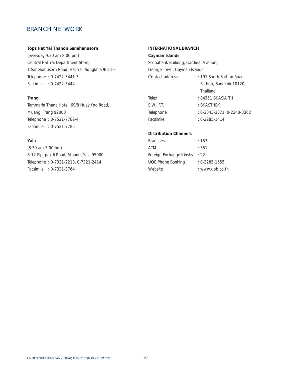## **Tops Hat Yai Thanon Sanehanusorn**

(everyday 9.30 am-8.00 pm) Central Hat Yai Department Store, 1 Sanehanusorn Road, Hat Yai, Songkhla 90110 Telephone : 0-7422-5441-3 Facsimile : 0-7422-5444

# **Trang**

Tammarin Thana Hotel, 69/8 Huay Yod Road, Muang, Trang 92000 Telephone : 0-7521-7782-4 Facsimile : 0-7521-7785

# **Yala**

(8.30 am-3.00 pm) 8-12 Pipitpakdi Road, Muang, Yala 95000 Telephone : 0-7321-2218, 0-7321-2414 Facsimile : 0-7321-3764

# **INTERNATIONAL BRANCH**

#### **Cayman Islands**

Scotiabank Building, Cardinal Avenue,

George Town, Cayman Islands

| Contact address | : 191 South Sathon Road,   |
|-----------------|----------------------------|
|                 | Sathon, Bangkok 10120,     |
|                 | Thailand                   |
| Telex           | : 84351 BKASIA TH          |
| S.W.I.F.T.      | : BKASTHBK                 |
| Telephone       | : 0-2343-3371, 0-2343-3362 |
| Facsimile       | $: 0 - 2285 - 1414$        |

# **Distribution Channels**

| Branches                | : 153               |
|-------------------------|---------------------|
| ATM                     | : 351               |
| Foreign Exchange Kiosks | : 22                |
| UOB Phone Banking       | $: 0 - 2285 - 1555$ |
| Website                 | : www.uob.co.th     |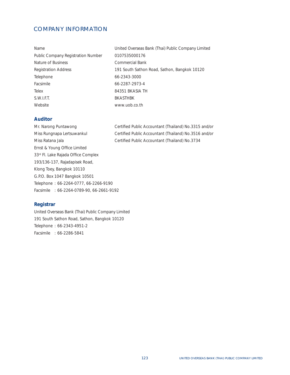# COMPANY INFORMATION

| Name                               | United Overseas Bank (Thai) Public Company Limited |
|------------------------------------|----------------------------------------------------|
| Public Company Registration Number | 0107535000176                                      |
| Nature of Business                 | Commercial Bank                                    |
| <b>Registration Address</b>        | 191 South Sathon Road, Sathon, Bangkok 10120       |
| Telephone                          | 66-2343-3000                                       |
| Facsimile                          | 66-2287-2973-4                                     |
| <b>Telex</b>                       | 84351 BKASIA TH                                    |
| S.W.I.F.T.                         | <b>BKASTHBK</b>                                    |
| Website                            | www.uob.co.th                                      |

# **Auditor**

Miss Ratana Jala **Certified Public Accountant (Thailand) No.3734** Ernst & Young Office Limited 33rd Fl. Lake Rajada Office Complex 193/136-137, Rajadapisek Road, Klong Toey, Bangkok 10110 G.P.O. Box 1047 Bangkok 10501 Telephone : 66-2264-0777, 66-2266-9190 Facsimile : 66-2264-0789-90, 66-2661-9192

Mr. Narong Puntawong Certified Public Accountant (Thailand) No.3315 and/or Miss Rungnapa Lertsuwankul Certified Public Accountant (Thailand) No.3516 and/or

# **Registrar**

United Overseas Bank (Thai) Public Company Limited 191 South Sathon Road, Sathon, Bangkok 10120 Telephone : 66-2343-4951-2 Facsimile : 66-2286-5841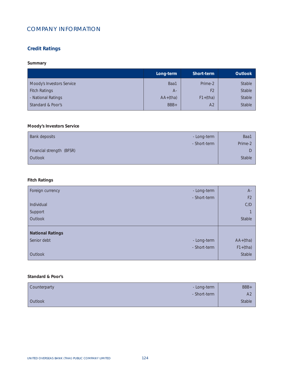# COMPANY INFORMATION

# **Credit Ratings**

# **Summary**

|                           | Long-term  | Short-term     | <b>Outlook</b> |
|---------------------------|------------|----------------|----------------|
| Moody's Investors Service | Baa1       | Prime-2        | Stable         |
| <b>Fitch Ratings</b>      | $A-$       | F <sub>2</sub> | Stable         |
| - National Ratings        | $AA+(tha)$ | $F1+(tha)$     | Stable         |
| Standard & Poor's         | BBB+       | A <sub>2</sub> | Stable         |
|                           |            |                |                |

# **Moody's Investors Service**

| Bank deposits<br>- Long-term | Baa1    |
|------------------------------|---------|
| - Short-term                 | Prime-2 |
| Financial strength (BFSR)    | L       |
| Outlook                      | Stable  |
|                              |         |

# **Fitch Ratings**

| Foreign currency        | - Long-term  | $A -$          |
|-------------------------|--------------|----------------|
|                         | - Short-term | F <sub>2</sub> |
| Individual              |              | C/D            |
| Support                 |              | $\overline{ }$ |
| Outlook                 |              | Stable         |
|                         |              |                |
| <b>National Ratings</b> |              |                |
| Senior debt             | - Long-term  | $AA+(tha)$     |
|                         | - Short-term | $F1+(tha)$     |
| Outlook                 |              | Stable         |
|                         |              |                |

# **Standard & Poor's**

Ī

| Counterparty   | - Long-term  | BBB+           |
|----------------|--------------|----------------|
|                | - Short-term | A <sub>2</sub> |
| <b>Outlook</b> |              | Stable         |